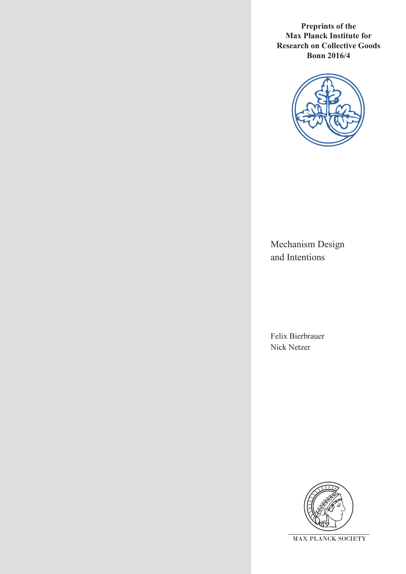**Preprints of the Max Planck Institute for Research on Collective Goods Bonn 2016/4**



Mechanism Design and Intentions

Felix Bierbrauer Nick Netzer

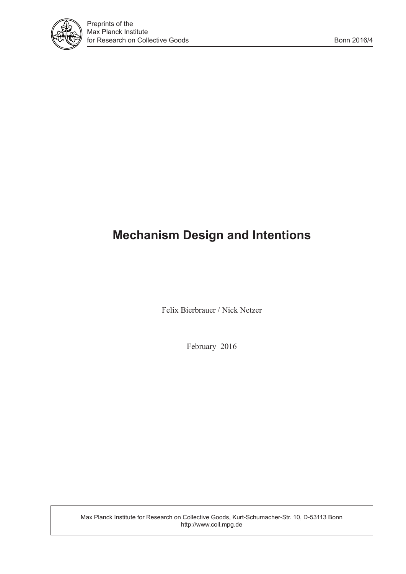

# **Mechanism Design and Intentions**

Felix Bierbrauer / Nick Netzer

February 2016

Max Planck Institute for Research on Collective Goods, Kurt-Schumacher-Str. 10, D-53113 Bonn http://www.coll.mpg.de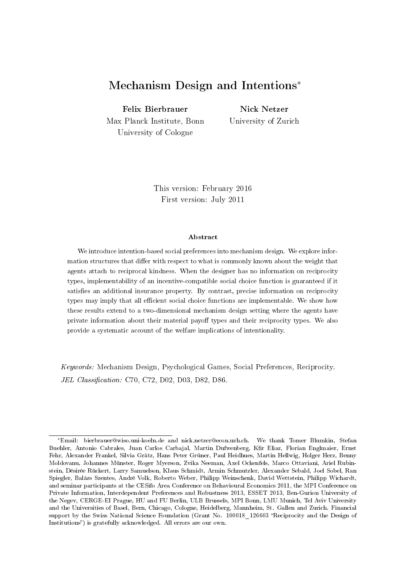## Mechanism Design and Intentions<sup>∗</sup>

Felix Bierbrauer

Nick Netzer

Max Planck Institute, Bonn University of Cologne

University of Zurich

This version: February 2016 First version: July 2011

#### Abstract

We introduce intention-based social preferences into mechanism design. We explore information structures that differ with respect to what is commonly known about the weight that agents attach to reciprocal kindness. When the designer has no information on reciprocity types, implementability of an incentive-compatible social choice function is guaranteed if it satisfies an additional insurance property. By contrast, precise information on reciprocity types may imply that all efficient social choice functions are implementable. We show how these results extend to a two-dimensional mechanism design setting where the agents have private information about their material payoff types and their reciprocity types. We also provide a systematic account of the welfare implications of intentionality.

Keywords: Mechanism Design, Psychological Games, Social Preferences, Reciprocity. JEL Classification: C70, C72, D02, D03, D82, D86.

<sup>∗</sup>Email: bierbrauer@wiso.uni-koeln.de and nick.netzer@econ.uzh.ch. We thank Tomer Blumkin, Stefan Buehler, Antonio Cabrales, Juan Carlos Carbajal, Martin Dufwenberg, Kfir Eliaz, Florian Englmaier, Ernst Fehr, Alexander Frankel, Silvia Grätz, Hans Peter Grüner, Paul Heidhues, Martin Hellwig, Holger Herz, Benny Moldovanu, Johannes Münster, Roger Myerson, Zvika Neeman, Axel Ockenfels, Marco Ottaviani, Ariel Rubinstein, Désirée Rückert, Larry Samuelson, Klaus Schmidt, Armin Schmutzler, Alexander Sebald, Joel Sobel, Ran Spiegler, Balázs Szentes, André Volk, Roberto Weber, Philipp Weinschenk, David Wettstein, Philipp Wichardt, and seminar participants at the CESifo Area Conference on Behavioural Economics 2011, the MPI Conference on Private Information, Interdependent Preferences and Robustness 2013, ESSET 2013, Ben-Gurion University of the Negev, CERGE-EI Prague, HU and FU Berlin, ULB Brussels, MPI Bonn, LMU Munich, Tel Aviv University and the Universities of Basel, Bern, Chicago, Cologne, Heidelberg, Mannheim, St. Gallen and Zurich. Financial support by the Swiss National Science Foundation (Grant No. 100018 126603 "Reciprocity and the Design of Institutions") is gratefully acknowledged. All errors are our own.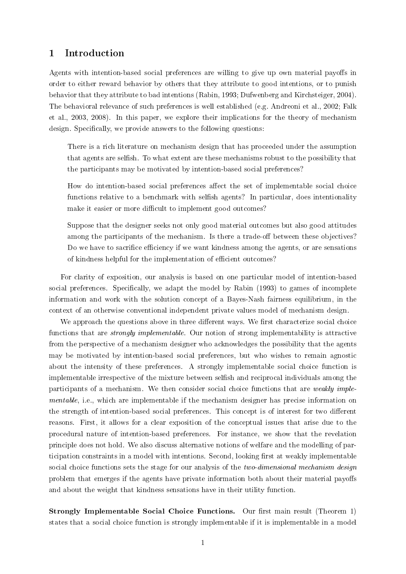## 1 Introduction

Agents with intention-based social preferences are willing to give up own material payoffs in order to either reward behavior by others that they attribute to good intentions, or to punish behavior that they attribute to bad intentions (Rabin, 1993; Dufwenberg and Kirchsteiger, 2004). The behavioral relevance of such preferences is well established (e.g. Andreoni et al., 2002; Falk et al., 2003, 2008). In this paper, we explore their implications for the theory of mechanism design. Specifically, we provide answers to the following questions:

There is a rich literature on mechanism design that has proceeded under the assumption that agents are selfish. To what extent are these mechanisms robust to the possibility that the participants may be motivated by intention-based social preferences?

How do intention-based social preferences affect the set of implementable social choice functions relative to a benchmark with selfish agents? In particular, does intentionality make it easier or more difficult to implement good outcomes?

Suppose that the designer seeks not only good material outcomes but also good attitudes among the participants of the mechanism. Is there a trade-off between these objectives? Do we have to sacrifice efficiency if we want kindness among the agents, or are sensations of kindness helpful for the implementation of efficient outcomes?

For clarity of exposition, our analysis is based on one particular model of intention-based social preferences. Specifically, we adapt the model by Rabin (1993) to games of incomplete information and work with the solution concept of a Bayes-Nash fairness equilibrium, in the context of an otherwise conventional independent private values model of mechanism design.

We approach the questions above in three different ways. We first characterize social choice functions that are strongly implementable. Our notion of strong implementability is attractive from the perspective of a mechanism designer who acknowledges the possibility that the agents may be motivated by intention-based social preferences, but who wishes to remain agnostic about the intensity of these preferences. A strongly implementable social choice function is implementable irrespective of the mixture between selfish and reciprocal individuals among the participants of a mechanism. We then consider social choice functions that are weakly implementable, i.e., which are implementable if the mechanism designer has precise information on the strength of intention-based social preferences. This concept is of interest for two different reasons. First, it allows for a clear exposition of the conceptual issues that arise due to the procedural nature of intention-based preferences. For instance, we show that the revelation principle does not hold. We also discuss alternative notions of welfare and the modelling of participation constraints in a model with intentions. Second, looking first at weakly implementable social choice functions sets the stage for our analysis of the *two-dimensional mechanism design* problem that emerges if the agents have private information both about their material payoffs and about the weight that kindness sensations have in their utility function.

Strongly Implementable Social Choice Functions. Our first main result (Theorem 1) states that a social choice function is strongly implementable if it is implementable in a model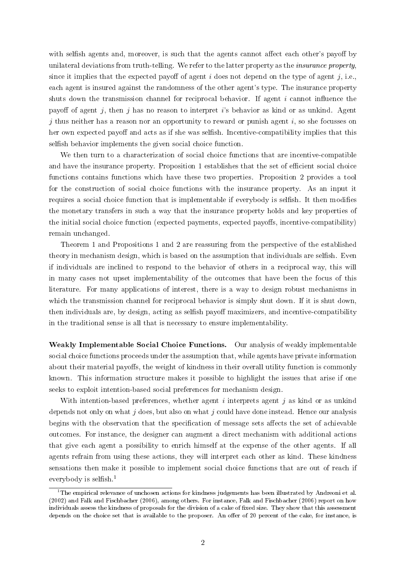with selfish agents and, moreover, is such that the agents cannot affect each other's payoff by unilateral deviations from truth-telling. We refer to the latter property as the insurance property, since it implies that the expected payoff of agent  $i$  does not depend on the type of agent  $j$ , i.e., each agent is insured against the randomness of the other agent's type. The insurance property shuts down the transmission channel for reciprocal behavior. If agent  $i$  cannot influence the payoff of agent j, then j has no reason to interpret i's behavior as kind or as unkind. Agent j thus neither has a reason nor an opportunity to reward or punish agent  $i$ , so she focusses on her own expected payoff and acts as if she was selfish. Incentive-compatibility implies that this selfish behavior implements the given social choice function.

We then turn to a characterization of social choice functions that are incentive-compatible and have the insurance property. Proposition 1 establishes that the set of efficient social choice functions contains functions which have these two properties. Proposition 2 provides a tool for the construction of social choice functions with the insurance property. As an input it requires a social choice function that is implementable if everybody is selfish. It then modifies the monetary transfers in such a way that the insurance property holds and key properties of the initial social choice function (expected payments, expected payoffs, incentive-compatibility) remain unchanged.

Theorem 1 and Propositions 1 and 2 are reassuring from the perspective of the established theory in mechanism design, which is based on the assumption that individuals are selfish. Even if individuals are inclined to respond to the behavior of others in a reciprocal way, this will in many cases not upset implementability of the outcomes that have been the focus of this literature. For many applications of interest, there is a way to design robust mechanisms in which the transmission channel for reciprocal behavior is simply shut down. If it is shut down, then individuals are, by design, acting as selfish payoff maximizers, and incentive-compatibility in the traditional sense is all that is necessary to ensure implementability.

Weakly Implementable Social Choice Functions. Our analysis of weakly implementable social choice functions proceeds under the assumption that, while agents have private information about their material payoffs, the weight of kindness in their overall utility function is commonly known. This information structure makes it possible to highlight the issues that arise if one seeks to exploit intention-based social preferences for mechanism design.

With intention-based preferences, whether agent  $i$  interprets agent  $j$  as kind or as unkind depends not only on what  $j$  does, but also on what  $j$  could have done instead. Hence our analysis begins with the observation that the specification of message sets affects the set of achievable outcomes. For instance, the designer can augment a direct mechanism with additional actions that give each agent a possibility to enrich himself at the expense of the other agents. If all agents refrain from using these actions, they will interpret each other as kind. These kindness sensations then make it possible to implement social choice functions that are out of reach if everybody is selfish. $<sup>1</sup>$ </sup>

 $^1$ The empirical relevance of unchosen actions for kindness judgements has been illustrated by Andreoni et al. (2002) and Falk and Fischbacher (2006), among others. For instance, Falk and Fischbacher (2006) report on how individuals assess the kindness of proposals for the division of a cake of fixed size. They show that this assessment depends on the choice set that is available to the proposer. An offer of 20 percent of the cake, for instance, is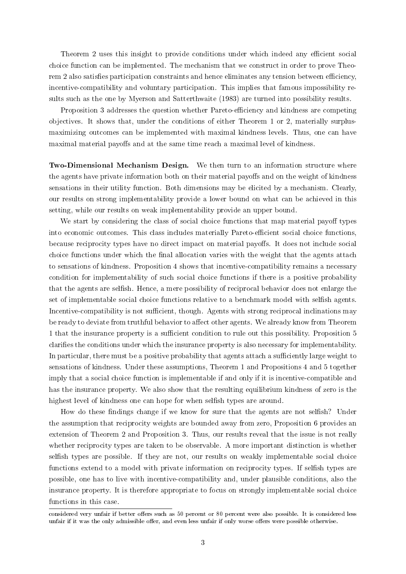Theorem 2 uses this insight to provide conditions under which indeed any efficient social choice function can be implemented. The mechanism that we construct in order to prove Theorem 2 also satisfies participation constraints and hence eliminates any tension between efficiency, incentive-compatibility and voluntary participation. This implies that famous impossibility results such as the one by Myerson and Satterthwaite (1983) are turned into possibility results.

Proposition 3 addresses the question whether Pareto-efficiency and kindness are competing objectives. It shows that, under the conditions of either Theorem 1 or 2, materially surplusmaximizing outcomes can be implemented with maximal kindness levels. Thus, one can have maximal material payoffs and at the same time reach a maximal level of kindness.

Two-Dimensional Mechanism Design. We then turn to an information structure where the agents have private information both on their material payoffs and on the weight of kindness sensations in their utility function. Both dimensions may be elicited by a mechanism. Clearly, our results on strong implementability provide a lower bound on what can be achieved in this setting, while our results on weak implementability provide an upper bound.

We start by considering the class of social choice functions that map material payoff types into economic outcomes. This class includes materially Pareto-efficient social choice functions. because reciprocity types have no direct impact on material payoffs. It does not include social choice functions under which the nal allocation varies with the weight that the agents attach to sensations of kindness. Proposition 4 shows that incentive-compatibility remains a necessary condition for implementability of such social choice functions if there is a positive probability that the agents are selfish. Hence, a mere possibility of reciprocal behavior does not enlarge the set of implementable social choice functions relative to a benchmark model with selfish agents. Incentive-compatibility is not sufficient, though. Agents with strong reciprocal inclinations may be ready to deviate from truthful behavior to affect other agents. We already know from Theorem 1 that the insurance property is a sufficient condition to rule out this possibility. Proposition 5 claries the conditions under which the insurance property is also necessary for implementability. In particular, there must be a positive probability that agents attach a sufficiently large weight to sensations of kindness. Under these assumptions, Theorem 1 and Propositions 4 and 5 together imply that a social choice function is implementable if and only if it is incentive-compatible and has the insurance property. We also show that the resulting equilibrium kindness of zero is the highest level of kindness one can hope for when selfish types are around.

How do these findings change if we know for sure that the agents are not selfish? Under the assumption that reciprocity weights are bounded away from zero, Proposition 6 provides an extension of Theorem 2 and Proposition 3. Thus, our results reveal that the issue is not really whether reciprocity types are taken to be observable. A more important distinction is whether selfish types are possible. If they are not, our results on weakly implementable social choice functions extend to a model with private information on reciprocity types. If selfish types are possible, one has to live with incentive-compatibility and, under plausible conditions, also the insurance property. It is therefore appropriate to focus on strongly implementable social choice functions in this case.

considered very unfair if better offers such as 50 percent or 80 percent were also possible. It is considered less unfair if it was the only admissible offer, and even less unfair if only worse offers were possible otherwise.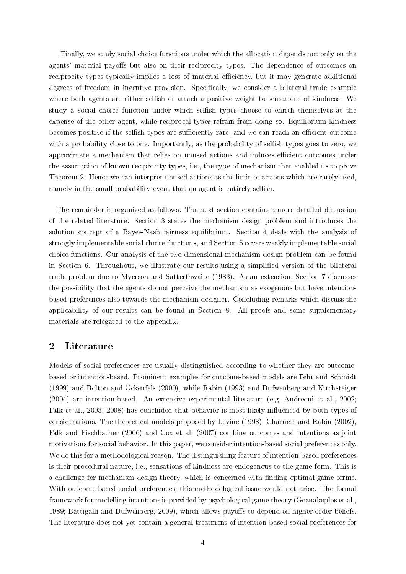Finally, we study social choice functions under which the allocation depends not only on the agents' material payoffs but also on their reciprocity types. The dependence of outcomes on reciprocity types typically implies a loss of material efficiency, but it may generate additional degrees of freedom in incentive provision. Specifically, we consider a bilateral trade example where both agents are either selfish or attach a positive weight to sensations of kindness. We study a social choice function under which selfish types choose to enrich themselves at the expense of the other agent, while reciprocal types refrain from doing so. Equilibrium kindness becomes positive if the selfish types are sufficiently rare, and we can reach an efficient outcome with a probability close to one. Importantly, as the probability of selfish types goes to zero, we approximate a mechanism that relies on unused actions and induces efficient outcomes under the assumption of known reciprocity types, i.e., the type of mechanism that enabled us to prove Theorem 2. Hence we can interpret unused actions as the limit of actions which are rarely used, namely in the small probability event that an agent is entirely selfish.

The remainder is organized as follows. The next section contains a more detailed discussion of the related literature. Section 3 states the mechanism design problem and introduces the solution concept of a Bayes-Nash fairness equilibrium. Section 4 deals with the analysis of strongly implementable social choice functions, and Section 5 covers weakly implementable social choice functions. Our analysis of the two-dimensional mechanism design problem can be found in Section 6. Throughout, we illustrate our results using a simplified version of the bilateral trade problem due to Myerson and Satterthwaite (1983). As an extension, Section 7 discusses the possibility that the agents do not perceive the mechanism as exogenous but have intentionbased preferences also towards the mechanism designer. Concluding remarks which discuss the applicability of our results can be found in Section 8. All proofs and some supplementary materials are relegated to the appendix.

## 2 Literature

Models of social preferences are usually distinguished according to whether they are outcomebased or intention-based. Prominent examples for outcome-based models are Fehr and Schmidt (1999) and Bolton and Ockenfels (2000), while Rabin (1993) and Dufwenberg and Kirchsteiger (2004) are intention-based. An extensive experimental literature (e.g. Andreoni et al., 2002; Falk et al., 2003, 2008) has concluded that behavior is most likely influenced by both types of considerations. The theoretical models proposed by Levine (1998), Charness and Rabin (2002), Falk and Fischbacher (2006) and Cox et al. (2007) combine outcomes and intentions as joint motivations for social behavior. In this paper, we consider intention-based social preferences only. We do this for a methodological reason. The distinguishing feature of intention-based preferences is their procedural nature, i.e., sensations of kindness are endogenous to the game form. This is a challenge for mechanism design theory, which is concerned with finding optimal game forms. With outcome-based social preferences, this methodological issue would not arise. The formal framework for modelling intentions is provided by psychological game theory (Geanakoplos et al., 1989; Battigalli and Dufwenberg, 2009), which allows payoffs to depend on higher-order beliefs. The literature does not yet contain a general treatment of intention-based social preferences for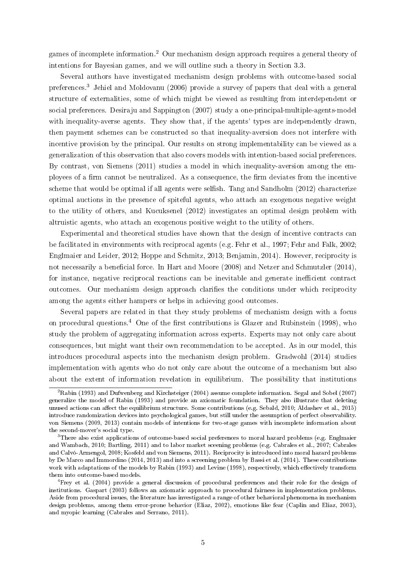games of incomplete information.<sup>2</sup> Our mechanism design approach requires a general theory of intentions for Bayesian games, and we will outline such a theory in Section 3.3.

Several authors have investigated mechanism design problems with outcome-based social preferences.<sup>3</sup> Jehiel and Moldovanu (2006) provide a survey of papers that deal with a general structure of externalities, some of which might be viewed as resulting from interdependent or social preferences. Desiraju and Sappington (2007) study a one-principal-multiple-agents-model with inequality-averse agents. They show that, if the agents' types are independently drawn, then payment schemes can be constructed so that inequality-aversion does not interfere with incentive provision by the principal. Our results on strong implementability can be viewed as a generalization of this observation that also covers models with intention-based social preferences. By contrast, von Siemens (2011) studies a model in which inequality-aversion among the employees of a firm cannot be neutralized. As a consequence, the firm deviates from the incentive scheme that would be optimal if all agents were selfish. Tang and Sandholm (2012) characterize optimal auctions in the presence of spiteful agents, who attach an exogenous negative weight to the utility of others, and Kucuksenel (2012) investigates an optimal design problem with altruistic agents, who attach an exogenous positive weight to the utility of others.

Experimental and theoretical studies have shown that the design of incentive contracts can be facilitated in environments with reciprocal agents (e.g. Fehr et al., 1997; Fehr and Falk, 2002; Englmaier and Leider, 2012; Hoppe and Schmitz, 2013; Benjamin, 2014). However, reciprocity is not necessarily a beneficial force. In Hart and Moore  $(2008)$  and Netzer and Schmutzler  $(2014)$ , for instance, negative reciprocal reactions can be inevitable and generate inefficient contract outcomes. Our mechanism design approach claries the conditions under which reciprocity among the agents either hampers or helps in achieving good outcomes.

Several papers are related in that they study problems of mechanism design with a focus on procedural questions.<sup>4</sup> One of the first contributions is Glazer and Rubinstein (1998), who study the problem of aggregating information across experts. Experts may not only care about consequences, but might want their own recommendation to be accepted. As in our model, this introduces procedural aspects into the mechanism design problem. Gradwohl (2014) studies implementation with agents who do not only care about the outcome of a mechanism but also about the extent of information revelation in equilibrium. The possibility that institutions

 ${}^{2}$ Rabin (1993) and Dufwenberg and Kirchsteiger (2004) assume complete information. Segal and Sobel (2007) generalize the model of Rabin (1993) and provide an axiomatic foundation. They also illustrate that deleting unused actions can affect the equilibrium structure. Some contributions (e.g. Sebald, 2010; Aldashev et al., 2015) introduce randomization devices into psychological games, but still under the assumption of perfect observability. von Siemens (2009, 2013) contain models of intentions for two-stage games with incomplete information about the second-mover's social type.

<sup>&</sup>lt;sup>3</sup>There also exist applications of outcome-based social preferences to moral hazard problems (e.g. Englmaier and Wambach, 2010; Bartling, 2011) and to labor market sceening problems (e.g. Cabrales et al., 2007; Cabrales and Calvó-Armengol, 2008; Kosfeld and von Siemens, 2011). Reciprocity is introduced into moral hazard problems by De Marco and Immordino (2014, 2013) and into a screening problem by Bassi et al. (2014). These contributions work with adaptations of the models by Rabin (1993) and Levine (1998), respectively, which effectively transform them into outcome-based models.

 ${}^{4}$ Frey et al. (2004) provide a general discussion of procedural preferences and their role for the design of institutions. Gaspart (2003) follows an axiomatic approach to procedural fairness in implementation problems. Aside from procedural issues, the literature has investigated a range of other behavioral phenomena in mechanism design problems, among them error-prone behavior (Eliaz, 2002), emotions like fear (Caplin and Eliaz, 2003), and myopic learning (Cabrales and Serrano, 2011).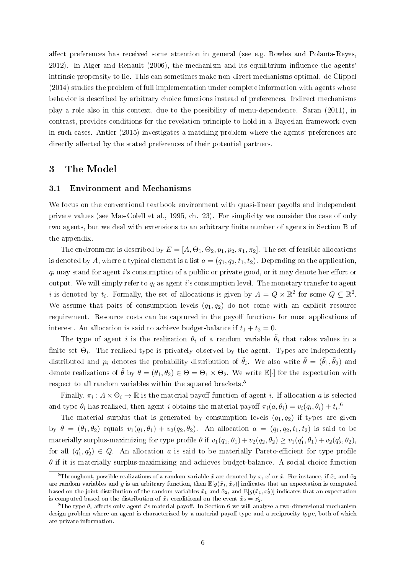affect preferences has received some attention in general (see e.g. Bowles and Polanía-Reyes,  $2012$ ). In Alger and Renault  $(2006)$ , the mechanism and its equilibrium influence the agents intrinsic propensity to lie. This can sometimes make non-direct mechanisms optimal. de Clippel (2014) studies the problem of full implementation under complete information with agents whose behavior is described by arbitrary choice functions instead of preferences. Indirect mechanisms play a role also in this context, due to the possibility of menu-dependence. Saran (2011), in contrast, provides conditions for the revelation principle to hold in a Bayesian framework even in such cases. Antler (2015) investigates a matching problem where the agents' preferences are directly affected by the stated preferences of their potential partners.

## 3 The Model

#### 3.1 Environment and Mechanisms

We focus on the conventional textbook environment with quasi-linear payoffs and independent private values (see Mas-Colell et al., 1995, ch. 23). For simplicity we consider the case of only two agents, but we deal with extensions to an arbitrary finite number of agents in Section B of the appendix.

The environment is described by  $E = [A, \Theta_1, \Theta_2, p_1, p_2, \pi_1, \pi_2]$ . The set of feasible allocations is denoted by A, where a typical element is a list  $a = (q_1, q_2, t_1, t_2)$ . Depending on the application  $q_i$  may stand for agent i's consumption of a public or private good, or it may denote her effort or output. We will simply refer to  $q_i$  as agent i's consumption level. The monetary transfer to agent *i* is denoted by  $t_i$ . Formally, the set of allocations is given by  $A = Q \times \mathbb{R}^2$  for some  $Q \subseteq \mathbb{R}^2$ . We assume that pairs of consumption levels  $(q_1, q_2)$  do not come with an explicit resource requirement. Resource costs can be captured in the payoff functions for most applications of interest. An allocation is said to achieve budget-balance if  $t_1 + t_2 = 0$ .

The type of agent i is the realization  $\theta_i$  of a random variable  $\tilde{\theta}_i$  that takes values in a finite set  $\Theta_i$ . The realized type is privately observed by the agent. Types are independently distributed and  $p_i$  denotes the probability distribution of  $\tilde{\theta}_i$ . We also write  $\tilde{\theta} = (\tilde{\theta}_1, \tilde{\theta}_2)$  and denote realizations of  $\tilde{\theta}$  by  $\theta = (\theta_1, \theta_2) \in \Theta = \Theta_1 \times \Theta_2$ . We write  $\mathbb{E}[\cdot]$  for the expectation with respect to all random variables within the squared brackets.<sup>5</sup>

Finally,  $\pi_i : A \times \Theta_i \to \mathbb{R}$  is the material payoff function of agent *i*. If allocation *a* is selected and type  $\theta_i$  has realized, then agent i obtains the material payoff  $\pi_i(a, \theta_i) = v_i(q_i, \theta_i) + t_i$ .<sup>6</sup>

The material surplus that is generated by consumption levels  $(q_1, q_2)$  if types are given by  $\theta = (\theta_1, \theta_2)$  equals  $v_1(q_1, \theta_1) + v_2(q_2, \theta_2)$ . An allocation  $a = (q_1, q_2, t_1, t_2)$  is said to be materially surplus-maximizing for type profile  $\theta$  if  $v_1(q_1, \theta_1) + v_2(q_2, \theta_2) \ge v_1(q'_1, \theta_1) + v_2(q'_2, \theta_2)$ , for all  $(q'_1, q'_2) \in Q$ . An allocation a is said to be materially Pareto-efficient for type profile  $\theta$  if it is materially surplus-maximizing and achieves budget-balance. A social choice function

 $^5$ Throughout, possible realizations of a random variable  $\tilde x$  are denoted by  $x,$   $x'$  or  $\hat x.$  For instance, if  $\tilde x_1$  and  $\tilde x_2$ are random variables and q is an arbitrary function, then  $\mathbb{E}[q(\tilde{x}_1, \tilde{x}_2)]$  indicates that an expectation is computed based on the joint distribution of the random variables  $\tilde{x}_1$  and  $\tilde{x}_2$ , and  $\mathbb{E}[g(\tilde{x}_1, x_2')]$  indicates that an expectation is computed based on the distribution of  $\tilde{x}_1$  conditional on the event  $\tilde{x}_2 = x_2'$ .

<sup>&</sup>lt;sup>6</sup>The type  $\theta_i$  affects only agent i's material payoff. In Section 6 we will analyse a two-dimensional mechanism design problem where an agent is characterized by a material payoff type and a reciprocity type, both of which are private information.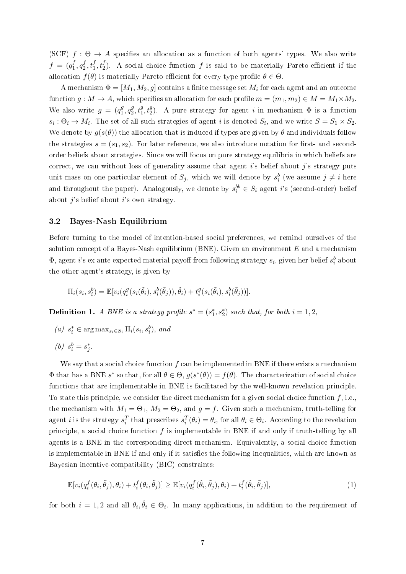(SCF)  $f : \Theta \to A$  specifies an allocation as a function of both agents' types. We also write  $f = (q_1^f)$  $f_1^f, q_2^f$  $x_2^f, t_1^f, t_2^f$ ). A social choice function  $f$  is said to be materially Pareto-efficient if the allocation  $f(\theta)$  is materially Pareto-efficient for every type profile  $\theta \in \Theta$ .

A mechanism  $\Phi = [M_1, M_2, g]$  contains a finite message set  $M_i$  for each agent and an outcome function  $g: M \to A$ , which specifies an allocation for each profile  $m = (m_1, m_2) \in M = M_1 \times M_2$ . We also write  $g = (q_1^g)$  $^{g}_{1}, q^{g}_{2}$  $2^g, t_1^g, t_2^g$ ). A pure strategy for agent *i* in mechanism  $\Phi$  is a function  $s_i: \Theta_i \to M_i$ . The set of all such strategies of agent i is denoted  $S_i$ , and we write  $S = S_1 \times S_2$ . We denote by  $g(s(\theta))$  the allocation that is induced if types are given by  $\theta$  and individuals follow the strategies  $s = (s_1, s_2)$ . For later reference, we also introduce notation for first- and secondorder beliefs about strategies. Since we will focus on pure strategy equilibria in which beliefs are correct, we can without loss of generality assume that agent is belief about j's strategy puts unit mass on one particular element of  $S_j$ , which we will denote by  $s_i^b$  (we assume  $j \neq i$  here and throughout the paper). Analogously, we denote by  $s_i^{bb} \in S_i$  agent i's (second-order) belief about  $j$ 's belief about  $i$ 's own strategy.

#### 3.2 Bayes-Nash Equilibrium

Before turning to the model of intention-based social preferences, we remind ourselves of the solution concept of a Bayes-Nash equilibrium  $(BNE)$ . Given an environment E and a mechanism  $\Phi$ , agent  $i$ 's ex ante expected material payoff from following strategy  $s_i$ , given her belief  $s_i^b$  about the other agent's strategy, is given by

$$
\Pi_i(s_i, s_i^b) = \mathbb{E}[v_i(q_i^g(s_i(\tilde{\theta}_i), s_i^b(\tilde{\theta}_j)), \tilde{\theta}_i) + t_i^g(s_i(\tilde{\theta}_i), s_i^b(\tilde{\theta}_j))].
$$

**Definition 1.** A BNE is a strategy profile  $s^* = (s_1^*, s_2^*)$  such that, for both  $i = 1, 2,$ 

(a)  $s_i^* \in \arg \max_{s_i \in S_i} \Pi_i(s_i, s_i^b)$ , and

$$
(b) s_i^b = s_j^*.
$$

We say that a social choice function  $f$  can be implemented in BNE if there exists a mechanism  $\Phi$  that has a BNE  $s^*$  so that, for all  $\theta \in \Theta$ ,  $g(s^*(\theta)) = f(\theta)$ . The characterization of social choice functions that are implementable in BNE is facilitated by the well-known revelation principle. To state this principle, we consider the direct mechanism for a given social choice function  $f$ , i.e., the mechanism with  $M_1 = \Theta_1$ ,  $M_2 = \Theta_2$ , and  $g = f$ . Given such a mechanism, truth-telling for agent *i* is the strategy  $s_i^T$  that prescribes  $s_i^T(\theta_i) = \theta_i$ , for all  $\theta_i \in \Theta_i$ . According to the revelation principle, a social choice function  $f$  is implementable in BNE if and only if truth-telling by all agents is a BNE in the corresponding direct mechanism. Equivalently, a social choice function is implementable in BNE if and only if it satisfies the following inequalities, which are known as Bayesian incentive-compatibility (BIC) constraints:

$$
\mathbb{E}[v_i(q_i^f(\theta_i, \tilde{\theta}_j), \theta_i) + t_i^f(\theta_i, \tilde{\theta}_j)] \ge \mathbb{E}[v_i(q_i^f(\hat{\theta}_i, \tilde{\theta}_j), \theta_i) + t_i^f(\hat{\theta}_i, \tilde{\theta}_j)],\tag{1}
$$

for both  $i=1,2$  and all  $\theta_i, \hat{\theta}_i \in \Theta_i$ . In many applications, in addition to the requirement of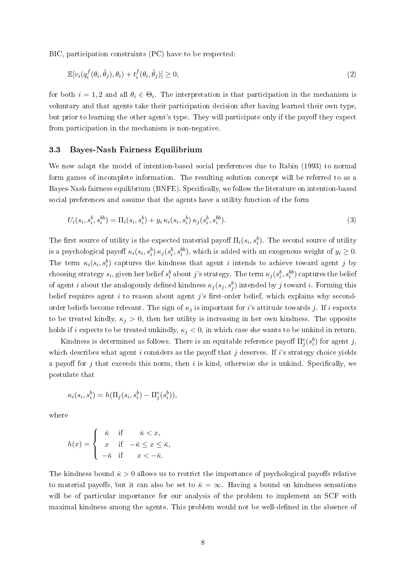BIC, participation constraints (PC) have to be respected:

$$
\mathbb{E}[v_i(q_i^f(\theta_i, \tilde{\theta}_j), \theta_i) + t_i^f(\theta_i, \tilde{\theta}_j)] \ge 0,
$$
\n(2)

for both  $i = 1, 2$  and all  $\theta_i \in \Theta_i$ . The interpretation is that participation in the mechanism is voluntary and that agents take their participation decision after having learned their own type, but prior to learning the other agent's type. They will participate only if the payoff they expect from participation in the mechanism is non-negative.

#### 3.3 Bayes-Nash Fairness Equilibrium

We now adapt the model of intention-based social preferences due to Rabin (1993) to normal form games of incomplete information. The resulting solution concept will be referred to as a Bayes-Nash fairness equilibrium (BNFE). Specifically, we follow the literature on intention-based social preferences and assume that the agents have a utility function of the form

$$
U_i(s_i, s_i^b, s_i^{bb}) = \Pi_i(s_i, s_i^b) + y_i \kappa_i(s_i, s_i^b) \kappa_j(s_i^b, s_i^{bb}).
$$
\n(3)

The first source of utility is the expected material payoff  $\Pi_i(s_i, s_i^b)$ . The second source of utility is a psychological payoff  $\kappa_i(s_i, s_i^b) \kappa_j(s_i^b, s_i^{bb})$ , which is added with an exogenous weight of  $y_i \ge 0$ . The term  $\kappa_i(s_i, s_i^b)$  captures the kindness that agent i intends to achieve toward agent j by choosing strategy  $s_i,$  given her belief  $s_i^b$  about  $j$ 's strategy. The term  $\kappa_j(s_i^b,s_i^{bb})$  captures the belief of agent *i* about the analogously defined kindness  $\kappa_j(s_j, s_j^b)$  intended by *j* toward *i*. Forming this belief requires agent  $i$  to reason about agent  $j$ 's first-order belief, which explains why secondorder beliefs become relevant. The sign of  $\kappa_j$  is important for i's attitude towards j. If i expects to be treated kindly,  $\kappa_j > 0$ , then her utility is increasing in her own kindness. The opposite holds if i expects to be treated unkindly,  $\kappa_j < 0$ , in which case she wants to be unkind in return.

Kindness is determined as follows. There is an equitable reference payoff  $\Pi_j^e(s_i^b)$  for agent  $j,$ which describes what agent  $i$  considers as the payoff that  $j$  deserves. If  $i$ 's strategy choice yields a payoff for j that exceeds this norm, then i is kind, otherwise she is unkind. Specifically, we postulate that

$$
\kappa_i(s_i, s_i^b) = h(\Pi_j(s_i, s_i^b) - \Pi_j^e(s_i^b)),
$$

where

$$
h(x) = \begin{cases} \bar{\kappa} & \text{if } \bar{\kappa} < x, \\ x & \text{if } -\bar{\kappa} \le x \le \bar{\kappa}, \\ -\bar{\kappa} & \text{if } x < -\bar{\kappa}. \end{cases}
$$

The kindness bound  $\bar{\kappa} > 0$  allows us to restrict the importance of psychological payoffs relative to material payoffs, but it can also be set to  $\bar{\kappa} = \infty$ . Having a bound on kindness sensations will be of particular importance for our analysis of the problem to implement an SCF with maximal kindness among the agents. This problem would not be well-dened in the absence of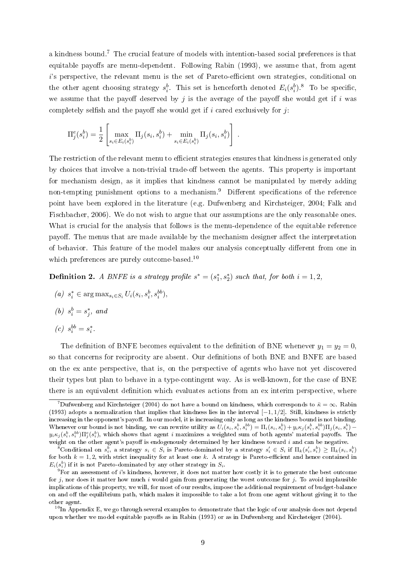a kindness bound.<sup>7</sup> The crucial feature of models with intention-based social preferences is that equitable payoffs are menu-dependent. Following Rabin (1993), we assume that, from agent  $i$ 's perspective, the relevant menu is the set of Pareto-efficient own strategies, conditional on the other agent choosing strategy  $s_i^b$ . This set is henceforth denoted  $E_i(s_i^b)^{8}$ . To be specific, we assume that the payoff deserved by j is the average of the payoff she would get if i was completely selfish and the payoff she would get if i cared exclusively for  $j$ :

$$
\Pi_j^e(s_i^b) = \frac{1}{2} \left[ \max_{s_i \in E_i(s_i^b)} \Pi_j(s_i, s_i^b) + \min_{s_i \in E_i(s_i^b)} \Pi_j(s_i, s_i^b) \right].
$$

The restriction of the relevant menu to efficient strategies ensures that kindness is generated only by choices that involve a non-trivial trade-off between the agents. This property is important for mechanism design, as it implies that kindness cannot be manipulated by merely adding non-tempting punishment options to a mechanism.<sup>9</sup> Different specifications of the reference point have been explored in the literature (e.g. Dufwenberg and Kirchsteiger, 2004; Falk and Fischbacher, 2006). We do not wish to argue that our assumptions are the only reasonable ones. What is crucial for the analysis that follows is the menu-dependence of the equitable reference payoff. The menus that are made available by the mechanism designer affect the interpretation of behavior. This feature of the model makes our analysis conceptually different from one in which preferences are purely outcome-based.<sup>10</sup>

**Definition 2.** A BNFE is a strategy profile  $s^* = (s_1^*, s_2^*)$  such that, for both  $i = 1, 2,$ 

- (a)  $s_i^* \in \arg \max_{s_i \in S_i} U_i(s_i, s_i^b, s_i^{bb}),$
- (b)  $s_i^b = s_j^*$ , and

$$
(c)\;\; s_i^{bb}=s_i^*.
$$

The definition of BNFE becomes equivalent to the definition of BNE whenever  $y_1 = y_2 = 0$ , so that concerns for reciprocity are absent. Our definitions of both BNE and BNFE are based on the ex ante perspective, that is, on the perspective of agents who have not yet discovered their types but plan to behave in a type-contingent way. As is well-known, for the case of BNE there is an equivalent definition which evaluates actions from an ex interim perspective, where

<sup>&</sup>lt;sup>7</sup>Dufwenberg and Kirchsteiger (2004) do not have a bound on kindness, which corresponds to  $\bar{\kappa} = \infty$ . Rabin (1993) adopts a normalization that implies that kindness lies in the interval [−1, 1/2]. Still, kindness is strictly increasing in the opponent's payoff. In our model, it is increasing only as long as the kindness bound is not binding. Whenever our bound is not binding, we can rewrite utility as  $U_i(s_i,s_i^b,s_i^{bb}) = \Pi_i(s_i,s_i^b) + y_i\kappa_j(s_i^b,s_i^{bb})\Pi_j(s_i,s_i^b)$  $y_i\kappa_j(s_i^b,s_i^{bb})\Pi_j^e(s_i^b),$  which shows that agent  $i$  maximizes a weighted sum of both agents' material payoffs. The weight on the other agent's payoff is endogenously determined by her kindness toward  $i$  and can be negative.

 $\overline{S}$ Conditional on  $s_i^b$ , a strategy  $s_i \in S_i$  is Pareto-dominated by a strategy  $s_i' \in S_i$  if  $\Pi_k(s_i', s_i^b) \geq \overline{\Pi}_k(s_i, s_i^b)$ for both  $k = 1, 2$ , with strict inequality for at least one k. A strategy is Pareto-efficient and hence contained in  $E_i(s_i^b)$  if it is not Pareto-dominated by any other strategy in  $S_i$ .

 $9$ For an assessment of i's kindness, however, it does not matter how costly it is to generate the best outcome for  $j$ , nor does it matter how much i would gain from generating the worst outcome for  $j$ . To avoid implausible implications of this property, we will, for most of our results, impose the additional requirement of budget-balance on and off the equilibrium path, which makes it impossible to take a lot from one agent without giving it to the other agent.

 $^{10}$ In Appendix E, we go through several examples to demonstrate that the logic of our analysis does not depend upon whether we model equitable payoffs as in Rabin (1993) or as in Dufwenberg and Kirchsteiger (2004).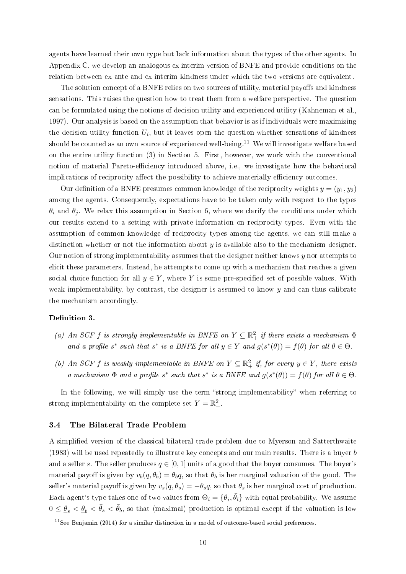agents have learned their own type but lack information about the types of the other agents. In Appendix C, we develop an analogous ex interim version of BNFE and provide conditions on the relation between ex ante and ex interim kindness under which the two versions are equivalent.

The solution concept of a BNFE relies on two sources of utility, material payoffs and kindness sensations. This raises the question how to treat them from a welfare perspective. The question can be formulated using the notions of decision utility and experienced utility (Kahneman et al., 1997). Our analysis is based on the assumption that behavior is as if individuals were maximizing the decision utility function  $U_i$ , but it leaves open the question whether sensations of kindness should be counted as an own source of experienced well-being.<sup>11</sup> We will investigate welfare based on the entire utility function (3) in Section 5. First, however, we work with the conventional notion of material Pareto-efficiency introduced above, i.e., we investigate how the behavioral implications of reciprocity affect the possibility to achieve materially efficiency outcomes.

Our definition of a BNFE presumes common knowledge of the reciprocity weights  $y = (y_1, y_2)$ among the agents. Consequently, expectations have to be taken only with respect to the types  $\theta_i$  and  $\theta_j$ . We relax this assumption in Section 6, where we clarify the conditions under which our results extend to a setting with private information on reciprocity types. Even with the assumption of common knowledge of reciprocity types among the agents, we can still make a distinction whether or not the information about  $y$  is available also to the mechanism designer. Our notion of strong implementability assumes that the designer neither knows  $\eta$  nor attempts to elicit these parameters. Instead, he attempts to come up with a mechanism that reaches a given social choice function for all  $y \in Y$ , where Y is some pre-specified set of possible values. With weak implementability, by contrast, the designer is assumed to know  $y$  and can thus calibrate the mechanism accordingly.

#### Definition 3.

- (a) An SCF f is strongly implementable in BNFE on  $Y \subseteq \mathbb{R}^2_+$  if there exists a mechanism  $\Phi$ and a profile s<sup>\*</sup> such that s<sup>\*</sup> is a BNFE for all  $y \in Y$  and  $g(s^*(\theta)) = f(\theta)$  for all  $\theta \in \Theta$ .
- (b) An SCF f is weakly implementable in BNFE on  $Y \subseteq \mathbb{R}^2_+$  if, for every  $y \in Y$ , there exists a mechanism  $\Phi$  and a profile s<sup>\*</sup> such that s<sup>\*</sup> is a BNFE and  $g(s^*(\theta)) = f(\theta)$  for all  $\theta \in \Theta$ .

In the following, we will simply use the term "strong implementability" when referring to strong implementability on the complete set  $Y = \mathbb{R}^2_+$ .

#### 3.4 The Bilateral Trade Problem

A simplied version of the classical bilateral trade problem due to Myerson and Satterthwaite (1983) will be used repeatedly to illustrate key concepts and our main results. There is a buyer b and a seller s. The seller produces  $q \in [0, 1]$  units of a good that the buyer consumes. The buyer's material payoff is given by  $v_b(q, \theta_b) = \theta_b q$ , so that  $\theta_b$  is her marginal valuation of the good. The seller's material payoff is given by  $v_s(q, \theta_s) = -\theta_s q$ , so that  $\theta_s$  is her marginal cost of production. Each agent's type takes one of two values from  $\Theta_i = \{\underline{\theta}_i, \bar{\theta}_i\}$  with equal probability. We assume  $0 \leq \underline{\theta}_s < \underline{\theta}_b < \bar{\theta}_s < \bar{\theta}_b$ , so that (maximal) production is optimal except if the valuation is low

 $11$ See Benjamin (2014) for a similar distinction in a model of outcome-based social preferences.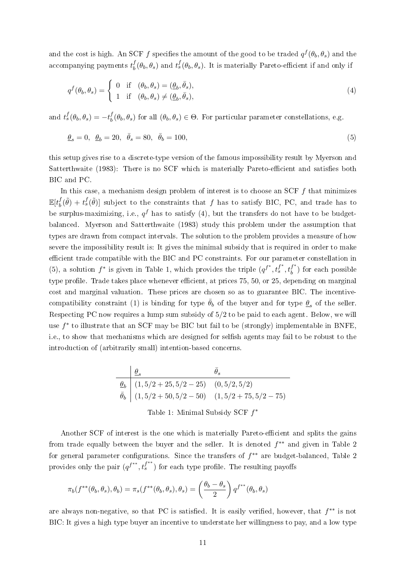and the cost is high. An SCF  $f$  specifies the amount of the good to be traded  $q^f(\theta_b, \theta_s)$  and the accompanying payments  $t_h^f$  ${}_{b}^{f}(\theta_{b},\theta_{s})$  and  $t_{s}^{f}(\theta_{b},\theta_{s})$ . It is materially Pareto-efficient if and only if

$$
q^{f}(\theta_b, \theta_s) = \begin{cases} 0 & \text{if } (\theta_b, \theta_s) = (\underline{\theta}_b, \overline{\theta}_s), \\ 1 & \text{if } (\theta_b, \theta_s) \neq (\underline{\theta}_b, \overline{\theta}_s), \end{cases}
$$
(4)

and  $t_s^f(\theta_b, \theta_s) = -t_b^f$  $\theta_b^J(\theta_b, \theta_s)$  for all  $(\theta_b, \theta_s) \in \Theta$ . For particular parameter constellations, e.g.

$$
\underline{\theta}_s = 0, \ \ \underline{\theta}_b = 20, \ \ \bar{\theta}_s = 80, \ \ \bar{\theta}_b = 100,\tag{5}
$$

this setup gives rise to a discrete-type version of the famous impossibility result by Myerson and Satterthwaite (1983): There is no SCF which is materially Pareto-efficient and satisfies both BIC and PC.

In this case, a mechanism design problem of interest is to choose an SCF  $f$  that minimizes  $\mathbb{E}[t_h^f$  $\partial_b^f(\tilde{\theta}) + t_s^f(\tilde{\theta})$  subject to the constraints that f has to satisfy BIC, PC, and trade has to be surplus-maximizing, i.e.,  $q^f$  has to satisfy (4), but the transfers do not have to be budgetbalanced. Myerson and Satterthwaite (1983) study this problem under the assumption that types are drawn from compact intervals. The solution to the problem provides a measure of how severe the impossibility result is: It gives the minimal subsidy that is required in order to make efficient trade compatible with the BIC and PC constraints. For our parameter constellation in (5), a solution  $f^*$  is given in Table 1, which provides the triple  $(q^{f^*}, t_s^{f^*}, t_b^{f^*})$  $\binom{J}{b}$  for each possible type profile. Trade takes place whenever efficient, at prices 75, 50, or 25, depending on marginal cost and marginal valuation. These prices are chosen so as to guarantee BIC. The incentivecompatibility constraint (1) is binding for type  $\bar{\theta}_b$  of the buyer and for type  $\theta_s$  of the seller. Respecting PC now requires a lump sum subsidy of 5/2 to be paid to each agent. Below, we will use  $f^*$  to illustrate that an SCF may be BIC but fail to be (strongly) implementable in BNFE, i.e., to show that mechanisms which are designed for selfish agents may fail to be robust to the introduction of (arbitrarily small) intention-based concerns.

$$
\begin{array}{c|cc}\n\theta_s & \bar{\theta}_s \\
\hline\n\theta_b & (1, 5/2 + 25, 5/2 - 25) & (0, 5/2, 5/2) \\
\bar{\theta}_b & (1, 5/2 + 50, 5/2 - 50) & (1, 5/2 + 75, 5/2 - 75) \\
\end{array}
$$
\nTable 1: Minimal Subsidy SCF  $f^*$ 

Another SCF of interest is the one which is materially Pareto-efficient and splits the gains from trade equally between the buyer and the seller. It is denoted  $f^{**}$  and given in Table 2 for general parameter configurations. Since the transfers of  $f^{**}$  are budget-balanced, Table 2 provides only the pair  $(q^{f^{**}}, t^{f^{**}}_s)$  for each type profile. The resulting payoffs

$$
\pi_b(f^{**}(\theta_b, \theta_s), \theta_b) = \pi_s(f^{**}(\theta_b, \theta_s), \theta_s) = \left(\frac{\theta_b - \theta_s}{2}\right) q^{f^{**}}(\theta_b, \theta_s)
$$

are always non-negative, so that PC is satisfied. It is easily verified, however, that  $f^{**}$  is not BIC: It gives a high type buyer an incentive to understate her willingness to pay, and a low type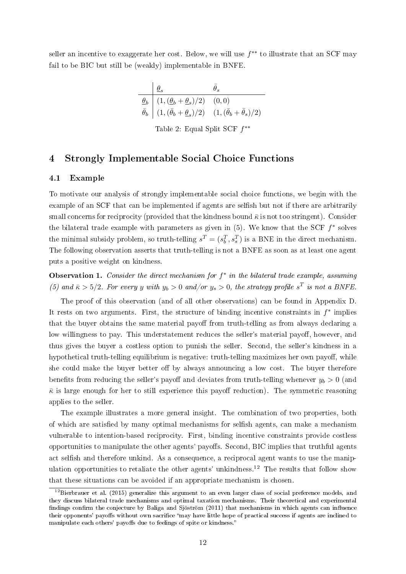seller an incentive to exaggerate her cost. Below, we will use  $f^{**}$  to illustrate that an SCF may fail to be BIC but still be (weakly) implementable in BNFE.

$$
\begin{array}{c|cc}\n & \underline{\theta}_s & \bar{\theta}_s \\
\hline\n\underline{\theta}_b & (1, (\underline{\theta}_b + \underline{\theta}_s)/2) & (0,0) \\
\hline\n\bar{\theta}_b & (1, (\bar{\theta}_b + \underline{\theta}_s)/2) & (1, (\bar{\theta}_b + \bar{\theta}_s)/2)\n\end{array}
$$

Table 2: Equal Split SCF  $f^{**}$ 

## 4 Strongly Implementable Social Choice Functions

#### 4.1 Example

To motivate our analysis of strongly implementable social choice functions, we begin with the example of an SCF that can be implemented if agents are selfish but not if there are arbitrarily small concerns for reciprocity (provided that the kindness bound  $\bar{\kappa}$  is not too stringent). Consider the bilateral trade example with parameters as given in  $(5)$ . We know that the SCF  $f^*$  solves the minimal subsidy problem, so truth-telling  $s^T = (s_b^T, s_s^T)$  is a BNE in the direct mechanism. The following observation asserts that truth-telling is not a BNFE as soon as at least one agent puts a positive weight on kindness.

Observation 1. Consider the direct mechanism for  $f^*$  in the bilateral trade example, assuming (5) and  $\bar{\kappa} > 5/2$ . For every y with  $y_b > 0$  and/or  $y_s > 0$ , the strategy profile  $s^T$  is not a BNFE.

The proof of this observation (and of all other observations) can be found in Appendix D. It rests on two arguments. First, the structure of binding incentive constraints in  $f^*$  implies that the buyer obtains the same material payoff from truth-telling as from always declaring a low willingness to pay. This understatement reduces the seller's material payoff, however, and thus gives the buyer a costless option to punish the seller. Second, the seller's kindness in a hypothetical truth-telling equilibrium is negative: truth-telling maximizes her own payoff, while she could make the buyer better off by always announcing a low cost. The buyer therefore benefits from reducing the seller's payoff and deviates from truth-telling whenever  $y_b > 0$  (and  $\bar{\kappa}$  is large enough for her to still experience this payoff reduction). The symmetric reasoning applies to the seller.

The example illustrates a more general insight. The combination of two properties, both of which are satisfied by many optimal mechanisms for selfish agents, can make a mechanism vulnerable to intention-based reciprocity. First, binding incentive constraints provide costless opportunities to manipulate the other agents' payoffs. Second, BIC implies that truthful agents act selfish and therefore unkind. As a consequence, a reciprocal agent wants to use the manipulation opportunities to retaliate the other agents' unkindness.<sup>12</sup> The results that follow show that these situations can be avoided if an appropriate mechanism is chosen.

<sup>&</sup>lt;sup>12</sup>Bierbrauer et al. (2015) generalize this argument to an even larger class of social preference models, and they discuss bilateral trade mechanisms and optimal taxation mechanisms. Their theoretical and experimental findings confirm the conjecture by Baliga and Sjöström (2011) that mechanisms in which agents can influence their opponents' payoffs without own sacrifice "may have little hope of practical success if agents are inclined to manipulate each others' payoffs due to feelings of spite or kindness."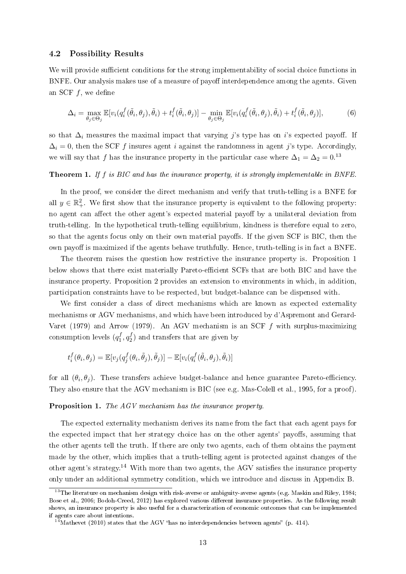#### 4.2 Possibility Results

We will provide sufficient conditions for the strong implementability of social choice functions in BNFE. Our analysis makes use of a measure of payoff interdependence among the agents. Given an SCF  $f$ , we define

$$
\Delta_i = \max_{\theta_j \in \Theta_j} \mathbb{E}[v_i(q_i^f(\tilde{\theta}_i, \theta_j), \tilde{\theta}_i) + t_i^f(\tilde{\theta}_i, \theta_j)] - \min_{\theta_j \in \Theta_j} \mathbb{E}[v_i(q_i^f(\tilde{\theta}_i, \theta_j), \tilde{\theta}_i) + t_i^f(\tilde{\theta}_i, \theta_j)],\tag{6}
$$

so that  $\Delta_i$  measures the maximal impact that varying j's type has on i's expected payoff. If  $\Delta_i = 0$ , then the SCF f insures agent i against the randomness in agent j's type. Accordingly, we will say that f has the insurance property in the particular case where  $\Delta_1 = \Delta_2 = 0.13$ 

#### Theorem 1. If f is BIC and has the insurance property, it is strongly implementable in BNFE.

In the proof, we consider the direct mechanism and verify that truth-telling is a BNFE for all  $y \in \mathbb{R}^2_+$ . We first show that the insurance property is equivalent to the following property: no agent can affect the other agent's expected material payoff by a unilateral deviation from truth-telling. In the hypothetical truth-telling equilibrium, kindness is therefore equal to zero, so that the agents focus only on their own material payoffs. If the given SCF is BIC, then the own payoff is maximized if the agents behave truthfully. Hence, truth-telling is in fact a BNFE

The theorem raises the question how restrictive the insurance property is. Proposition 1 below shows that there exist materially Pareto-efficient SCFs that are both BIC and have the insurance property. Proposition 2 provides an extension to environments in which, in addition, participation constraints have to be respected, but budget-balance can be dispensed with.

We first consider a class of direct mechanisms which are known as expected externality mechanisms or AGV mechanisms, and which have been introduced by d'Aspremont and Gerard-Varet (1979) and Arrow (1979). An AGV mechanism is an SCF  $f$  with surplus-maximizing consumption levels  $(q_1^f)$  $f_1^f, q_2^f$  $\binom{J}{2}$  and transfers that are given by

$$
t_i^f(\theta_i, \theta_j) = \mathbb{E}[v_j(q_j^f(\theta_i, \tilde{\theta}_j), \tilde{\theta}_j)] - \mathbb{E}[v_i(q_i^f(\tilde{\theta}_i, \theta_j), \tilde{\theta}_i)]
$$

for all  $(\theta_i, \theta_j)$ . These transfers achieve budget-balance and hence guarantee Pareto-efficiency. They also ensure that the AGV mechanism is BIC (see e.g. Mas-Colell et al., 1995, for a proof).

Proposition 1. The AGV mechanism has the insurance property.

The expected externality mechanism derives its name from the fact that each agent pays for the expected impact that her strategy choice has on the other agents' payoffs, assuming that the other agents tell the truth. If there are only two agents, each of them obtains the payment made by the other, which implies that a truth-telling agent is protected against changes of the other agent's strategy.<sup>14</sup> With more than two agents, the AGV satisfies the insurance property only under an additional symmetry condition, which we introduce and discuss in Appendix B.

 $13$ The literature on mechanism design with risk-averse or ambiguity-averse agents (e.g. Maskin and Riley, 1984; Bose et al., 2006; Bodoh-Creed, 2012) has explored various different insurance properties. As the following result shows, an insurance property is also useful for a characterization of economic outcomes that can be implemented if agents care about intentions.

 $14$ Mathevet (2010) states that the AGV "has no interdependencies between agents" (p. 414).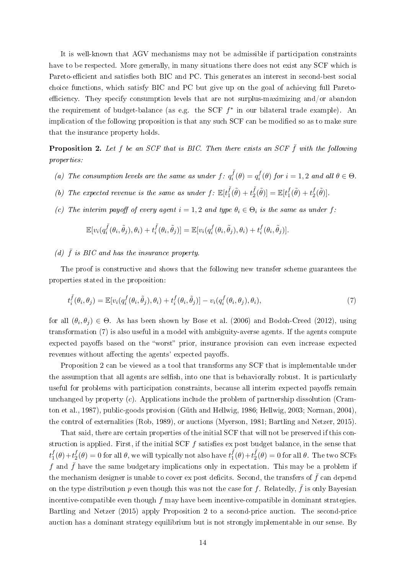It is well-known that AGV mechanisms may not be admissible if participation constraints have to be respected. More generally, in many situations there does not exist any SCF which is Pareto-efficient and satisfies both BIC and PC. This generates an interest in second-best social choice functions, which satisfy BIC and PC but give up on the goal of achieving full Paretoefficiency. They specify consumption levels that are not surplus-maximizing and/or abandon the requirement of budget-balance (as e.g. the SCF  $f^*$  in our bilateral trade example). An implication of the following proposition is that any such SCF can be modified so as to make sure that the insurance property holds.

**Proposition 2.** Let f be an SCF that is BIC. Then there exists an SCF  $\bar{f}$  with the following properties:

- (a) The consumption levels are the same as under  $f: q_i^{\bar{f}}$  $q_i^f(\theta) = q_i^f$  $i_i^J(\theta)$  for  $i = 1, 2$  and all  $\theta \in \Theta$ .
- (b) The expected revenue is the same as under  $f: \mathbb{E}[t_1^{\overline{f}}]$  $t_1^{\bar f}(\tilde\theta)+t_2^{\bar f}$  $\mathcal{L}^f_2(\tilde{\theta})] = \mathbb{E}[t_1^f]$  $t_1^f(\tilde{\theta})+t_2^f$  $_{2}^{f}(\tilde{\theta})]$ .
- (c) The interim payoff of every agent  $i = 1, 2$  and type  $\theta_i \in \Theta_i$  is the same as under f:

$$
\mathbb{E}[v_i(q_i^{\bar{f}}(\theta_i,\tilde{\theta}_j),\theta_i)+t_i^{\bar{f}}(\theta_i,\tilde{\theta}_j)]=\mathbb{E}[v_i(q_i^f(\theta_i,\tilde{\theta}_j),\theta_i)+t_i^f(\theta_i,\tilde{\theta}_j)].
$$

## (d)  $\bar{f}$  is BIC and has the insurance property.

The proof is constructive and shows that the following new transfer scheme guarantees the properties stated in the proposition:

$$
t_i^{\bar{f}}(\theta_i, \theta_j) = \mathbb{E}[v_i(q_i^f(\theta_i, \tilde{\theta}_j), \theta_i) + t_i^f(\theta_i, \tilde{\theta}_j)] - v_i(q_i^f(\theta_i, \theta_j), \theta_i), \tag{7}
$$

for all  $(\theta_i, \theta_j) \in \Theta$ . As has been shown by Bose et al. (2006) and Bodoh-Creed (2012), using transformation (7) is also useful in a model with ambiguity-averse agents. If the agents compute expected payoffs based on the "worst" prior, insurance provision can even increase expected revenues without affecting the agents' expected payoffs.

Proposition 2 can be viewed as a tool that transforms any SCF that is implementable under the assumption that all agents are selfish, into one that is behaviorally robust. It is particularly useful for problems with participation constraints, because all interim expected payoffs remain unchanged by property  $(c)$ . Applications include the problem of partnership dissolution (Cramton et al., 1987), public-goods provision (Güth and Hellwig, 1986; Hellwig, 2003; Norman, 2004), the control of externalities (Rob, 1989), or auctions (Myerson, 1981; Bartling and Netzer, 2015).

That said, there are certain properties of the initial SCF that will not be preserved if this construction is applied. First, if the initial SCF  $f$  satisfies ex post budget balance, in the sense that  $t_1^f$  $f_1^f(\theta)+t_2^f$  $\sigma_2^f(\theta)=0$  for all  $\theta,$  we will typically not also have  $t_1^{\bar f}$  $(\frac{\bar{f}}{1}(\theta)+t_2^{\bar{f}})$  $_2^J(\theta) = 0$  for all  $\theta$ . The two SCFs f and  $\bar{f}$  have the same budgetary implications only in expectation. This may be a problem if the mechanism designer is unable to cover ex post deficits. Second, the transfers of  $\bar{f}$  can depend on the type distribution p even though this was not the case for f. Relatedly,  $\bar{f}$  is only Bayesian incentive-compatible even though  $f$  may have been incentive-compatible in dominant strategies. Bartling and Netzer (2015) apply Proposition 2 to a second-price auction. The second-price auction has a dominant strategy equilibrium but is not strongly implementable in our sense. By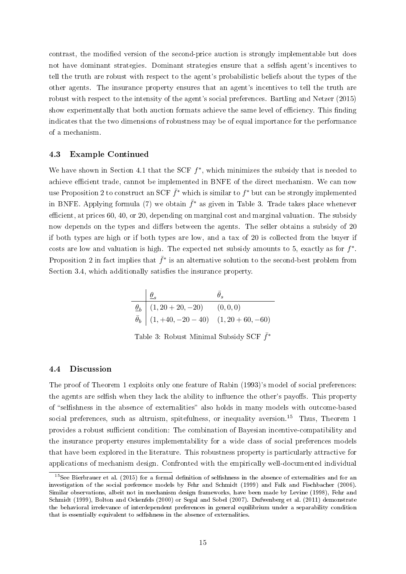contrast, the modied version of the second-price auction is strongly implementable but does not have dominant strategies. Dominant strategies ensure that a selfish agent's incentives to tell the truth are robust with respect to the agent's probabilistic beliefs about the types of the other agents. The insurance property ensures that an agent's incentives to tell the truth are robust with respect to the intensity of the agent's social preferences. Bartling and Netzer (2015) show experimentally that both auction formats achieve the same level of efficiency. This finding indicates that the two dimensions of robustness may be of equal importance for the performance of a mechanism.

#### 4.3 Example Continued

We have shown in Section 4.1 that the SCF  $f^*$ , which minimizes the subsidy that is needed to achieve efficient trade, cannot be implemented in BNFE of the direct mechanism. We can now use Proposition 2 to construct an SCF  $\bar{f}^*$  which is similar to  $f^*$  but can be strongly implemented in BNFE. Applying formula (7) we obtain  $\bar{f}^*$  as given in Table 3. Trade takes place whenever efficient, at prices 60, 40, or 20, depending on marginal cost and marginal valuation. The subsidy now depends on the types and differs between the agents. The seller obtains a subsidy of 20 if both types are high or if both types are low, and a tax of 20 is collected from the buyer if costs are low and valuation is high. The expected net subsidy amounts to 5, exactly as for  $f^*$ . Proposition 2 in fact implies that  $\bar{f}^*$  is an alternative solution to the second-best problem from Section 3.4, which additionally satisfies the insurance property.

$$
\begin{array}{c|cc}\n & \underline{\theta}_s & \bar{\theta}_s \\
\hline\n\underline{\theta}_b & (1, 20 + 20, -20) & (0, 0, 0) \\
\hline\n\bar{\theta}_b & (1, +40, -20 - 40) & (1, 20 + 60, -60)\n\end{array}
$$

Table 3: Robust Minimal Subsidy SCF  $\bar{f}^*$ 

#### 4.4 Discussion

The proof of Theorem 1 exploits only one feature of Rabin (1993)'s model of social preferences: the agents are selfish when they lack the ability to influence the other's payoffs. This property of "selfishness in the absence of externalities" also holds in many models with outcome-based social preferences, such as altruism, spitefulness, or inequality aversion.<sup>15</sup> Thus, Theorem 1 provides a robust sufficient condition: The combination of Bayesian incentive-compatibility and the insurance property ensures implementability for a wide class of social preferences models that have been explored in the literature. This robustness property is particularly attractive for applications of mechanism design. Confronted with the empirically well-documented individual

 $15$ See Bierbrauer et al. (2015) for a formal definition of selfishness in the absence of externalities and for an investigation of the social preference models by Fehr and Schmidt (1999) and Falk and Fischbacher (2006). Similar observations, albeit not in mechanism design frameworks, have been made by Levine (1998), Fehr and Schmidt (1999), Bolton and Ockenfels (2000) or Segal and Sobel (2007). Dufwenberg et al. (2011) demonstrate the behavioral irrelevance of interdependent preferences in general equilibrium under a separability condition that is essentially equivalent to selfishness in the absence of externalities.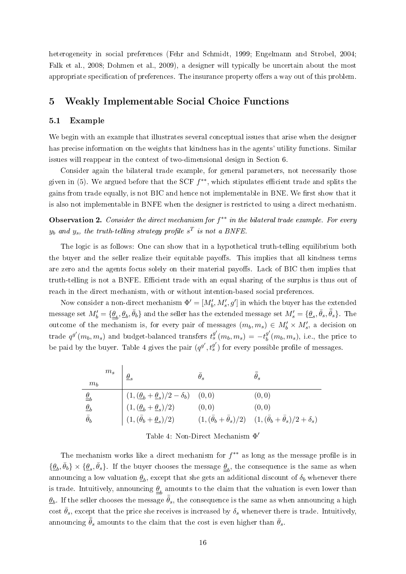heterogeneity in social preferences (Fehr and Schmidt, 1999; Engelmann and Strobel, 2004; Falk et al., 2008; Dohmen et al., 2009), a designer will typically be uncertain about the most appropriate specification of preferences. The insurance property offers a way out of this problem.

## 5 Weakly Implementable Social Choice Functions

#### 5.1 Example

We begin with an example that illustrates several conceptual issues that arise when the designer has precise information on the weights that kindness has in the agents' utility functions. Similar issues will reappear in the context of two-dimensional design in Section 6.

Consider again the bilateral trade example, for general parameters, not necessarily those given in (5). We argued before that the SCF  $f^{**}$ , which stipulates efficient trade and splits the gains from trade equally, is not BIC and hence not implementable in BNE. We first show that it is also not implementable in BNFE when the designer is restricted to using a direct mechanism.

**Observation 2.** Consider the direct mechanism for  $f^{**}$  in the bilateral trade example. For every  $y_b$  and  $y_s$ , the truth-telling strategy profile  $s^T$  is not a BNFE.

The logic is as follows: One can show that in a hypothetical truth-telling equilibrium both the buyer and the seller realize their equitable payoffs. This implies that all kindness terms are zero and the agents focus solely on their material payoffs. Lack of BIC then implies that truth-telling is not a BNFE. Efficient trade with an equal sharing of the surplus is thus out of reach in the direct mechanism, with or without intention-based social preferences.

Now consider a non-direct mechanism  $\Phi' = [M'_b, M'_s, g']$  in which the buyer has the extended message set  $M_b'=\{\underline{\theta}_b,\bar{\theta}_b,\bar{\theta}_b\}$  and the seller has the extended message set  $M_s'=\{\underline{\theta}_s,\bar{\theta}_s,\bar{\bar{\theta}}_s\}$ . The outcome of the mechanism is, for every pair of messages  $(m_b, m_s) \in M'_b \times M'_s$ , a decision on trade  $q^{g'}(m_b, m_s)$  and budget-balanced transfers  $t_s^{g'}(m_b, m_s) = -t_b^{g'}$  $_{b}^{g}(m_{b},m_{s}),$  i.e., the price to be paid by the buyer. Table 4 gives the pair  $(q^{g'}, t^{g'}_s)$  for every possible profile of messages.

| $m_s$<br>m <sub>b</sub> |                                                                                                                                                                                                                                         | $\theta_{s}$ |                                                                                                  |
|-------------------------|-----------------------------------------------------------------------------------------------------------------------------------------------------------------------------------------------------------------------------------------|--------------|--------------------------------------------------------------------------------------------------|
|                         |                                                                                                                                                                                                                                         |              | (0, 0)                                                                                           |
| $\underline{\theta}_b$  |                                                                                                                                                                                                                                         | (0,0)        | (0, 0)                                                                                           |
| $\bar{\theta}_b$        | $\begin{array}{ rcll} (1,(\underline{\theta}_b+\underline{\theta}_s)/2-\delta_b) & (0,0) \\ (1,(\underline{\theta}_b+\underline{\theta}_s)/2) & (0,0) \\ (1,(\bar{\theta}_b+\underline{\theta}_s)/2) & (1,(\bar{\theta}_i) \end{array}$ |              | $(1, (\bar{\theta}_b + \bar{\theta}_s)/2)$ $(1, (\bar{\theta}_b + \bar{\theta}_s)/2 + \delta_s)$ |

| Table 4: Non-Direct Mechanism $\Phi'$ |  |
|---------------------------------------|--|
|---------------------------------------|--|

The mechanism works like a direct mechanism for  $f^{**}$  as long as the message profile is in  $\{\underline{\theta}_b, \overline{\theta}_b\} \times \{\underline{\theta}_s, \overline{\theta}_s\}.$  If the buyer chooses the message  $\underline{\theta}_b$ , the consequence is the same as when announcing a low valuation  $\underline{\theta}_b,$  except that she gets an additional discount of  $\delta_b$  whenever there is trade. Intuitively, announcing  $\underline{\theta}_b$  amounts to the claim that the valuation is even lower than  $\frac{\partial}{\partial b}$ . If the seller chooses the message  $\bar{\bar{\theta}}_s$ , the consequence is the same as when announcing a high cost  $\bar{\theta}_s$ , except that the price she receives is increased by  $\delta_s$  whenever there is trade. Intuitively, announcing  $\bar{\bar{\theta}}_s$  amounts to the claim that the cost is even higher than  $\bar{\theta}_s$ .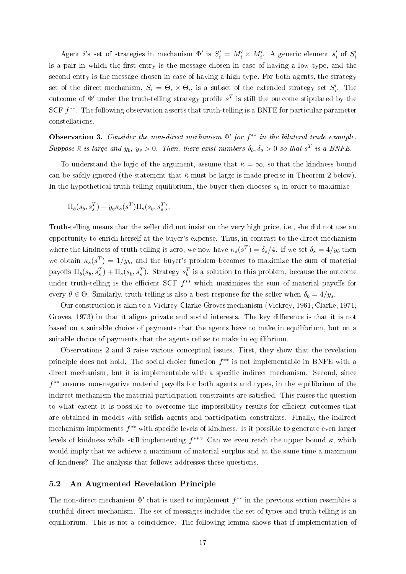Agent *i*'s set of strategies in mechanism  $\Phi'$  is  $S_i' = M_i' \times M_i'$ . A generic element  $s_i'$  of  $S_i'$ is a pair in which the first entry is the message chosen in case of having a low type, and the second entry is the message chosen in case of having a high type. For both agents, the strategy set of the direct mechanism,  $S_i = \Theta_i \times \Theta_i$ , is a subset of the extended strategy set  $S'_i$ . The outcome of  $\Phi'$  under the truth-telling strategy profile  $s^T$  is still the outcome stipulated by the SCF  $f^{**}$ . The following observation asserts that truth-telling is a BNFE for particular parameter constellations.

Observation 3. Consider the non-direct mechanism  $\Phi'$  for  $f^{**}$  in the bilateral trade example. Suppose  $\bar{\kappa}$  is large and  $y_b$ ,  $y_s > 0$ . Then, there exist numbers  $\delta_b, \delta_s > 0$  so that  $s^T$  is a BNFE.

To understand the logic of the argument, assume that  $\bar{\kappa} = \infty$ , so that the kindness bound can be safely ignored (the statement that  $\bar{\kappa}$  must be large is made precise in Theorem 2 below). In the hypothetical truth-telling equilibrium, the buyer then chooses  $s_b$  in order to maximize

$$
\Pi_b(s_b, s_s^T) + y_b \kappa_s(s^T) \Pi_s(s_b, s_s^T).
$$

Truth-telling means that the seller did not insist on the very high price, i.e., she did not use an opportunity to enrich herself at the buyer's expense. Thus, in contrast to the direct mechanism where the kindness of truth-telling is zero, we now have  $\kappa_s(s^T) = \delta_s/4$ . If we set  $\delta_s = 4/y_b$  then we obtain  $\kappa_s(s^T) = 1/y_b$ , and the buyer's problem becomes to maximize the sum of material payoffs  $\Pi_b(s_b, s_s^T) + \Pi_s(s_b, s_s^T)$ . Strategy  $s_b^T$  is a solution to this problem, because the outcome under truth-telling is the efficient SCF  $f^{**}$  which maximizes the sum of material payoffs for every  $\theta \in \Theta$ . Similarly, truth-telling is also a best response for the seller when  $\delta_b = 4/y_s$ .

Our construction is akin to a Vickrey-Clarke-Groves mechanism (Vickrey, 1961; Clarke, 1971; Groves, 1973) in that it aligns private and social interests. The key difference is that it is not based on a suitable choice of payments that the agents have to make in equilibrium, but on a suitable choice of payments that the agents refuse to make in equilibrium.

Observations 2 and 3 raise various conceptual issues. First, they show that the revelation principle does not hold. The social choice function  $f^{**}$  is not implementable in BNFE with a direct mechanism, but it is implementable with a specific indirect mechanism. Second, since f<sup>\*\*</sup> ensures non-negative material payoffs for both agents and types, in the equilibrium of the indirect mechanism the material participation constraints are satisfied. This raises the question to what extent it is possible to overcome the impossibility results for efficient outcomes that are obtained in models with selfish agents and participation constraints. Finally, the indirect mechanism implements  $f^{**}$  with specific levels of kindness. Is it possible to generate even larger levels of kindness while still implementing  $f^{**}$ ? Can we even reach the upper bound  $\bar{\kappa}$ , which would imply that we achieve a maximum of material surplus and at the same time a maximum of kindness? The analysis that follows addresses these questions.

#### 5.2 An Augmented Revelation Principle

The non-direct mechanism  $\Phi'$  that is used to implement  $f^{**}$  in the previous section resembles a truthful direct mechanism. The set of messages includes the set of types and truth-telling is an equilibrium. This is not a coincidence. The following lemma shows that if implementation of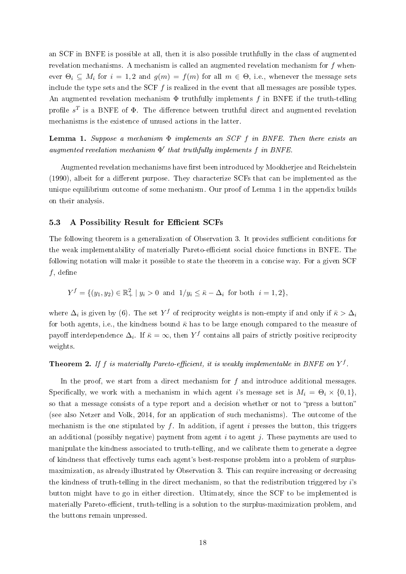an SCF in BNFE is possible at all, then it is also possible truthfully in the class of augmented revelation mechanisms. A mechanism is called an augmented revelation mechanism for f whenever  $\Theta_i \subseteq M_i$  for  $i = 1, 2$  and  $g(m) = f(m)$  for all  $m \in \Theta$ , i.e., whenever the message sets include the type sets and the SCF  $f$  is realized in the event that all messages are possible types. An augmented revelation mechanism  $\Phi$  truthfully implements f in BNFE if the truth-telling profile  $s^T$  is a BNFE of  $\Phi$ . The difference between truthful direct and augmented revelation mechanisms is the existence of unused actions in the latter.

**Lemma 1.** Suppose a mechanism  $\Phi$  implements an SCF f in BNFE. Then there exists an augmented revelation mechanism  $\Phi'$  that truthfully implements f in BNFE.

Augmented revelation mechanisms have first been introduced by Mookherjee and Reichelstein  $(1990)$ , albeit for a different purpose. They characterize SCFs that can be implemented as the unique equilibrium outcome of some mechanism. Our proof of Lemma 1 in the appendix builds on their analysis.

#### 5.3 A Possibility Result for Efficient SCFs

The following theorem is a generalization of Observation 3. It provides sufficient conditions for the weak implementability of materially Pareto-efficient social choice functions in BNFE. The following notation will make it possible to state the theorem in a concise way. For a given SCF  $f$ , define

$$
Y^f = \{ (y_1, y_2) \in \mathbb{R}_+^2 \mid y_i > 0 \text{ and } 1/y_i \le \bar{\kappa} - \Delta_i \text{ for both } i = 1, 2 \},
$$

where  $\Delta_i$  is given by (6). The set  $Y^f$  of reciprocity weights is non-empty if and only if  $\bar{\kappa} > \Delta_i$ for both agents, i.e., the kindness bound  $\bar{\kappa}$  has to be large enough compared to the measure of payoff interdependence  $\Delta_i$ . If  $\bar{\kappa} = \infty$ , then  $Y^f$  contains all pairs of strictly positive reciprocity weights.

## **Theorem 2.** If f is materially Pareto-efficient, it is weakly implementable in BNFE on  $Y^f$ .

In the proof, we start from a direct mechanism for  $f$  and introduce additional messages. Specifically, we work with a mechanism in which agent is message set is  $M_i = \Theta_i \times \{0, 1\}$ , so that a message consists of a type report and a decision whether or not to "press a button" (see also Netzer and Volk, 2014, for an application of such mechanisms). The outcome of the mechanism is the one stipulated by  $f$ . In addition, if agent i presses the button, this triggers an additional (possibly negative) payment from agent  $i$  to agent  $j$ . These payments are used to manipulate the kindness associated to truth-telling, and we calibrate them to generate a degree of kindness that effectively turns each agent's best-response problem into a problem of surplusmaximization, as already illustrated by Observation 3. This can require increasing or decreasing the kindness of truth-telling in the direct mechanism, so that the redistribution triggered by  $i$ 's button might have to go in either direction. Ultimately, since the SCF to be implemented is materially Pareto-efficient, truth-telling is a solution to the surplus-maximization problem, and the buttons remain unpressed.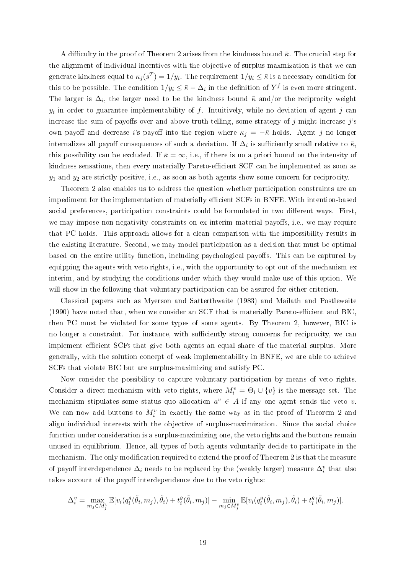A difficulty in the proof of Theorem 2 arises from the kindness bound  $\bar{\kappa}$ . The crucial step for the alignment of individual incentives with the objective of surplus-maxmization is that we can generate kindness equal to  $\kappa_j(s^T)=1/y_i$ . The requirement  $1/y_i\leq \bar{\kappa}$  is a necessary condition for this to be possible. The condition  $1/y_i \leq \bar{\kappa} - \Delta_i$  in the definition of  $Y^f$  is even more stringent. The larger is  $\Delta_i$ , the larger need to be the kindness bound  $\bar{\kappa}$  and/or the reciprocity weight  $y_i$  in order to guarantee implementability of  $f$ . Intuitively, while no deviation of agent  $j$  can increase the sum of payoffs over and above truth-telling, some strategy of  $j$  might increase  $j$ 's own payoff and decrease i's payoff into the region where  $\kappa_j = -\bar{\kappa}$  holds. Agent j no longer internalizes all payoff consequences of such a deviation. If  $\Delta_i$  is sufficiently small relative to  $\bar{\kappa},$ this possibility can be excluded. If  $\bar{\kappa} = \infty$ , i.e., if there is no a priori bound on the intensity of kindness sensations, then every materially Pareto-efficient SCF can be implemented as soon as  $y_1$  and  $y_2$  are strictly positive, i.e., as soon as both agents show some concern for reciprocity.

Theorem 2 also enables us to address the question whether participation constraints are an impediment for the implementation of materially efficient SCFs in BNFE. With intention-based social preferences, participation constraints could be formulated in two different ways. First we may impose non-negativity constraints on ex interim material payoffs, i.e., we may require that PC holds. This approach allows for a clean comparison with the impossibility results in the existing literature. Second, we may model participation as a decision that must be optimal based on the entire utility function, including psychological payoffs. This can be captured by equipping the agents with veto rights, i.e., with the opportunity to opt out of the mechanism ex interim, and by studying the conditions under which they would make use of this option. We will show in the following that voluntary participation can be assured for either criterion.

Classical papers such as Myerson and Satterthwaite (1983) and Mailath and Postlewaite (1990) have noted that, when we consider an SCF that is materially Pareto-efficient and BIC. then PC must be violated for some types of some agents. By Theorem 2, however, BIC is no longer a constraint. For instance, with sufficiently strong concerns for reciprocity, we can implement efficient SCFs that give both agents an equal share of the material surplus. More generally, with the solution concept of weak implementability in BNFE, we are able to achieve SCFs that violate BIC but are surplus-maximizing and satisfy PC.

Now consider the possibility to capture voluntary participation by means of veto rights. Consider a direct mechanism with veto rights, where  $M_i^v = \Theta_i \cup \{v\}$  is the message set. The mechanism stipulates some status quo allocation  $a^v \in A$  if any one agent sends the veto v. We can now add buttons to  $M_i^v$  in exactly the same way as in the proof of Theorem 2 and align individual interests with the objective of surplus-maximization. Since the social choice function under consideration is a surplus-maximizing one, the veto rights and the buttons remain unused in equilibrium. Hence, all types of both agents voluntarily decide to participate in the mechanism. The only modification required to extend the proof of Theorem 2 is that the measure of payoff interdependence  $\Delta_i$  needs to be replaced by the (weakly larger) measure  $\Delta_i^v$  that also takes account of the payoff interdependence due to the veto rights:

$$
\Delta_i^v = \max_{m_j \in M_j^v} \mathbb{E}[v_i(q_i^g(\tilde{\theta}_i, m_j), \tilde{\theta}_i) + t_i^g(\tilde{\theta}_i, m_j)] - \min_{m_j \in M_j^v} \mathbb{E}[v_i(q_i^g(\tilde{\theta}_i, m_j), \tilde{\theta}_i) + t_i^g(\tilde{\theta}_i, m_j)].
$$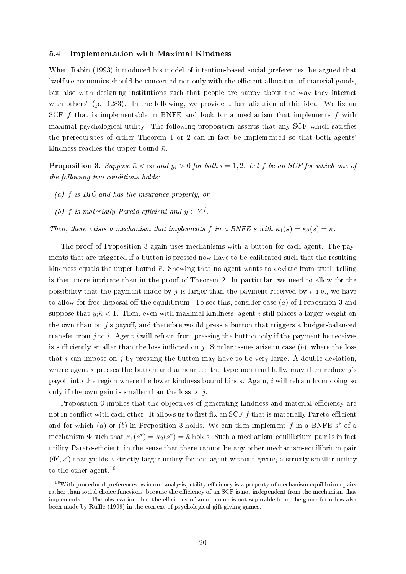#### 5.4 Implementation with Maximal Kindness

When Rabin (1993) introduced his model of intention-based social preferences, he argued that welfare economics should be concerned not only with the efficient allocation of material goods. but also with designing institutions such that people are happy about the way they interact with others"  $(p. 1283)$ . In the following, we provide a formalization of this idea. We fix an SCF  $f$  that is implementable in BNFE and look for a mechanism that implements  $f$  with maximal psychological utility. The following proposition asserts that any SCF which satises the prerequisites of either Theorem 1 or 2 can in fact be implemented so that both agents' kindness reaches the upper bound  $\bar{\kappa}$ .

**Proposition 3.** Suppose  $\bar{\kappa} < \infty$  and  $y_i > 0$  for both  $i = 1, 2$ . Let f be an SCF for which one of the following two conditions holds:

- (a) f is BIC and has the insurance property, or
- (b) f is materially Pareto-efficient and  $y \in Y^f$ .

Then, there exists a mechanism that implements f in a BNFE s with  $\kappa_1(s) = \kappa_2(s) = \bar{\kappa}$ .

The proof of Proposition 3 again uses mechanisms with a button for each agent. The payments that are triggered if a button is pressed now have to be calibrated such that the resulting kindness equals the upper bound  $\bar{\kappa}$ . Showing that no agent wants to deviate from truth-telling is then more intricate than in the proof of Theorem 2. In particular, we need to allow for the possibility that the payment made by j is larger than the payment received by  $i$ , i.e., we have to allow for free disposal off the equilibrium. To see this, consider case  $(a)$  of Proposition 3 and suppose that  $y_i \bar{k}$  < 1. Then, even with maximal kindness, agent i still places a larger weight on the own than on j's payoff, and therefore would press a button that triggers a budget-balanced transfer from  $j$  to  $i$ . Agent  $i$  will refrain from pressing the button only if the payment he receives is sufficiently smaller than the loss inflicted on j. Similar issues arise in case  $(b)$ , where the loss that  $i$  can impose on  $j$  by pressing the button may have to be very large. A double-deviation, where agent i presses the button and announces the type non-truthfully, may then reduce  $j$ 's payoff into the region where the lower kindness bound binds. Again,  $i$  will refrain from doing so only if the own gain is smaller than the loss to  $i$ .

Proposition 3 implies that the objectives of generating kindness and material efficiency are not in conflict with each other. It allows us to first fix an SCF  $f$  that is materially Pareto-efficient and for which  $(a)$  or  $(b)$  in Proposition 3 holds. We can then implement f in a BNFE  $s^*$  of a mechanism  $\Phi$  such that  $\kappa_1(s^*) = \kappa_2(s^*) = \bar{\kappa}$  holds. Such a mechanism-equilibrium pair is in fact utility Pareto-efficient, in the sense that there cannot be any other mechanism-equilibrium pair  $(\Phi', s')$  that yields a strictly larger utility for one agent without giving a strictly smaller utility to the other agent.<sup>16</sup>

 $16$ With procedural preferences as in our analysis, utility efficiency is a property of mechanism-equilibrium pairs rather than social choice functions, because the efficiency of an SCF is not independent from the mechanism that implements it. The observation that the efficiency of an outcome is not separable from the game form has also been made by Ruffle (1999) in the context of psychological gift-giving games.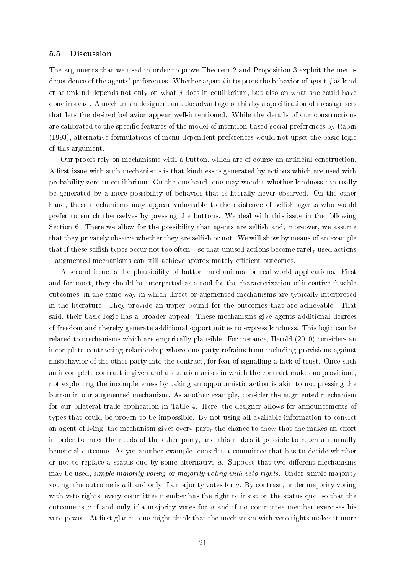#### 5.5 Discussion

The arguments that we used in order to prove Theorem 2 and Proposition 3 exploit the menudependence of the agents' preferences. Whether agent  $i$  interprets the behavior of agent  $j$  as kind or as unkind depends not only on what j does in equilibrium, but also on what she could have done instead. A mechanism designer can take advantage of this by a specification of message sets that lets the desired behavior appear well-intentioned. While the details of our constructions are calibrated to the specific features of the model of intention-based social preferences by Rabin (1993), alternative formulations of menu-dependent preferences would not upset the basic logic of this argument.

Our proofs rely on mechanisms with a button, which are of course an articial construction. A first issue with such mechanisms is that kindness is generated by actions which are used with probability zero in equilibrium. On the one hand, one may wonder whether kindness can really be generated by a mere possibility of behavior that is literally never observed. On the other hand, these mechanisms may appear vulnerable to the existence of selfish agents who would prefer to enrich themselves by pressing the buttons. We deal with this issue in the following Section 6. There we allow for the possibility that agents are selfish and, moreover, we assume that they privately observe whether they are selfish or not. We will show by means of an example that if these selfish types occur not too often  $-$  so that unused actions become rarely used actions - augmented mechanisms can still achieve approximately efficient outcomes.

A second issue is the plausibility of button mechanisms for real-world applications. First and foremost, they should be interpreted as a tool for the characterization of incentive-feasible outcomes, in the same way in which direct or augmented mechanisms are typically interpreted in the literature: They provide an upper bound for the outcomes that are achievable. That said, their basic logic has a broader appeal. These mechanisms give agents additional degrees of freedom and thereby generate additional opportunities to express kindness. This logic can be related to mechanisms which are empirically plausible. For instance, Herold (2010) considers an incomplete contracting relationship where one party refrains from including provisions against misbehavior of the other party into the contract, for fear of signalling a lack of trust. Once such an incomplete contract is given and a situation arises in which the contract makes no provisions, not exploiting the incompleteness by taking an opportunistic action is akin to not pressing the button in our augmented mechanism. As another example, consider the augmented mechanism for our bilateral trade application in Table 4. Here, the designer allows for announcements of types that could be proven to be impossible. By not using all available information to convict an agent of lying, the mechanism gives every party the chance to show that she makes an effort in order to meet the needs of the other party, and this makes it possible to reach a mutually beneficial outcome. As yet another example, consider a committee that has to decide whether or not to replace a status quo by some alternative  $a$ . Suppose that two different mechanisms may be used, *simple majority voting* or *majority voting with veto rights*. Under simple majority voting, the outcome is  $\alpha$  if and only if a majority votes for  $\alpha$ . By contrast, under majority voting with veto rights, every committee member has the right to insist on the status quo, so that the outcome is  $\alpha$  if and only if a majority votes for  $\alpha$  and if no committee member exercises his veto power. At first glance, one might think that the mechanism with veto rights makes it more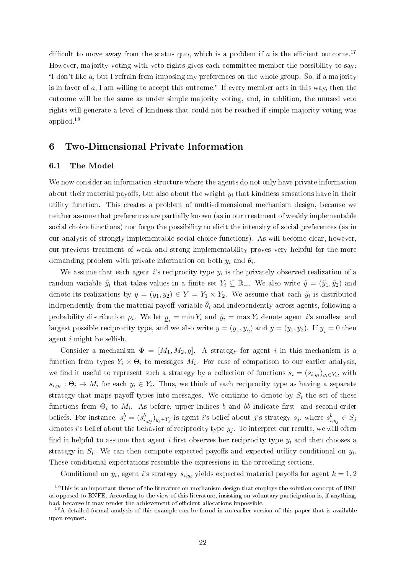difficult to move away from the status quo, which is a problem if a is the efficient outcome.<sup>17</sup> However, majority voting with veto rights gives each committee member the possibility to say: "I don't like  $a$ , but I refrain from imposing my preferences on the whole group. So, if a majority is in favor of  $a$ , I am willing to accept this outcome." If every member acts in this way, then the outcome will be the same as under simple majority voting, and, in addition, the unused veto rights will generate a level of kindness that could not be reached if simple majority voting was applied.<sup>18</sup>

## 6 Two-Dimensional Private Information

#### 6.1 The Model

We now consider an information structure where the agents do not only have private information about their material payoffs, but also about the weight  $y_i$  that kindness sensations have in their utility function. This creates a problem of multi-dimensional mechanism design, because we neither assume that preferences are partially known (as in our treatment of weakly implementable social choice functions) nor forgo the possibility to elicit the intensity of social preferences (as in our analysis of strongly implementable social choice functions). As will become clear, however, our previous treatment of weak and strong implementability proves very helpful for the more demanding problem with private information on both  $y_i$  and  $\theta_i$ .

We assume that each agent i's reciprocity type  $y_i$  is the privately observed realization of a random variable  $\tilde{y}_i$  that takes values in a finite set  $Y_i \subseteq \mathbb{R}_+$ . We also write  $\tilde{y} = (\tilde{y}_1, \tilde{y}_2)$  and denote its realizations by  $y = (y_1, y_2) \in Y = Y_1 \times Y_2$ . We assume that each  $\tilde{y}_i$  is distributed independently from the material payoff variable  $\ddot{\theta}_i$  and independently across agents, following a probability distribution  $\rho_i$ . We let  $\underline{y}_i = \min Y_i$  and  $\bar{y}_i = \max Y_i$  denote agent *i*'s smallest and largest possible reciprocity type, and we also write  $\underline{y}=(\underline{y}_1,\underline{y}_2)$  and  $\bar{y}=(\bar{y}_1,\bar{y}_2)$ . If  $\underline{y}_i=0$  then agent  $i$  might be selfish.

Consider a mechanism  $\Phi = [M_1, M_2, g]$ . A strategy for agent i in this mechanism is a function from types  $Y_i \times \Theta_i$  to messages  $M_i$ . For ease of comparison to our earlier analysis, we find it useful to represent such a strategy by a collection of functions  $s_i = (s_{i,y_i})_{y_i \in Y_i}$ , with  $s_{i,y_i}: \Theta_i \to M_i$  for each  $y_i \in Y_i$ . Thus, we think of each reciprocity type as having a separate strategy that maps payoff types into messages. We continue to denote by  $S_i$  the set of these functions from  $\Theta_i$  to  $M_i$ . As before, upper indices  $b$  and  $bb$  indicate first- and second-order beliefs. For instance,  $s_i^b = (s_{i,y_j}^b)_{y_j \in Y_j}$  is agent *i*'s belief about *j*'s strategy  $s_j$ , where  $s_{i,y_j}^b \in S_j$ denotes i's belief about the behavior of reciprocity type  $y_j$ . To interpret our results, we will often find it helpful to assume that agent i first observes her reciprocity type  $y_i$  and then chooses a strategy in  $S_i$ . We can then compute expected payoffs and expected utility conditional on  $y_i$ . These conditional expectations resemble the expressions in the preceding sections.

Conditional on  $y_i$ , agent i's strategy  $s_{i,y_i}$  yields expected material payoffs for agent  $k = 1, 2$ 

<sup>&</sup>lt;sup>17</sup>This is an important theme of the literature on mechanism design that employs the solution concept of BNE as opposed to BNFE. According to the view of this literature, insisting on voluntary participation is, if anything, bad, because it may render the achievement of efficient allocations impossible.

<sup>&</sup>lt;sup>18</sup>A detailed formal analysis of this example can be found in an earlier version of this paper that is available upon request.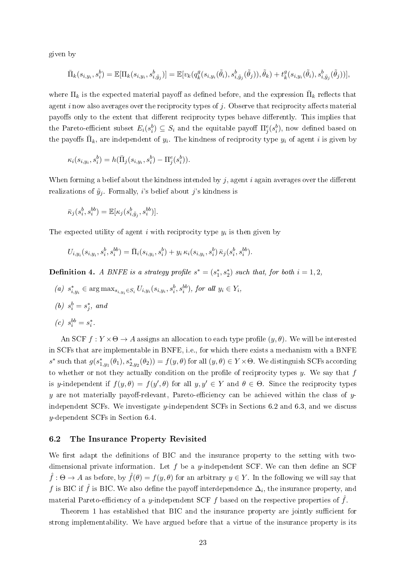given by

$$
\bar{\Pi}_k(s_{i,y_i}, s_i^b) = \mathbb{E}[\Pi_k(s_{i,y_i}, s_{i,\tilde{y}_j}^b)] = \mathbb{E}[v_k(q_k^g(s_{i,y_i}(\tilde{\theta}_i), s_{i,\tilde{y}_j}^b(\tilde{\theta}_j)), \tilde{\theta}_k) + t_k^g(s_{i,y_i}(\tilde{\theta}_i), s_{i,\tilde{y}_j}^b(\tilde{\theta}_j))],
$$

where  $\Pi_k$  is the expected material payoff as defined before, and the expression  $\bar{\Pi}_k$  reflects that agent i now also averages over the reciprocity types of  $j$ . Observe that reciprocity affects material payoffs only to the extent that different reciprocity types behave differently. This implies that the Pareto-efficient subset  $E_i(s_i^b) \subseteq S_i$  and the equitable payoff  $\Pi_j^e(s_i^b)$ , now defined based on the payoffs  $\bar{\Pi}_k$ , are independent of  $y_i$ . The kindness of reciprocity type  $y_i$  of agent i is given by

$$
\kappa_i(s_{i,y_i}, s_i^b) = h(\bar{\Pi}_j(s_{i,y_i}, s_i^b) - \Pi_j^e(s_i^b)).
$$

When forming a belief about the kindness intended by  $j$ , agent  $i$  again averages over the different realizations of  $\tilde{y}_i$ . Formally, i's belief about j's kindness is

$$
\bar{\kappa}_j(s_i^b, s_i^{bb}) = \mathbb{E}[\kappa_j(s_{i, \tilde{y}_j}^b, s_i^{bb})].
$$

The expected utility of agent i with reciprocity type  $y_i$  is then given by

$$
U_{i,y_i}(s_{i,y_i}, s_i^b, s_i^{bb}) = \bar{\Pi}_i(s_{i,y_i}, s_i^b) + y_i \, \kappa_i(s_{i,y_i}, s_i^b) \, \bar{\kappa}_j(s_i^b, s_i^{bb}).
$$

**Definition 4.** A BNFE is a strategy profile  $s^* = (s_1^*, s_2^*)$  such that, for both  $i = 1, 2,$ 

(a)  $s_{i,y_i}^* \in \arg \max_{s_{i,y_i} \in S_i} U_{i,y_i}(s_{i,y_i}, s_i^b, s_i^{bb})$ , for all  $y_i \in Y_i$ ,

(b) 
$$
s_i^b = s_j^*
$$
, and

$$
(c) s_i^{bb} = s_i^*.
$$

An SCF  $f: Y \times \Theta \to A$  assigns an allocation to each type profile  $(y, \theta)$ . We will be interested in SCFs that are implementable in BNFE, i.e., for which there exists a mechanism with a BNFE s<sup>\*</sup> such that  $g(s_{1,y_1}^*(\theta_1), s_{2,y_2}^*(\theta_2)) = f(y, \theta)$  for all  $(y, \theta) \in Y \times \Theta$ . We distinguish SCFs according to whether or not they actually condition on the profile of reciprocity types  $y$ . We say that  $f$ is y-independent if  $f(y, \theta) = f(y', \theta)$  for all  $y, y' \in Y$  and  $\theta \in \Theta$ . Since the reciprocity types  $y$  are not materially payoff-relevant, Pareto-efficiency can be achieved within the class of  $y$ independent SCFs. We investigate y-independent SCFs in Sections 6.2 and 6.3, and we discuss y-dependent SCFs in Section 6.4.

#### 6.2 The Insurance Property Revisited

We first adapt the definitions of BIC and the insurance property to the setting with twodimensional private information. Let f be a y-independent SCF. We can then define an SCF  $\hat{f} : \Theta \to A$  as before, by  $\hat{f}(\theta) = f(y, \theta)$  for an arbitrary  $y \in Y$ . In the following we will say that  $f$  is BIC if  $\hat{f}$  is BIC. We also define the payoff interdependence  $\Delta_i,$  the insurance property, and material Pareto-efficiency of a y-independent SCF f based on the respective properties of  $\hat{f}$ .

Theorem 1 has established that BIC and the insurance property are jointly sufficient for strong implementability. We have argued before that a virtue of the insurance property is its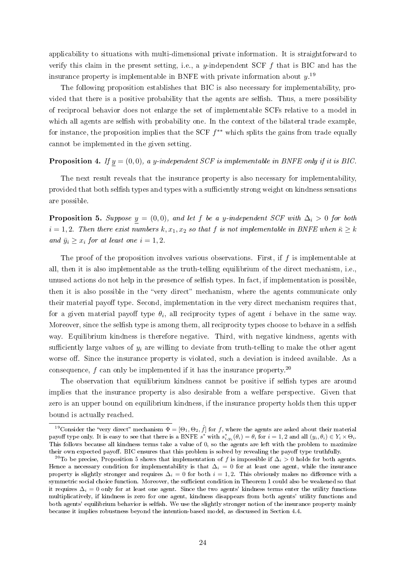applicability to situations with multi-dimensional private information. It is straightforward to verify this claim in the present setting, i.e., a y-independent SCF  $f$  that is BIC and has the insurance property is implementable in BNFE with private information about  $y^{19}$ 

The following proposition establishes that BIC is also necessary for implementability, provided that there is a positive probability that the agents are selfish. Thus, a mere possibility of reciprocal behavior does not enlarge the set of implementable SCFs relative to a model in which all agents are selfish with probability one. In the context of the bilateral trade example, for instance, the proposition implies that the SCF  $f^{**}$  which splits the gains from trade equally cannot be implemented in the given setting.

## **Proposition 4.** If  $y = (0, 0)$ , a y-independent SCF is implementable in BNFE only if it is BIC.

The next result reveals that the insurance property is also necessary for implementability, provided that both selfish types and types with a sufficiently strong weight on kindness sensations are possible.

**Proposition 5.** Suppose  $y = (0, 0)$ , and let f be a y-independent SCF with  $\Delta_i > 0$  for both  $i = 1, 2$ . Then there exist numbers  $k, x_1, x_2$  so that f is not implementable in BNFE when  $\bar{\kappa} \geq k$ and  $\bar{y}_i \geq x_i$  for at least one  $i = 1, 2$ .

The proof of the proposition involves various observations. First, if  $f$  is implementable at all, then it is also implementable as the truth-telling equilibrium of the direct mechanism, i.e., unused actions do not help in the presence of selfish types. In fact, if implementation is possible, then it is also possible in the "very direct" mechanism, where the agents communicate only their material payoff type. Second, implementation in the very direct mechanism requires that, for a given material payoff type  $\theta_i$ , all reciprocity types of agent  $i$  behave in the same way. Moreover, since the selfish type is among them, all reciprocity types choose to behave in a selfish way. Equilibrium kindness is therefore negative. Third, with negative kindness, agents with sufficiently large values of  $y_i$  are willing to deviate from truth-telling to make the other agent worse off. Since the insurance property is violated, such a deviation is indeed available. As a consequence, f can only be implemented if it has the insurance property.<sup>20</sup>

The observation that equilibrium kindness cannot be positive if selfish types are around implies that the insurance property is also desirable from a welfare perspective. Given that zero is an upper bound on equilibrium kindness, if the insurance property holds then this upper bound is actually reached.

<sup>&</sup>lt;sup>19</sup>Consider the "very direct" mechanism  $\Phi = [\Theta_1, \Theta_2, \hat{f}]$  for f, where the agents are asked about their material payoff type only. It is easy to see that there is a BNFE  $s^*$  with  $s^*_{i,y_i}(\theta_i) = \theta_i$  for  $i = 1, 2$  and all  $(y_i, \theta_i) \in Y_i \times \Theta_i$ . This follows because all kindness terms take a value of 0, so the agents are left with the problem to maximize their own expected payoff. BIC ensures that this problem is solved by revealing the payoff type truthfully.

<sup>&</sup>lt;sup>20</sup>To be precise, Proposition 5 shows that implementation of f is impossible if  $\Delta_i > 0$  holds for both agents. Hence a necessary condition for implementability is that  $\Delta_i = 0$  for at least one agent, while the insurance property is slightly stronger and requires  $\Delta_i = 0$  for both  $i = 1, 2$ . This obviously makes no difference with a symmetric social choice function. Moreover, the sufficient condition in Theorem 1 could also be weakened so that it requires  $\Delta_i = 0$  only for at least one agent. Since the two agents' kindness terms enter the utility functions multiplicatively, if kindness is zero for one agent, kindness disappears from both agents' utility functions and both agents' equilibrium behavior is selfish. We use the slightly stronger notion of the insurance property mainly because it implies robustness beyond the intention-based model, as discussed in Section 4.4.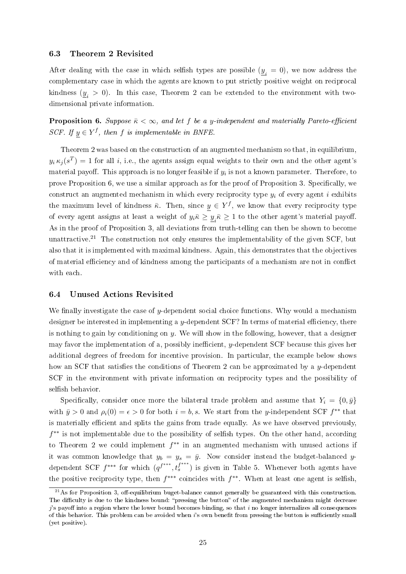#### 6.3 Theorem 2 Revisited

After dealing with the case in which selfish types are possible  $(\underline{y}_i = 0)$ , we now address the complementary case in which the agents are known to put strictly positive weight on reciprocal kindness  $(\underline{y}_i > 0)$ . In this case, Theorem 2 can be extended to the environment with twodimensional private information.

**Proposition 6.** Suppose  $\bar{\kappa} < \infty$ , and let f be a y-independent and materially Pareto-efficient SCF. If  $y \in Y^f$ , then f is implementable in BNFE.

Theorem 2 was based on the construction of an augmented mechanism so that, in equilibrium,  $y_i \kappa_j(s^T) = 1$  for all i, i.e., the agents assign equal weights to their own and the other agent's material payoff. This approach is no longer feasible if  $y_i$  is not a known parameter. Therefore, to prove Proposition 6, we use a similar approach as for the proof of Proposition 3. Specifically, we construct an augmented mechanism in which every reciprocity type  $y_i$  of every agent i exhibits the maximum level of kindness  $\bar{\kappa}$ . Then, since  $y \in Y^f$ , we know that every reciprocity type of every agent assigns at least a weight of  $y_i\bar{\kappa}\geq \underline{y}_i\bar{\kappa}\geq 1$  to the other agent's material payoff. As in the proof of Proposition 3, all deviations from truth-telling can then be shown to become unattractive.<sup>21</sup> The construction not only ensures the implementability of the given SCF, but also that it is implemented with maximal kindness. Again, this demonstrates that the objectives of material efficiency and of kindness among the participants of a mechanism are not in conflict with each.

#### 6.4 Unused Actions Revisited

We finally investigate the case of y-dependent social choice functions. Why would a mechanism designer be interested in implementing a y-dependent SCF? In terms of material efficiency, there is nothing to gain by conditioning on  $y$ . We will show in the following, however, that a designer may favor the implementation of a, possibly inefficient,  $y$ -dependent SCF because this gives her additional degrees of freedom for incentive provision. In particular, the example below shows how an SCF that satisfies the conditions of Theorem 2 can be approximated by a y-dependent SCF in the environment with private information on reciprocity types and the possibility of selfish behavior.

Specifically, consider once more the bilateral trade problem and assume that  $Y_i = \{0, \bar{y}\}\$ with  $\bar{y} > 0$  and  $\rho_i(0) = \epsilon > 0$  for both  $i = b, s$ . We start from the y-independent SCF  $f^{**}$  that is materially efficient and splits the gains from trade equally. As we have observed previously, f<sup>\*\*</sup> is not implementable due to the possibility of selfish types. On the other hand, according to Theorem 2 we could implement  $f^{**}$  in an augmented mechanism with unused actions if it was common knowledge that  $y_b = y_s = \bar{y}$ . Now consider instead the budget-balanced ydependent SCF  $f^{***}$  for which  $(q^{f^{***}}, t_s^{f^{***}})$  is given in Table 5. Whenever both agents have the positive reciprocity type, then  $f^{***}$  coincides with  $f^{**}$ . When at least one agent is selfish,

 $^{21}$ As for Proposition 3, off-equilibrium buget-balance cannot generally be guaranteed with this construction. The difficulty is due to the kindness bound: "pressing the button" of the augmented mechanism might decrease  $j$ 's payoff into a region where the lower bound becomes binding, so that i no longer internalizes all consequences of this behavior. This problem can be avoided when i's own benefit from pressing the button is sufficiently small (yet positive).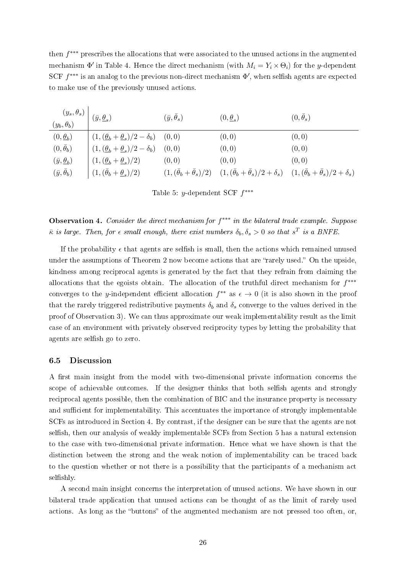then f ∗∗∗ prescribes the allocations that were associated to the unused actions in the augmented mechanism  $\Phi'$  in Table 4. Hence the direct mechanism (with  $M_i = Y_i \times \Theta_i$ ) for the y-dependent SCF  $f^{***}$  is an analog to the previous non-direct mechanism  $\Phi'$ , when selfish agents are expected to make use of the previously unused actions.

| $(y_s, \theta_s)\left( y_b, \theta_b \right) = \left( \bar{y}, \underline{\theta}_s \right)$ |                                                                              | $(\bar{y}, \theta_s)$ | $(0,\underline{\theta}_s)$                                                                                                                             | $(0,\theta_s)$ |
|----------------------------------------------------------------------------------------------|------------------------------------------------------------------------------|-----------------------|--------------------------------------------------------------------------------------------------------------------------------------------------------|----------------|
| $(0, \underline{\theta}_b)$                                                                  | $(1, (\underline{\theta}_b + \underline{\theta}_s)/2 - \delta_b)$ (0,0)      |                       | (0,0)                                                                                                                                                  | (0,0)          |
| $(0,\bar{\theta}_b)$                                                                         | $\mid (1, (\underline{\theta}_b + \underline{\theta}_s)/2 - \delta_b) \mid$  | (0,0)                 | (0,0)                                                                                                                                                  | (0,0)          |
| $(\bar{y}, \underline{\theta}_b)$                                                            | $\left(1, \left(\underline{\theta}_b + \underline{\theta}_s\right)/2\right)$ | (0,0)                 | (0, 0)                                                                                                                                                 | (0, 0)         |
| $(\bar{y}, \bar{\theta}_b)$                                                                  | $(1, (\bar{\theta}_b + \underline{\theta}_s)/2)$                             |                       | $(1, (\bar{\theta}_b + \bar{\theta}_s)/2)$ $(1, (\bar{\theta}_b + \bar{\theta}_s)/2 + \delta_s)$ $(1, (\bar{\theta}_b + \bar{\theta}_s)/2 + \delta_s)$ |                |

Table 5: *y*-dependent SCF  $f^{***}$ 

Observation 4. Consider the direct mechanism for  $f^{***}$  in the bilateral trade example. Suppose  $\bar{\kappa}$  is large. Then, for  $\epsilon$  small enough, there exist numbers  $\delta_b, \delta_s > 0$  so that  $s^T$  is a BNFE.

If the probability  $\epsilon$  that agents are selfish is small, then the actions which remained unused under the assumptions of Theorem 2 now become actions that are "rarely used." On the upside. kindness among reciprocal agents is generated by the fact that they refrain from claiming the allocations that the egoists obtain. The allocation of the truthful direct mechanism for  $f^{***}$ converges to the y-independent efficient allocation  $f^{**}$  as  $\epsilon \to 0$  (it is also shown in the proof that the rarely triggered redistributive payments  $\delta_b$  and  $\delta_s$  converge to the values derived in the proof of Observation 3). We can thus approximate our weak implementability result as the limit case of an environment with privately observed reciprocity types by letting the probability that agents are selfish go to zero.

#### 6.5 Discussion

A first main insight from the model with two-dimensional private information concerns the scope of achievable outcomes. If the designer thinks that both selfish agents and strongly reciprocal agents possible, then the combination of BIC and the insurance property is necessary and sufficient for implementability. This accentuates the importance of strongly implementable SCFs as introduced in Section 4. By contrast, if the designer can be sure that the agents are not selfish, then our analysis of weakly implementable SCFs from Section 5 has a natural extension to the case with two-dimensional private information. Hence what we have shown is that the distinction between the strong and the weak notion of implementability can be traced back to the question whether or not there is a possibility that the participants of a mechanism act selfishly.

A second main insight concerns the interpretation of unused actions. We have shown in our bilateral trade application that unused actions can be thought of as the limit of rarely used actions. As long as the "buttons" of the augmented mechanism are not pressed too often, or,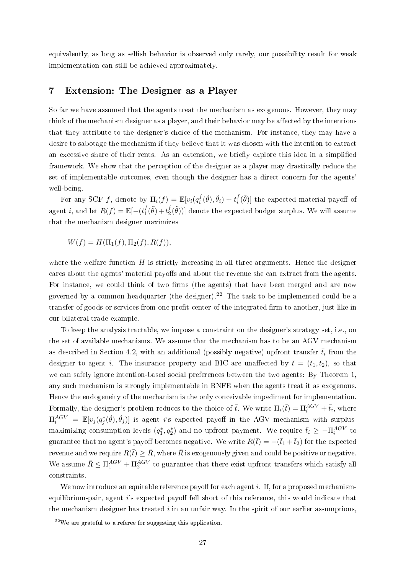equivalently, as long as selfish behavior is observed only rarely, our possibility result for weak implementation can still be achieved approximately.

## 7 Extension: The Designer as a Player

So far we have assumed that the agents treat the mechanism as exogenous. However, they may think of the mechanism designer as a player, and their behavior may be affected by the intentions that they attribute to the designer's choice of the mechanism. For instance, they may have a desire to sabotage the mechanism if they believe that it was chosen with the intention to extract an excessive share of their rents. As an extension, we briefly explore this idea in a simplified framework. We show that the perception of the designer as a player may drastically reduce the set of implementable outcomes, even though the designer has a direct concern for the agents' well-being.

For any SCF f, denote by  $\Pi_i(f) = \mathbb{E}[v_i(q_i^f$  $t_i^f(\tilde{\theta}), \tilde{\theta}_i) + t_i^f$  $\begin{bmatrix} f_i(\tilde{\theta}) \end{bmatrix}$  the expected material payoff of agent *i*, and let  $R(f) = \mathbb{E}[-(t_1^f)]$  $t_1^f(\tilde{\theta})+t_2^f$  $\big\lbrack\begin{smallmatrix} f(\tilde{\theta})) \end{smallmatrix}\big\rbrack$  denote the expected budget surplus. We will assume that the mechanism designer maximizes

$$
W(f) = H(\Pi_1(f), \Pi_2(f), R(f)),
$$

where the welfare function  $H$  is strictly increasing in all three arguments. Hence the designer cares about the agents' material payoffs and about the revenue she can extract from the agents. For instance, we could think of two firms (the agents) that have been merged and are now governed by a common headquarter (the designer).<sup>22</sup> The task to be implemented could be a transfer of goods or services from one profit center of the integrated firm to another, just like in our bilateral trade example.

To keep the analysis tractable, we impose a constraint on the designer's strategy set, i.e., on the set of available mechanisms. We assume that the mechanism has to be an AGV mechanism as described in Section 4.2, with an additional (possibly negative) upfront transfer  $\bar{t}_i$  from the designer to agent i. The insurance property and BIC are unaffected by  $\bar{t} = (\bar{t}_1, \bar{t}_2)$ , so that we can safely ignore intention-based social preferences between the two agents: By Theorem 1, any such mechanism is strongly implementable in BNFE when the agents treat it as exogenous. Hence the endogeneity of the mechanism is the only conceivable impediment for implementation. Formally, the designer's problem reduces to the choice of  $\bar{t}$ . We write  $\Pi_i(\bar{t}) = \Pi_i^{AGV} + \bar{t}_i$ , where  $\Pi_i^{AGV} = \mathbb{E}[v_j(q_j^*(\tilde{\theta}), \tilde{\theta}_j)]$  is agent i's expected payoff in the AGV mechanism with surplusmaximizing consumption levels  $(q_1^*, q_2^*)$  and no upfront payment. We require  $\bar{t}_i \ge -\Pi_i^{AGV}$  to guarantee that no agent's payoff becomes negative. We write  $R(\bar{t}) = -(\bar{t}_1 + \bar{t}_2)$  for the expected revenue and we require  $R(\bar{t}) \geq \bar{R}$ , where  $\bar{R}$  is exogenously given and could be positive or negative. We assume  $\bar{R} \leq \Pi_1^{AGV} + \Pi_2^{AGV}$  to guarantee that there exist upfront transfers which satisfy all constraints.

We now introduce an equitable reference payoff for each agent  $i$ . If, for a proposed mechanismequilibrium-pair, agent i's expected payoff fell short of this reference, this would indicate that the mechanism designer has treated  $i$  in an unfair way. In the spirit of our earlier assumptions,

 $2<sup>22</sup>$ We are grateful to a referee for suggesting this application.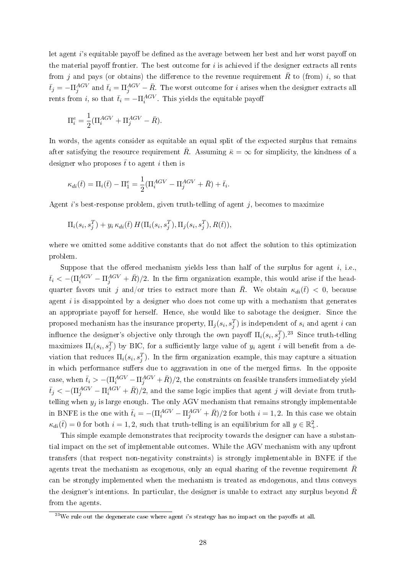let agent  $i$ 's equitable payoff be defined as the average between her best and her worst payoff on the material payoff frontier. The best outcome for  $i$  is achieved if the designer extracts all rents from j and pays (or obtains) the difference to the revenue requirement  $\bar{R}$  to (from) i, so that  $\bar{t}_j = -\Pi_j^{AGV}$  and  $\bar{t}_i = \Pi_j^{AGV} - \bar{R}$ . The worst outcome for i arises when the designer extracts all rents from *i*, so that  $\bar{t}_i = -\Pi_i^{AGV}$ . This yields the equitable payoff

$$
\Pi_i^e = \frac{1}{2} (\Pi_i^{AGV} + \Pi_j^{AGV} - \bar{R}).
$$

In words, the agents consider as equitable an equal split of the expected surplus that remains after satisfying the resource requirement  $\bar{R}$ . Assuming  $\bar{\kappa} = \infty$  for simplicity, the kindness of a designer who proposes  $\bar{t}$  to agent i then is

$$
\kappa_{di}(\bar{t}) = \Pi_i(\bar{t}) - \Pi_1^e = \frac{1}{2}(\Pi_i^{AGV} - \Pi_j^{AGV} + \bar{R}) + \bar{t}_i.
$$

Agent i's best-response problem, given truth-telling of agent  $j$ , becomes to maximize

$$
\Pi_i(s_i, s_j^T) + y_i \kappa_{di}(\bar{t}) H(\Pi_i(s_i, s_j^T), \Pi_j(s_i, s_j^T), R(\bar{t})),
$$

where we omitted some additive constants that do not affect the solution to this optimization problem.

Suppose that the offered mechanism yields less than half of the surplus for agent  $i$ , i.e.,  $\bar{t}_i < -(\Pi_i^{AGV} - \Pi_j^{AGV} + \bar{R})/2$ . In the firm organization example, this would arise if the headquarter favors unit j and/or tries to extract more than  $\bar{R}$ . We obtain  $\kappa_{di}(\bar{t}) < 0$ , because agent  $i$  is disappointed by a designer who does not come up with a mechanism that generates an appropriate payoff for herself. Hence, she would like to sabotage the designer. Since the proposed mechanism has the insurance property,  $\Pi_j(s_i,s_j^T)$  is independent of  $s_i$  and agent  $i$  can influence the designer's objective only through the own payoff  $\Pi_i(s_i, s_j^T)$ .<sup>23</sup> Since truth-telling maximizes  $\Pi_i(s_i, s_j^T)$  by BIC, for a sufficiently large value of  $y_i$  agent i will benefit from a deviation that reduces  $\Pi_i(s_i, s_j^T)$ . In the firm organization example, this may capture a situation in which performance suffers due to aggravation in one of the merged firms. In the opposite case, when  $\bar{t}_i > -(\Pi^{AGV}_i - \Pi^{AGV}_j + \bar{R})/2$ , the constraints on feasible transfers immediately yield  $\bar{t}_j<-(\Pi_j^{AGV}-\Pi_i^{AGV}+\bar{R})/2,$  and the same logic implies that agent  $j$  will deviate from truthtelling when  $y_j$  is large enough. The only AGV mechanism that remains strongly implementable in BNFE is the one with  $\bar{t}_i = -(\Pi_i^{AGV} - \Pi_j^{AGV} + \bar{R})/2$  for both  $i = 1, 2$ . In this case we obtain  $\kappa_{di}(\bar{t}) = 0$  for both  $i = 1, 2$ , such that truth-telling is an equilibrium for all  $y \in \mathbb{R}^2_+$ .

This simple example demonstrates that reciprocity towards the designer can have a substantial impact on the set of implementable outcomes. While the AGV mechanism with any upfront transfers (that respect non-negativity constraints) is strongly implementable in BNFE if the agents treat the mechanism as exogenous, only an equal sharing of the revenue requirement  $\bar{R}$ can be strongly implemented when the mechanism is treated as endogenous, and thus conveys the designer's intentions. In particular, the designer is unable to extract any surplus beyond  $\bar{R}$ from the agents.

 $^{23}$ We rule out the degenerate case where agent i's strategy has no impact on the payoffs at all.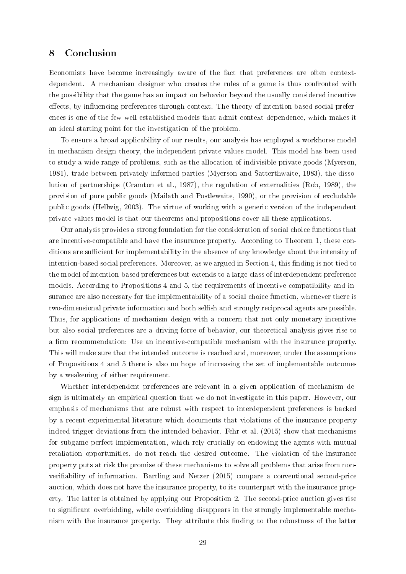## 8 Conclusion

Economists have become increasingly aware of the fact that preferences are often contextdependent. A mechanism designer who creates the rules of a game is thus confronted with the possibility that the game has an impact on behavior beyond the usually considered incentive effects, by influencing preferences through context. The theory of intention-based social preferences is one of the few well-established models that admit context-dependence, which makes it an ideal starting point for the investigation of the problem.

To ensure a broad applicability of our results, our analysis has employed a workhorse model in mechanism design theory, the independent private values model. This model has been used to study a wide range of problems, such as the allocation of indivisible private goods (Myerson, 1981), trade between privately informed parties (Myerson and Satterthwaite, 1983), the dissolution of partnerships (Cramton et al., 1987), the regulation of externalities (Rob, 1989), the provision of pure public goods (Mailath and Postlewaite, 1990), or the provision of excludable public goods (Hellwig, 2003). The virtue of working with a generic version of the independent private values model is that our theorems and propositions cover all these applications.

Our analysis provides a strong foundation for the consideration of social choice functions that are incentive-compatible and have the insurance property. According to Theorem 1, these conditions are sufficient for implementability in the absence of any knowledge about the intensity of intention-based social preferences. Moreover, as we argued in Section 4, this finding is not tied to the model of intention-based preferences but extends to a large class of interdependent preference models. According to Propositions 4 and 5, the requirements of incentive-compatibility and insurance are also necessary for the implementability of a social choice function, whenever there is two-dimensional private information and both selfish and strongly reciprocal agents are possible. Thus, for applications of mechanism design with a concern that not only monetary incentives but also social preferences are a driving force of behavior, our theoretical analysis gives rise to a firm recommendation: Use an incentive-compatible mechanism with the insurance property. This will make sure that the intended outcome is reached and, moreover, under the assumptions of Propositions 4 and 5 there is also no hope of increasing the set of implementable outcomes by a weakening of either requirement.

Whether interdependent preferences are relevant in a given application of mechanism design is ultimately an empirical question that we do not investigate in this paper. However, our emphasis of mechanisms that are robust with respect to interdependent preferences is backed by a recent experimental literature which documents that violations of the insurance property indeed trigger deviations from the intended behavior. Fehr et al. (2015) show that mechanisms for subgame-perfect implementation, which rely crucially on endowing the agents with mutual retaliation opportunities, do not reach the desired outcome. The violation of the insurance property puts at risk the promise of these mechanisms to solve all problems that arise from nonveriability of information. Bartling and Netzer (2015) compare a conventional second-price auction, which does not have the insurance property, to its counterpart with the insurance property. The latter is obtained by applying our Proposition 2. The second-price auction gives rise to signicant overbidding, while overbidding disappears in the strongly implementable mechanism with the insurance property. They attribute this finding to the robustness of the latter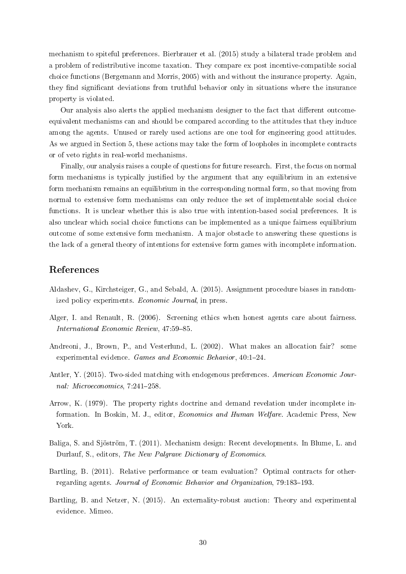mechanism to spiteful preferences. Bierbrauer et al. (2015) study a bilateral trade problem and a problem of redistributive income taxation. They compare ex post incentive-compatible social choice functions (Bergemann and Morris, 2005) with and without the insurance property. Again, they find significant deviations from truthful behavior only in situations where the insurance property is violated.

Our analysis also alerts the applied mechanism designer to the fact that different outcomeequivalent mechanisms can and should be compared according to the attitudes that they induce among the agents. Unused or rarely used actions are one tool for engineering good attitudes. As we argued in Section 5, these actions may take the form of loopholes in incomplete contracts or of veto rights in real-world mechanisms.

Finally, our analysis raises a couple of questions for future research. First, the focus on normal form mechanisms is typically justified by the argument that any equilibrium in an extensive form mechanism remains an equilibrium in the corresponding normal form, so that moving from normal to extensive form mechanisms can only reduce the set of implementable social choice functions. It is unclear whether this is also true with intention-based social preferences. It is also unclear which social choice functions can be implemented as a unique fairness equilibrium outcome of some extensive form mechanism. A major obstacle to answering these questions is the lack of a general theory of intentions for extensive form games with incomplete information.

## References

- Aldashev, G., Kirchsteiger, G., and Sebald, A. (2015). Assignment procedure biases in randomized policy experiments. Economic Journal, in press.
- Alger, I. and Renault, R. (2006). Screening ethics when honest agents care about fairness. International Economic Review, 47:59-85.
- Andreoni, J., Brown, P., and Vesterlund, L. (2002). What makes an allocation fair? some experimental evidence. Games and Economic Behavior, 40:1-24.
- Antler, Y. (2015). Two-sided matching with endogenous preferences. American Economic Journal: Microeconomics,  $7:241-258$ .
- Arrow, K. (1979). The property rights doctrine and demand revelation under incomplete information. In Boskin, M. J., editor, Economics and Human Welfare. Academic Press, New York.
- Baliga, S. and Sjöström, T. (2011). Mechanism design: Recent developments. In Blume, L. and Durlauf, S., editors, The New Palgrave Dictionary of Economics.
- Bartling, B. (2011). Relative performance or team evaluation? Optimal contracts for otherregarding agents. Journal of Economic Behavior and Organization, 79:183-193.
- Bartling, B. and Netzer, N. (2015). An externality-robust auction: Theory and experimental evidence. Mimeo.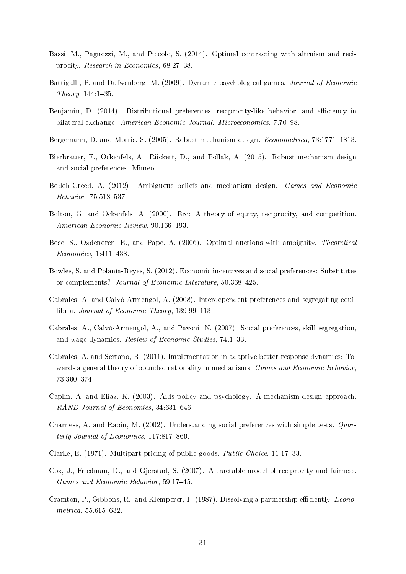- Bassi, M., Pagnozzi, M., and Piccolo, S. (2014). Optimal contracting with altruism and reciprocity. Research in Economics,  $68:27-38$ .
- Battigalli, P. and Dufwenberg, M. (2009). Dynamic psychological games. Journal of Economic Theory, 144:1-35.
- Benjamin, D. (2014). Distributional preferences, reciprocity-like behavior, and efficiency in bilateral exchange. American Economic Journal: Microeconomics, 7:70-98.
- Bergemann, D. and Morris, S. (2005). Robust mechanism design. *Econometrica*, 73:1771–1813.
- Bierbrauer, F., Ockenfels, A., Rückert, D., and Pollak, A. (2015). Robust mechanism design and social preferences. Mimeo.
- Bodoh-Creed, A. (2012). Ambiguous beliefs and mechanism design. Games and Economic Behavior, 75:518-537.
- Bolton, G. and Ockenfels, A. (2000). Erc: A theory of equity, reciprocity, and competition. American Economic Review, 90:166-193.
- Bose, S., Ozdenoren, E., and Pape, A. (2006). Optimal auctions with ambiguity. Theoretical  $Economics, 1:411-438.$
- Bowles, S. and Polanía-Reyes, S. (2012). Economic incentives and social preferences: Substitutes or complements? Journal of Economic Literature, 50:368-425.
- Cabrales, A. and Calvó-Armengol, A. (2008). Interdependent preferences and segregating equilibria. Journal of Economic Theory,  $139:99-113$ .
- Cabrales, A., Calvó-Armengol, A., and Pavoni, N. (2007). Social preferences, skill segregation, and wage dynamics. Review of Economic Studies, 74:1-33.
- Cabrales, A. and Serrano, R. (2011). Implementation in adaptive better-response dynamics: Towards a general theory of bounded rationality in mechanisms. Games and Economic Behavior, 73:360374.
- Caplin, A. and Eliaz, K. (2003). Aids policy and psychology: A mechanism-design approach.  $RAND$  Journal of Economics, 34:631-646.
- Charness, A. and Rabin, M. (2002). Understanding social preferences with simple tests. Quarterly Journal of Economics,  $117:817-869$ .
- Clarke, E. (1971). Multipart pricing of public goods. Public Choice, 11:1733.
- Cox, J., Friedman, D., and Gjerstad, S. (2007). A tractable model of reciprocity and fairness. Games and Economic Behavior, 59:17-45.
- Cramton, P., Gibbons, R., and Klemperer, P. (1987). Dissolving a partnership efficiently. Econo $metrica, 55:615-632.$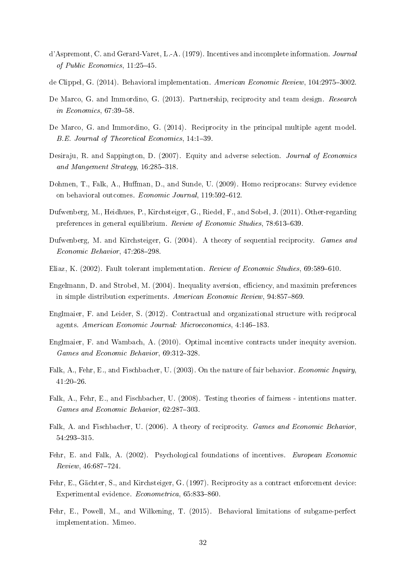- d'Aspremont, C. and Gerard-Varet, L.-A. (1979). Incentives and incomplete information. Journal of Public Economics,  $11:25-45$ .
- de Clippel, G. (2014). Behavioral implementation. American Economic Review, 104:2975-3002.
- De Marco, G. and Immordino, G. (2013). Partnership, reciprocity and team design. Research in Economics,  $67:39-58$ .
- De Marco, G. and Immordino, G. (2014). Reciprocity in the principal multiple agent model. B.E. Journal of Theoretical Economics, 14:139.
- Desiraju, R. and Sappington, D. (2007). Equity and adverse selection. *Journal of Economics* and Mangement Strategy,  $16:285-318$ .
- Dohmen, T., Falk, A., Huffman, D., and Sunde, U. (2009). Homo reciprocans: Survey evidence on behavioral outcomes. Economic Journal, 119:592-612.
- Dufwenberg, M., Heidhues, P., Kirchsteiger, G., Riedel, F., and Sobel, J. (2011). Other-regarding preferences in general equilibrium. Review of Economic Studies, 78:613-639.
- Dufwenberg, M. and Kirchsteiger, G. (2004). A theory of sequential reciprocity. Games and  $Economic Behavior, 47:268-298.$
- Eliaz, K. (2002). Fault tolerant implementation. Review of Economic Studies, 69:589-610.
- Engelmann, D. and Strobel, M. (2004). Inequality aversion, efficiency, and maximin preferences in simple distribution experiments. American Economic Review, 94:857-869.
- Englmaier, F. and Leider, S. (2012). Contractual and organizational structure with reciprocal agents. American Economic Journal: Microeconomics, 4:146-183.
- Englmaier, F. and Wambach, A. (2010). Optimal incentive contracts under inequity aversion. Games and Economic Behavior, 69:312-328.
- Falk, A., Fehr, E., and Fischbacher, U. (2003). On the nature of fair behavior. *Economic Inquiry* 41:2026.
- Falk, A., Fehr, E., and Fischbacher, U. (2008). Testing theories of fairness intentions matter. Games and Economic Behavior,  $62:287-303$ .
- Falk, A. and Fischbacher, U. (2006). A theory of reciprocity. Games and Economic Behavior, 54:293-315.
- Fehr, E. and Falk, A. (2002). Psychological foundations of incentives. European Economic  $Review, 46:687-724.$
- Fehr, E., Gächter, S., and Kirchsteiger, G. (1997). Reciprocity as a contract enforcement device: Experimental evidence.  $Econometrica$ ,  $65:833-860$ .
- Fehr, E., Powell, M., and Wilkening, T. (2015). Behavioral limitations of subgame-perfect implementation. Mimeo.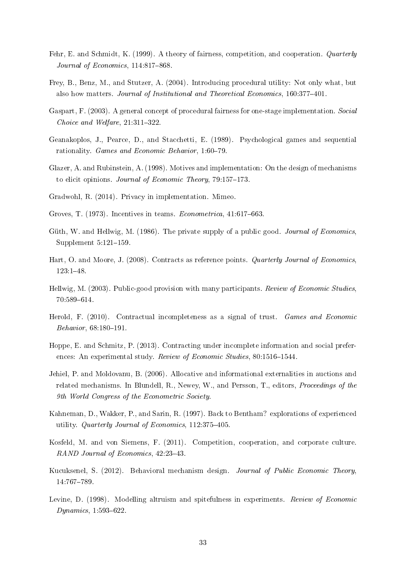- Fehr, E. and Schmidt, K. (1999). A theory of fairness, competition, and cooperation. Quarterly Journal of Economics,  $114:817-868$ .
- Frey, B., Benz, M., and Stutzer, A. (2004). Introducing procedural utility: Not only what, but also how matters. Journal of Institutional and Theoretical Economics, 160:377-401.
- Gaspart, F. (2003). A general concept of procedural fairness for one-stage implementation. Social Choice and Welfare,  $21:311-322$ .
- Geanakoplos, J., Pearce, D., and Stacchetti, E. (1989). Psychological games and sequential rationality. *Games and Economic Behavior*, 1:60–79.
- Glazer, A. and Rubinstein, A. (1998). Motives and implementation: On the design of mechanisms to elicit opinions. Journal of Economic Theory, 79:157-173.
- Gradwohl, R. (2014). Privacy in implementation. Mimeo.
- Groves, T.  $(1973)$ . Incentives in teams. *Econometrica*,  $41.617-663$ .
- Güth, W. and Hellwig, M. (1986). The private supply of a public good. *Journal of Economics*. Supplement  $5:121-159$ .
- Hart, O. and Moore, J. (2008). Contracts as reference points. *Quarterly Journal of Economics* 123:148.
- Hellwig, M. (2003). Public-good provision with many participants. Review of Economic Studies. 70:589-614.
- Herold, F. (2010). Contractual incompleteness as a signal of trust. Games and Economic  $Behavior, 68:180-191.$
- Hoppe, E. and Schmitz, P. (2013). Contracting under incomplete information and social preferences: An experimental study. Review of Economic Studies, 80:1516-1544.
- Jehiel, P. and Moldovanu, B. (2006). Allocative and informational externalities in auctions and related mechanisms. In Blundell, R., Newey, W., and Persson, T., editors, *Proceedings of the* 9th World Congress of the Econometric Society.
- Kahneman, D., Wakker, P., and Sarin, R. (1997). Back to Bentham? explorations of experienced utility. Quarterly Journal of Economics,  $112:375-405$ .
- Kosfeld, M. and von Siemens, F. (2011). Competition, cooperation, and corporate culture. RAND Journal of Economics, 42:23-43.
- Kucuksenel, S. (2012). Behavioral mechanism design. Journal of Public Economic Theory, 14:767-789.
- Levine, D. (1998). Modelling altruism and spitefulness in experiments. Review of Economic  $Dynamics, 1:593-622.$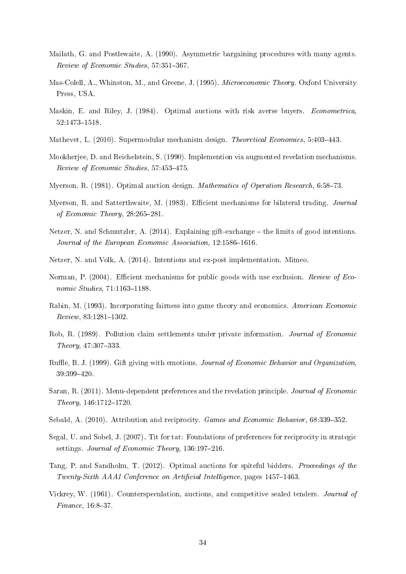- Mailath, G. and Postlewaite, A. (1990). Asymmetric bargaining procedures with many agents. Review of Economic Studies, 57:351-367.
- Mas-Colell, A., Whinston, M., and Greene, J. (1995). Microeconomic Theory. Oxford University Press, USA.
- Maskin, E. and Riley, J. (1984). Optimal auctions with risk averse buyers. *Econometrica*, 52:1473-1518.
- Mathevet, L. (2010). Supermodular mechanism design. *Theoretical Economics*, 5:403-443.
- Mookherjee, D. and Reichelstein, S. (1990). Implemention via augmented revelation mechanisms. Review of Economic Studies, 57:453-475.
- Myerson, R. (1981). Optimal auction design. *Mathematics of Operation Research*, 6:58–73.
- Myerson, R. and Satterthwaite, M. (1983). Efficient mechanisms for bilateral trading. Journal of Economic Theory,  $28:265-281$ .
- Netzer, N. and Schmutzler, A. (2014). Explaining gift-exchange the limits of good intentions. Journal of the European Economic Association,  $12:1586-1616$ .
- Netzer, N. and Volk, A. (2014). Intentions and ex-post implementation. Mimeo.
- Norman, P. (2004). Efficient mechanisms for public goods with use exclusion. Review of Economic Studies,  $71:1163-1188$ .
- Rabin, M. (1993). Incorporating fairness into game theory and economics. American Economic  $Review, 83:1281-1302.$
- Rob, R. (1989). Pollution claim settlements under private information. Journal of Economic  $Theory, 47:307-333.$
- Ruffle, B. J. (1999). Gift giving with emotions. Journal of Economic Behavior and Organization, 39:399420.
- Saran, R. (2011). Menu-dependent preferences and the revelation principle. Journal of Economic  $Theory, 146:1712-1720.$
- Sebald, A. (2010). Attribution and reciprocity. Games and Economic Behavior, 68:339-352.
- Segal, U. and Sobel, J. (2007). Tit for tat: Foundations of preferences for reciprocity in strategic settings. Journal of Economic Theory,  $136:197-216$ .
- Tang, P. and Sandholm, T. (2012). Optimal auctions for spiteful bidders. *Proceedings of the* Twenty-Sixth AAAI Conference on Artificial Intelligence, pages 1457-1463.
- Vickrey, W. (1961). Counterspeculation, auctions, and competitive sealed tenders. Journal of  $Finance, 16:8-37.$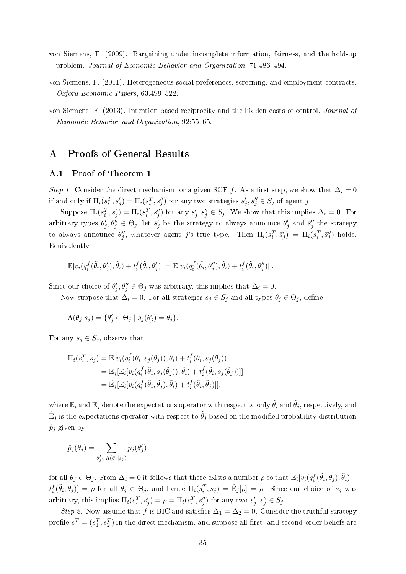- von Siemens, F. (2009). Bargaining under incomplete information, fairness, and the hold-up problem. Journal of Economic Behavior and Organization, 71:486-494.
- von Siemens, F. (2011). Heterogeneous social preferences, screening, and employment contracts. Oxford Economic Papers,  $63:499-522$ .
- von Siemens, F. (2013). Intention-based reciprocity and the hidden costs of control. Journal of Economic Behavior and Organization, 92:55-65.

## A Proofs of General Results

#### A.1 Proof of Theorem 1

Step 1. Consider the direct mechanism for a given SCF f. As a first step, we show that  $\Delta_i = 0$ if and only if  $\Pi_i(s_i^T, s_j') = \Pi_i(s_i^T, s_j'')$  for any two strategies  $s_j', s_j'' \in S_j$  of agent j.

Suppose  $\Pi_i(s_i^T, s_j') = \Pi_i(s_i^T, s_j'')$  for any  $s_j', s_j'' \in S_j$ . We show that this implies  $\Delta_i = 0$ . For arbitrary types  $\theta'_j, \theta''_j \in \Theta_j$ , let  $\bar{s}'_j$  be the strategy to always announce  $\theta'_j$  and  $\bar{s}''_j$  the strategy to always announce  $\theta''_j$ , whatever agent j's true type. Then  $\Pi_i(s_i^T, \bar{s}'_j) = \Pi_i(s_i^T, \bar{s}''_j)$  holds. Equivalently,

$$
\mathbb{E}[v_i(q_i^f(\tilde{\theta}_i,\theta'_j),\tilde{\theta}_i)+t_i^f(\tilde{\theta}_i,\theta'_j)]=\mathbb{E}[v_i(q_i^f(\tilde{\theta}_i,\theta''_j),\tilde{\theta}_i)+t_i^f(\tilde{\theta}_i,\theta''_j)].
$$

Since our choice of  $\theta'_j$ ,  $\theta''_j \in \Theta_j$  was arbitrary, this implies that  $\Delta_i = 0$ .

Now suppose that  $\Delta_i = 0$ . For all strategies  $s_j \in S_j$  and all types  $\theta_j \in \Theta_j$ , define

$$
\Lambda(\theta_j|s_j) = \{ \theta'_j \in \Theta_j \mid s_j(\theta'_j) = \theta_j \}.
$$

For any  $s_j \in S_j$ , observe that

$$
\Pi_i(s_i^T, s_j) = \mathbb{E}[v_i(q_i^f(\tilde{\theta}_i, s_j(\tilde{\theta}_j)), \tilde{\theta}_i) + t_i^f(\tilde{\theta}_i, s_j(\tilde{\theta}_j))]
$$
\n
$$
= \mathbb{E}_j[\mathbb{E}_i[v_i(q_i^f(\tilde{\theta}_i, s_j(\tilde{\theta}_j)), \tilde{\theta}_i) + t_i^f(\tilde{\theta}_i, s_j(\tilde{\theta}_j))]]
$$
\n
$$
= \mathbb{E}_j[\mathbb{E}_i[v_i(q_i^f(\tilde{\theta}_i, \tilde{\theta}_j), \tilde{\theta}_i) + t_i^f(\tilde{\theta}_i, \tilde{\theta}_j)]],
$$

where  $\mathbb{E}_i$  and  $\mathbb{E}_j$  denote the expectations operator with respect to only  $\tilde{\theta}_i$  and  $\tilde{\theta}_j$ , respectively, and  $\hat{\mathbb{E}}_j$  is the expectations operator with respect to  $\tilde{\theta}_j$  based on the modified probability distribution  $\hat{p}_j$  given by

$$
\hat{p}_j(\theta_j) = \sum_{\theta'_j \in \Lambda(\theta_j|s_j)} p_j(\theta'_j)
$$

for all  $\theta_j\in\Theta_j.$  From  $\Delta_i=0$  it follows that there exists a number  $\rho$  so that  $\mathbb{E}_i[v_i(q_i^f])$  $\tilde{f}_i^f(\tilde{\theta}_i,\theta_j),\tilde{\theta}_i) +$  $t_i^f$  $\hat{f}_i^f(\tilde{\theta}_i, \theta_j)] = \rho$  for all  $\theta_j \in \Theta_j$ , and hence  $\Pi_i(s_i^T, s_j) = \hat{\mathbb{E}}_j[\rho] = \rho$ . Since our choice of  $s_j$  was arbitrary, this implies  $\Pi_i(s_i^T, s_j') = \rho = \Pi_i(s_i^T, s_j'')$  for any two  $s_j', s_j'' \in S_j$ .

Step 2. Now assume that f is BIC and satisfies  $\Delta_1 = \Delta_2 = 0$ . Consider the truthful strategy profile  $s^T = (s_1^T, s_2^T)$  in the direct mechanism, and suppose all first- and second-order beliefs are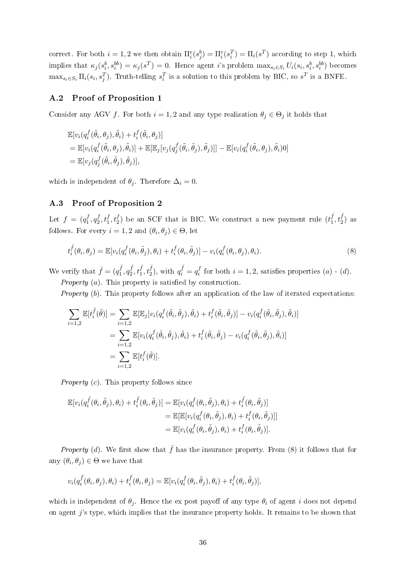correct. For both  $i = 1, 2$  we then obtain  $\Pi_i^e(s_j^b) = \Pi_i^e(s_i^T) = \Pi_i(s^T)$  according to step 1, which implies that  $\kappa_j(s_i^b, s_i^{bb}) = \kappa_j(s^T) = 0$ . Hence agent i's problem  $\max_{s_i \in S_i} U_i(s_i, s_i^b, s_i^{bb})$  becomes  $\max_{s_i \in S_i} \Pi_i(s_i, s_j^T)$ . Truth-telling  $s_i^T$  is a solution to this problem by BIC, so  $s^T$  is a BNFE.

#### A.2 Proof of Proposition 1

Consider any AGV f. For both  $i = 1, 2$  and any type realization  $\theta_j \in \Theta_j$  it holds that

$$
\mathbb{E}[v_i(q_i^f(\tilde{\theta}_i, \theta_j), \tilde{\theta}_i) + t_i^f(\tilde{\theta}_i, \theta_j)]
$$
  
= 
$$
\mathbb{E}[v_i(q_i^f(\tilde{\theta}_i, \theta_j), \tilde{\theta}_i)] + \mathbb{E}[\mathbb{E}_j[v_j(q_j^f(\tilde{\theta}_i, \tilde{\theta}_j), \tilde{\theta}_j)]] - \mathbb{E}[v_i(q_i^f(\tilde{\theta}_i, \theta_j), \tilde{\theta}_i)0]
$$
  
= 
$$
\mathbb{E}[v_j(q_j^f(\tilde{\theta}_i, \tilde{\theta}_j), \tilde{\theta}_j)],
$$

which is independent of  $\theta_j$ . Therefore  $\Delta_i = 0$ .

#### A.3 Proof of Proposition 2

Let  $f = (q_1^f)$  $f_1^f, q_2^f$  $\tilde{z}^f_2, t_1^f, t_2^f$ ) be an SCF that is BIC. We construct a new payment rule  $(t_1^{\bar{f}})$  $(\frac{\bar{f}}{1}, t_2^{\bar{f}})$  as follows. For every  $i = 1, 2$  and  $(\theta_i, \theta_j) \in \Theta$ , let

$$
t_i^{\bar{f}}(\theta_i, \theta_j) = \mathbb{E}[v_i(q_i^f(\theta_i, \tilde{\theta}_j), \theta_i) + t_i^f(\theta_i, \tilde{\theta}_j)] - v_i(q_i^f(\theta_i, \theta_j), \theta_i).
$$
\n(8)

We verify that  $\bar{f} = (q_1^{\bar{f}})$  $q_1^{\bar f},q_2^{\bar f}$  $(\frac{\bar{f}}{2}, t_1^{\bar{f}}, t_2^{\bar{f}}), \text{ with } q_i^{\bar{f}} = q_i^f$  $i_i^f$  for both  $i = 1, 2$ , satisfies properties  $(a) - (d)$ . *Property* (*a*). This property is satisfied by construction.

*Property* (b). This property follows after an application of the law of iterated expectations:

$$
\sum_{i=1,2} \mathbb{E}[t_i^{\bar{f}}(\tilde{\theta})] = \sum_{i=1,2} \mathbb{E}[\mathbb{E}_j[v_i(q_i^f(\tilde{\theta}_i, \tilde{\theta}_j), \tilde{\theta}_i) + t_i^f(\tilde{\theta}_i, \tilde{\theta}_j)] - v_i(q_i^f(\tilde{\theta}_i, \tilde{\theta}_j), \tilde{\theta}_i)]
$$
  
\n
$$
= \sum_{i=1,2} \mathbb{E}[v_i(q_i^f(\tilde{\theta}_i, \tilde{\theta}_j), \tilde{\theta}_i) + t_i^f(\tilde{\theta}_i, \tilde{\theta}_j) - v_i(q_i^f(\tilde{\theta}_i, \tilde{\theta}_j), \tilde{\theta}_i)]
$$
  
\n
$$
= \sum_{i=1,2} \mathbb{E}[t_i^f(\tilde{\theta})].
$$

Property (c). This property follows since

$$
\mathbb{E}[v_i(q_i^{\bar{f}}(\theta_i, \tilde{\theta}_j), \theta_i) + t_i^{\bar{f}}(\theta_i, \tilde{\theta}_j)] = \mathbb{E}[v_i(q_i^f(\theta_i, \tilde{\theta}_j), \theta_i) + t_i^{\bar{f}}(\theta_i, \tilde{\theta}_j)]
$$
  
\n
$$
= \mathbb{E}[\mathbb{E}[v_i(q_i^f(\theta_i, \tilde{\theta}_j), \theta_i) + t_i^f(\theta_i, \tilde{\theta}_j)]]
$$
  
\n
$$
= \mathbb{E}[v_i(q_i^f(\theta_i, \tilde{\theta}_j), \theta_i) + t_i^f(\theta_i, \tilde{\theta}_j)].
$$

*Property* (d). We first show that  $\bar{f}$  has the insurance property. From (8) it follows that for any  $(\theta_i, \theta_j) \in \Theta$  we have that

$$
v_i(q_i^{\bar{f}}(\theta_i,\theta_j),\theta_i)+t_i^{\bar{f}}(\theta_i,\theta_j)=\mathbb{E}[v_i(q_i^f(\theta_i,\tilde{\theta}_j),\theta_i)+t_i^f(\theta_i,\tilde{\theta}_j)],
$$

which is independent of  $\theta_i$ . Hence the ex post payoff of any type  $\theta_i$  of agent i does not depend on agent  $i$ 's type, which implies that the insurance property holds. It remains to be shown that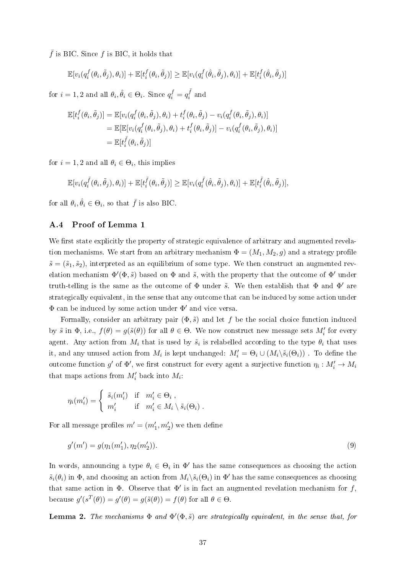$\bar{f}$  is BIC. Since f is BIC, it holds that

$$
\mathbb{E}[v_i(q_i^f(\theta_i,\tilde{\theta}_j),\theta_i)] + \mathbb{E}[t_i^f(\theta_i,\tilde{\theta}_j)] \geq \mathbb{E}[v_i(q_i^f(\hat{\theta}_i,\tilde{\theta}_j),\theta_i)] + \mathbb{E}[t_i^f(\hat{\theta}_i,\tilde{\theta}_j)]
$$

for  $i = 1, 2$  and all  $\theta_i, \hat{\theta}_i \in \Theta_i$ . Since  $q_i^f = q_i^{\bar{f}}$  $i^J$  and

$$
\mathbb{E}[t_i^f(\theta_i, \tilde{\theta}_j)] = \mathbb{E}[v_i(q_i^f(\theta_i, \tilde{\theta}_j), \theta_i) + t_i^f(\theta_i, \tilde{\theta}_j) - v_i(q_i^f(\theta_i, \tilde{\theta}_j), \theta_i)]
$$
  
\n
$$
= \mathbb{E}[\mathbb{E}[v_i(q_i^f(\theta_i, \tilde{\theta}_j), \theta_i) + t_i^f(\theta_i, \tilde{\theta}_j)] - v_i(q_i^f(\theta_i, \tilde{\theta}_j), \theta_i)]
$$
  
\n
$$
= \mathbb{E}[t_i^{\bar{f}}(\theta_i, \tilde{\theta}_j)]
$$

for  $i = 1, 2$  and all  $\theta_i \in \Theta_i$ , this implies

$$
\mathbb{E}[v_i(q_i^{\bar{f}}(\theta_i,\tilde{\theta}_j),\theta_i)] + \mathbb{E}[t_i^{\bar{f}}(\theta_i,\tilde{\theta}_j)] \geq \mathbb{E}[v_i(q_i^{\bar{f}}(\hat{\theta}_i,\tilde{\theta}_j),\theta_i)] + \mathbb{E}[t_i^{\bar{f}}(\hat{\theta}_i,\tilde{\theta}_j)],
$$

for all  $\theta_i, \hat{\theta}_i \in \Theta_i$ , so that  $\bar{f}$  is also BIC.

#### A.4 Proof of Lemma 1

We first state explicitly the property of strategic equivalence of arbitrary and augmented revelation mechanisms. We start from an arbitrary mechanism  $\Phi = (M_1, M_2, g)$  and a strategy profile  $\tilde{s} = (\tilde{s}_1, \tilde{s}_2)$ , interpreted as an equilibrium of some type. We then construct an augmented revelation mechanism  $\Phi'(\Phi, \tilde{s})$  based on  $\Phi$  and  $\tilde{s}$ , with the property that the outcome of  $\Phi'$  under truth-telling is the same as the outcome of  $\Phi$  under  $\tilde{s}$ . We then establish that  $\Phi$  and  $\Phi'$  are strategically equivalent, in the sense that any outcome that can be induced by some action under  $\Phi$  can be induced by some action under  $\Phi'$  and vice versa.

Formally, consider an arbitrary pair  $(\Phi, \tilde{s})$  and let f be the social choice function induced by  $\tilde{s}$  in  $\Phi$ , i.e.,  $f(\theta) = g(\tilde{s}(\theta))$  for all  $\theta \in \Theta$ . We now construct new message sets  $M_i'$  for every agent. Any action from  $M_i$  that is used by  $\tilde{s}_i$  is relabelled according to the type  $\theta_i$  that uses it, and any unused action from  $M_i$  is kept unchanged:  $M'_i = \Theta_i \cup (M_i \setminus \tilde{s}_i(\Theta_i))$ . To define the outcome function  $g'$  of  $\Phi'$ , we first construct for every agent a surjective function  $\eta_i: M'_i \to M_i$ that maps actions from  $M_i'$  back into  $M_i$ :

$$
\eta_i(m'_i) = \begin{cases} \tilde{s}_i(m'_i) & \text{if } m'_i \in \Theta_i, \\ m'_i & \text{if } m'_i \in M_i \setminus \tilde{s}_i(\Theta_i). \end{cases}
$$

For all message profiles  $m' = (m'_1, m'_2)$  we then define

$$
g'(m') = g(\eta_1(m'_1), \eta_2(m'_2)).
$$
\n(9)

In words, announcing a type  $\theta_i \in \Theta_i$  in  $\Phi'$  has the same consequences as choosing the action  $\tilde{s}_i(\theta_i)$  in  $\Phi$ , and choosing an action from  $M_i \backslash \tilde{s}_i(\Theta_i)$  in  $\Phi'$  has the same consequences as choosing that same action in  $\Phi$ . Observe that  $\Phi'$  is in fact an augmented revelation mechanism for f, because  $g'(s^T(\theta)) = g'(\theta) = g(\tilde{s}(\theta)) = f(\theta)$  for all  $\theta \in \Theta$ .

**Lemma 2.** The mechanisms  $\Phi$  and  $\Phi'(\Phi, \tilde{s})$  are strategically equivalent, in the sense that, for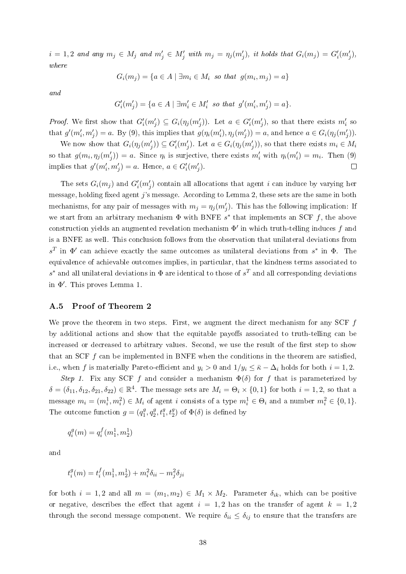$i = 1, 2$  and any  $m_j \in M_j$  and  $m'_j \in M'_j$  with  $m_j = \eta_j(m'_j)$ , it holds that  $G_i(m_j) = G'_i(m'_j)$ , where

$$
G_i(m_j) = \{a \in A \mid \exists m_i \in M_i \text{ so that } g(m_i, m_j) = a\}
$$

and

$$
G'_{i}(m'_{j}) = \{a \in A \mid \exists m'_{i} \in M'_{i} \text{ so that } g'(m'_{i}, m'_{j}) = a\}.
$$

*Proof.* We first show that  $G_i'(m_j') \subseteq G_i(\eta_j(m_j'))$ . Let  $a \in G_i'(m_j')$ , so that there exists  $m_i'$  so that  $g'(m'_i, m'_j) = a$ . By (9), this implies that  $g(\eta_i(m'_i), \eta_j(m'_j)) = a$ , and hence  $a \in G_i(\eta_j(m'_j))$ .

We now show that  $G_i(\eta_j(m'_j)) \subseteq G'_i(m'_j)$ . Let  $a \in G_i(\eta_j(m'_j))$ , so that there exists  $m_i \in M_i$ so that  $g(m_i, \eta_j(m'_j)) = a$ . Since  $\eta_i$  is surjective, there exists  $m'_i$  with  $\eta_i(m'_i) = m_i$ . Then (9) implies that  $g'(m'_i, m'_j) = a$ . Hence,  $a \in G'_i(m'_j)$ .  $\Box$ 

The sets  $G_i(m_j)$  and  $G'_i(m'_j)$  contain all allocations that agent i can induce by varying her message, holding fixed agent  $j$ 's message. According to Lemma 2, these sets are the same in both mechanisms, for any pair of messages with  $m_j = \eta_j(m'_j)$ . This has the following implication: If we start from an arbitrary mechanism  $\Phi$  with BNFE  $s^*$  that implements an SCF f, the above construction yields an augmented revelation mechanism  $\Phi'$  in which truth-telling induces f and is a BNFE as well. This conclusion follows from the observation that unilateral deviations from  $s<sup>T</sup>$  in Φ' can achieve exactly the same outcomes as unilateral deviations from  $s<sup>*</sup>$  in Φ. The equivalence of achievable outcomes implies, in particular, that the kindness terms associated to  $s^*$  and all unilateral deviations in  $\Phi$  are identical to those of  $s^T$  and all corresponding deviations in  $Φ'$ . This proves Lemma 1.

#### A.5 Proof of Theorem 2

We prove the theorem in two steps. First, we augment the direct mechanism for any SCF  $f$ by additional actions and show that the equitable payoffs associated to truth-telling can be increased or decreased to arbitrary values. Second, we use the result of the first step to show that an SCF  $f$  can be implemented in BNFE when the conditions in the theorem are satisfied, i.e., when f is materially Pareto-efficient and  $y_i > 0$  and  $1/y_i \leq \bar{\kappa} - \Delta_i$  holds for both  $i = 1, 2$ .

Step 1. Fix any SCF f and consider a mechanism  $\Phi(\delta)$  for f that is parameterized by  $\delta = (\delta_{11}, \delta_{12}, \delta_{21}, \delta_{22}) \in \mathbb{R}^4$ . The message sets are  $M_i = \Theta_i \times \{0, 1\}$  for both  $i = 1, 2$ , so that a message  $m_i = (m_i^1, m_i^2) \in M_i$  of agent i consists of a type  $m_i^1 \in \Theta_i$  and a number  $m_i^2 \in \{0, 1\}$ . The outcome function  $g = (q_1^g)$  $^{g}_{1}, q^{g}_{2}$  $e_2^g, t_1^g, t_2^g$  of  $\Phi(\delta)$  is defined by

$$
q_i^g(m) = q_i^f(m_1^1, m_2^1)
$$

and

$$
t_i^g(m) = t_i^f(m_1^1, m_2^1) + m_i^2 \delta_{ii} - m_j^2 \delta_{ji}
$$

for both  $i = 1, 2$  and all  $m = (m_1, m_2) \in M_1 \times M_2$ . Parameter  $\delta_{ik}$ , which can be positive or negative, describes the effect that agent  $i = 1, 2$  has on the transfer of agent  $k = 1, 2$ through the second message component. We require  $\delta_{ii} \leq \delta_{ij}$  to ensure that the transfers are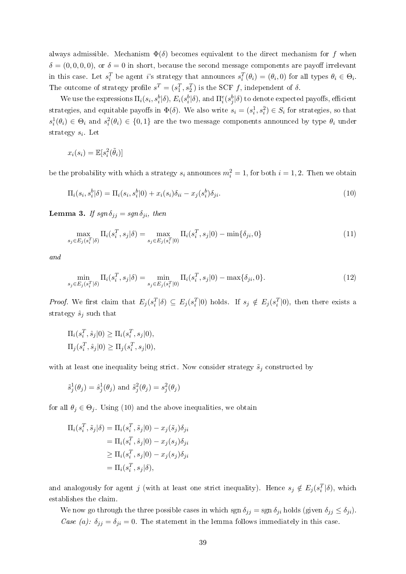always admissible. Mechanism  $\Phi(\delta)$  becomes equivalent to the direct mechanism for f when  $\delta = (0, 0, 0, 0)$ , or  $\delta = 0$  in short, because the second message components are payoff irrelevant in this case. Let  $s_i^T$  be agent i's strategy that announces  $s_i^T(\theta_i) = (\theta_i, 0)$  for all types  $\theta_i \in \Theta_i$ . The outcome of strategy profile  $s^T = (s_1^T, s_2^T)$  is the SCF f, independent of  $\delta$ .

We use the expressions  $\Pi_i(s_i,s_i^b|\delta), E_i(s_i^b|\delta),$  and  $\Pi_i^e(s_j^b|\delta)$  to denote expected payoffs, efficient strategies, and equitable payoffs in  $\Phi(\delta)$ . We also write  $s_i = (s_i^1, s_i^2) \in S_i$  for strategies, so that  $s_i^1(\theta_i) \in \Theta_i$  and  $s_i^2(\theta_i) \in \{0,1\}$  are the two message components announced by type  $\theta_i$  under strategy  $s_i$ . Let

$$
x_i(s_i) = \mathbb{E}[s_i^2(\tilde{\theta}_i)]
$$

be the probability with which a strategy  $s_i$  announces  $m_i^2 = 1$ , for both  $i = 1, 2$ . Then we obtain

$$
\Pi_i(s_i, s_i^b | \delta) = \Pi_i(s_i, s_i^b | 0) + x_i(s_i) \delta_{ii} - x_j(s_i^b) \delta_{ji}.
$$
\n(10)

**Lemma 3.** If  $sgn \delta_{jj} = sgn \delta_{ji}$ , then

$$
\max_{s_j \in E_j(s_i^T|\delta)} \Pi_i(s_i^T, s_j|\delta) = \max_{s_j \in E_j(s_i^T|0)} \Pi_i(s_i^T, s_j|0) - \min\{\delta_{ji}, 0\}
$$
\n(11)

and

$$
\min_{s_j \in E_j(s_i^T|\delta)} \Pi_i(s_i^T, s_j|\delta) = \min_{s_j \in E_j(s_i^T|0)} \Pi_i(s_i^T, s_j|0) - \max\{\delta_{ji}, 0\}.
$$
\n(12)

*Proof.* We first claim that  $E_j(s_i^T|\delta) \subseteq E_j(s_i^T|0)$  holds. If  $s_j \notin E_j(s_i^T|0)$ , then there exists a strategy  $\hat{s}_i$  such that

$$
\Pi_i(s_i^T, \hat{s}_j|0) \ge \Pi_i(s_i^T, s_j|0),
$$
  

$$
\Pi_j(s_i^T, \hat{s}_j|0) \ge \Pi_j(s_i^T, s_j|0),
$$

with at least one inequality being strict. Now consider strategy  $\tilde{s}_j$  constructed by

$$
\tilde{s}_j^1(\theta_j) = \hat{s}_j^1(\theta_j)
$$
 and  $\tilde{s}_j^2(\theta_j) = s_j^2(\theta_j)$ 

for all  $\theta_j \in \Theta_j$ . Using (10) and the above inequalities, we obtain

$$
\Pi_i(s_i^T, \tilde{s}_j|\delta) = \Pi_i(s_i^T, \tilde{s}_j|0) - x_j(\tilde{s}_j)\delta_{ji}
$$
  
\n
$$
= \Pi_i(s_i^T, \hat{s}_j|0) - x_j(s_j)\delta_{ji}
$$
  
\n
$$
\geq \Pi_i(s_i^T, s_j|0) - x_j(s_j)\delta_{ji}
$$
  
\n
$$
= \Pi_i(s_i^T, s_j|\delta),
$$

and analogously for agent j (with at least one strict inequality). Hence  $s_j \notin E_j(s_i^T | \delta)$ , which establishes the claim.

We now go through the three possible cases in which sgn  $\delta_{ij} = \text{sgn } \delta_{ji}$  holds (given  $\delta_{ij} \leq \delta_{ji}$ ). Case (a):  $\delta_{jj} = \delta_{ji} = 0$ . The statement in the lemma follows immediately in this case.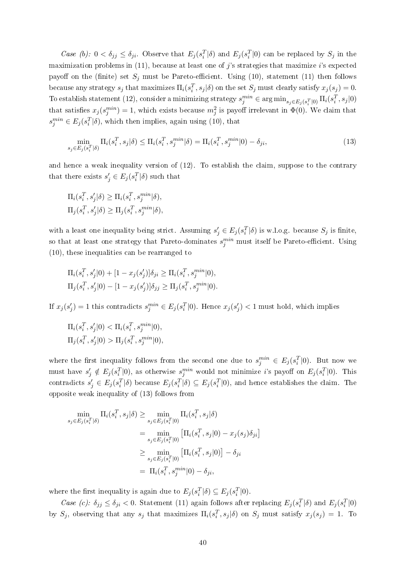Case (b):  $0 < \delta_{jj} \leq \delta_{ji}$ . Observe that  $E_j(s_i^T|\delta)$  and  $E_j(s_i^T|0)$  can be replaced by  $S_j$  in the maximization problems in  $(11)$ , because at least one of j's strategies that maximize i's expected payoff on the (finite) set  $S_j$  must be Pareto-efficient. Using (10), statement (11) then follows because any strategy  $s_j$  that maximizes  $\Pi_i(s_i^T, s_j | \delta)$  on the set  $S_j$  must clearly satisfy  $x_j(s_j) = 0$ . To establish statement (12), consider a minimizing strategy  $s_j^{min} \in \argmin_{s_j \in E_j(s_i^T|0)} \Pi_i(s_i^T,s_j|0)$ that satisfies  $x_j(s_j^{min}) = 1$ , which exists because  $m_j^2$  is payoff irrelevant in  $\Phi(0)$ . We claim that  $s_j^{min} \in E_j(s_i^T|\delta)$ , which then implies, again using (10), that

$$
\min_{s_j \in E_j(s_i^T | \delta)} \Pi_i(s_i^T, s_j | \delta) \le \Pi_i(s_i^T, s_j^{min} | \delta) = \Pi_i(s_i^T, s_j^{min} | 0) - \delta_{ji},\tag{13}
$$

and hence a weak inequality version of (12). To establish the claim, suppose to the contrary that there exists  $s'_j \in E_j(s_i^T | \delta)$  such that

$$
\Pi_i(s_i^T, s_j'|\delta) \ge \Pi_i(s_i^T, s_j^{min}|\delta),
$$
  

$$
\Pi_j(s_i^T, s_j'|\delta) \ge \Pi_j(s_i^T, s_j^{min}|\delta),
$$

with a least one inequality being strict. Assuming  $s'_j \in E_j(s_i^T | \delta)$  is w.l.o.g. because  $S_j$  is finite, so that at least one strategy that Pareto-dominates  $s_j^{min}$  must itself be Pareto-efficient. Using (10), these inequalities can be rearranged to

$$
\Pi_i(s_i^T, s_j'|0) + [1 - x_j(s_j')] \delta_{ji} \ge \Pi_i(s_i^T, s_j^{min}|0),
$$
  
\n
$$
\Pi_j(s_i^T, s_j'|0) - [1 - x_j(s_j')] \delta_{jj} \ge \Pi_j(s_i^T, s_j^{min}|0).
$$

If  $x_j(s'_j) = 1$  this contradicts  $s_j^{min} \in E_j(s_i^T | 0)$ . Hence  $x_j(s'_j) < 1$  must hold, which implies

$$
\Pi_i(s_i^T, s_j'|0) < \Pi_i(s_i^T, s_j^{min}|0),
$$
\n
$$
\Pi_j(s_i^T, s_j'|0) > \Pi_j(s_i^T, s_j^{min}|0),
$$

where the first inequality follows from the second one due to  $s_j^{min} \in E_j(s_i^T|0)$ . But now we must have  $s'_j \notin E_j(s_i^T|0)$ , as otherwise  $s_j^{min}$  would not minimize i's payoff on  $E_j(s_i^T|0)$ . This contradicts  $s'_j \in E_j(s_i^T | \delta)$  because  $E_j(s_i^T | \delta) \subseteq E_j(s_i^T | 0)$ , and hence establishes the claim. The opposite weak inequality of (13) follows from

$$
\min_{s_j \in E_j(s_i^T|\delta)} \Pi_i(s_i^T, s_j|\delta) \ge \min_{s_j \in E_j(s_i^T|0)} \Pi_i(s_i^T, s_j|\delta)
$$
\n
$$
= \min_{s_j \in E_j(s_i^T|0)} \left[ \Pi_i(s_i^T, s_j|0) - x_j(s_j)\delta_{ji} \right]
$$
\n
$$
\ge \min_{s_j \in E_j(s_i^T|0)} \left[ \Pi_i(s_i^T, s_j|0) \right] - \delta_{ji}
$$
\n
$$
= \Pi_i(s_i^T, s_j^{min}|0) - \delta_{ji},
$$

where the first inequality is again due to  $E_j(s_i^T|\delta) \subseteq E_j(s_i^T|0)$ .

Case (c):  $\delta_{jj} \leq \delta_{ji} < 0$ . Statement (11) again follows after replacing  $E_j(s_i^T|\delta)$  and  $E_j(s_i^T|0)$ by  $S_j$ , observing that any  $s_j$  that maximizes  $\Pi_i(s_i^T, s_j | \delta)$  on  $S_j$  must satisfy  $x_j(s_j) = 1$ . To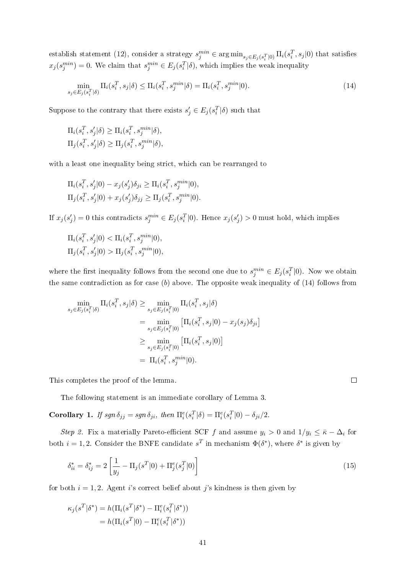establish statement (12), consider a strategy  $s_j^{min} \in \arg\min_{s_j \in E_j(s_i^T|0)} \Pi_i(s_i^T, s_j|0)$  that satisfies  $x_j(s_j^{min}) = 0$ . We claim that  $s_j^{min} \in E_j(s_i^T | \delta)$ , which implies the weak inequality

$$
\min_{s_j \in E_j(s_i^T|\delta)} \Pi_i(s_i^T, s_j|\delta) \le \Pi_i(s_i^T, s_j^{min}|\delta) = \Pi_i(s_i^T, s_j^{min}|0). \tag{14}
$$

Suppose to the contrary that there exists  $s'_j \in E_j(s_i^T|\delta)$  such that

$$
\Pi_i(s_i^T, s_j'|\delta) \ge \Pi_i(s_i^T, s_j^{min}|\delta),
$$
  

$$
\Pi_j(s_i^T, s_j'|\delta) \ge \Pi_j(s_i^T, s_j^{min}|\delta),
$$

with a least one inequality being strict, which can be rearranged to

$$
\Pi_i(s_i^T, s_j'|0) - x_j(s_j')\delta_{ji} \ge \Pi_i(s_i^T, s_j^{min}|0),
$$
  

$$
\Pi_j(s_i^T, s_j'|0) + x_j(s_j')\delta_{jj} \ge \Pi_j(s_i^T, s_j^{min}|0).
$$

If  $x_j(s'_j) = 0$  this contradicts  $s_j^{min} \in E_j(s_i^T | 0)$ . Hence  $x_j(s'_j) > 0$  must hold, which implies

$$
\Pi_i(s_i^T, s_j'|0) < \Pi_i(s_i^T, s_j^{min}|0),
$$
\n
$$
\Pi_j(s_i^T, s_j'|0) > \Pi_j(s_i^T, s_j^{min}|0),
$$

where the first inequality follows from the second one due to  $s_j^{min} \in E_j(s_i^T|0)$ . Now we obtain the same contradiction as for case  $(b)$  above. The opposite weak inequality of  $(14)$  follows from

$$
\min_{s_j \in E_j(s_i^T | \delta)} \Pi_i(s_i^T, s_j | \delta) \ge \min_{s_j \in E_j(s_i^T | 0)} \Pi_i(s_i^T, s_j | \delta)
$$
\n
$$
= \min_{s_j \in E_j(s_i^T | 0)} \left[ \Pi_i(s_i^T, s_j | 0) - x_j(s_j) \delta_{ji} \right]
$$
\n
$$
\ge \min_{s_j \in E_j(s_i^T | 0)} \left[ \Pi_i(s_i^T, s_j | 0) \right]
$$
\n
$$
= \Pi_i(s_i^T, s_j^{min} | 0).
$$

This completes the proof of the lemma.

The following statement is an immediate corollary of Lemma 3.

Corollary 1. If  $sgn \delta_{jj} = sgn \delta_{ji}$ , then  $\Pi_i^e(s_i^T|\delta) = \Pi_i^e(s_i^T|0) - \delta_{ji}/2$ .

Step 2. Fix a materially Pareto-efficient SCF f and assume  $y_i > 0$  and  $1/y_i \leq \bar{\kappa} - \Delta_i$  for both  $i = 1, 2$ . Consider the BNFE candidate  $s^T$  in mechanism  $\Phi(\delta^*)$ , where  $\delta^*$  is given by

$$
\delta_{ii}^* = \delta_{ij}^* = 2\left[\frac{1}{y_j} - \Pi_j(s^T|0) + \Pi_j^e(s_j^T|0)\right]
$$
\n(15)

for both  $i = 1, 2$ . Agent is correct belief about j's kindness is then given by

$$
\kappa_j(s^T|\delta^*) = h(\Pi_i(s^T|\delta^*) - \Pi_i^e(s_i^T|\delta^*))
$$
  
= 
$$
h(\Pi_i(s^T|0) - \Pi_i^e(s_i^T|\delta^*))
$$

 $\Box$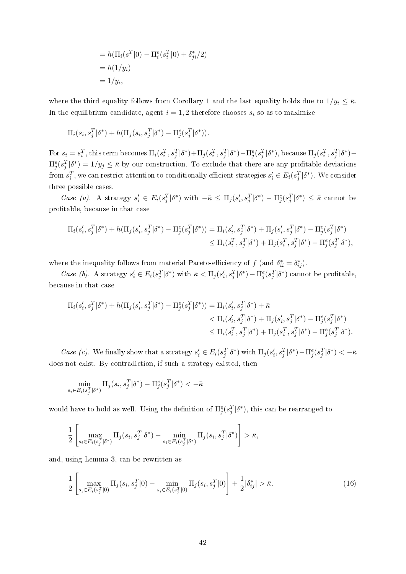$$
= h(\Pi_i(s^T|0) - \Pi_i^e(s_i^T|0) + \delta_{ji}^*/2)
$$
  
=  $h(1/y_i)$   
=  $1/y_i$ ,

where the third equality follows from Corollary 1 and the last equality holds due to  $1/y_i \leq \bar{\kappa}$ . In the equilibrium candidate, agent  $i = 1, 2$  therefore chooses  $s_i$  so as to maximize

$$
\Pi_i(s_i, s_j^T | \delta^*) + h(\Pi_j(s_i, s_j^T | \delta^*) - \Pi_j^e(s_j^T | \delta^*)).
$$

For  $s_i = s_i^T$ , this term becomes  $\Pi_i(s_i^T, s_j^T | \delta^*) + \Pi_j(s_i^T, s_j^T | \delta^*) - \Pi_j^e(s_j^T | \delta^*)$ , because  $\Pi_j(s_i^T, s_j^T | \delta^*) - \Pi_j^e(s_j^T | \delta^*)$  $\Pi_j^e(s_j^T|\delta^*) = 1/y_j \leq \bar{\kappa}$  by our construction. To exclude that there are any profitable deviations from  $s_i^T$ , we can restrict attention to conditionally efficient strategies  $s_i' \in E_i(s_j^T|\delta^*)$ . We consider three possible cases.

Case (a). A strategy  $s_i' \in E_i(s_j^T | \delta^*)$  with  $-\bar{\kappa} \leq \Pi_j(s_i', s_j^T | \delta^*) - \Pi_j^e(s_j^T | \delta^*) \leq \bar{\kappa}$  cannot be protable, because in that case

$$
\Pi_i(s'_i, s^T_j | \delta^*) + h(\Pi_j(s'_i, s^T_j | \delta^*) - \Pi^e_j(s^T_j | \delta^*)) = \Pi_i(s'_i, s^T_j | \delta^*) + \Pi_j(s'_i, s^T_j | \delta^*) - \Pi^e_j(s^T_j | \delta^*)
$$
  
\n
$$
\leq \Pi_i(s^T_i, s^T_j | \delta^*) + \Pi_j(s^T_i, s^T_j | \delta^*) - \Pi^e_j(s^T_j | \delta^*),
$$

where the inequality follows from material Pareto-efficiency of  $f$  (and  $\delta_{ii}^* = \delta_{ij}^*$ ).

Case (b). A strategy  $s_i' \in E_i(s_j^T | \delta^*)$  with  $\bar{\kappa} < \Pi_j(s_i', s_j^T | \delta^*) - \Pi_j^e(s_j^T | \delta^*)$  cannot be profitable, because in that case

$$
\Pi_i(s'_i, s^T_j | \delta^*) + h(\Pi_j(s'_i, s^T_j | \delta^*) - \Pi_j^e(s^T_j | \delta^*)) = \Pi_i(s'_i, s^T_j | \delta^*) + \bar{\kappa}
$$
  

$$
< \Pi_i(s'_i, s^T_j | \delta^*) + \Pi_j(s'_i, s^T_j | \delta^*) - \Pi_j^e(s^T_j | \delta^*)
$$
  

$$
\leq \Pi_i(s^T_i, s^T_j | \delta^*) + \Pi_j(s^T_i, s^T_j | \delta^*) - \Pi_j^e(s^T_j | \delta^*).
$$

Case (c). We finally show that a strategy  $s_i' \in E_i(s_j^T | \delta^*)$  with  $\Pi_j(s_i', s_j^T | \delta^*) - \Pi_j^e(s_j^T | \delta^*) < -\bar{\kappa}$ does not exist. By contradiction, if such a strategy existed, then

$$
\min_{s_i \in E_i(s_j^T | \delta^*)} \Pi_j(s_i, s_j^T | \delta^*) - \Pi_j^e(s_j^T | \delta^*) < -\bar{\kappa}
$$

would have to hold as well. Using the definition of  $\Pi_j^e(s_j^T|\delta^*)$ , this can be rearranged to

$$
\frac{1}{2}\left[\max_{s_i\in E_i(s_j^T|\delta^*)}\Pi_j(s_i,s_j^T|\delta^*)-\min_{s_i\in E_i(s_j^T|\delta^*)}\Pi_j(s_i,s_j^T|\delta^*)\right]>\bar{\kappa},
$$

and, using Lemma 3, can be rewritten as

$$
\frac{1}{2} \left[ \max_{s_i \in E_i(s_j^T|0)} \Pi_j(s_i, s_j^T|0) - \min_{s_i \in E_i(s_j^T|0)} \Pi_j(s_i, s_j^T|0) \right] + \frac{1}{2} |\delta_{ij}^*| > \bar{\kappa}.\tag{16}
$$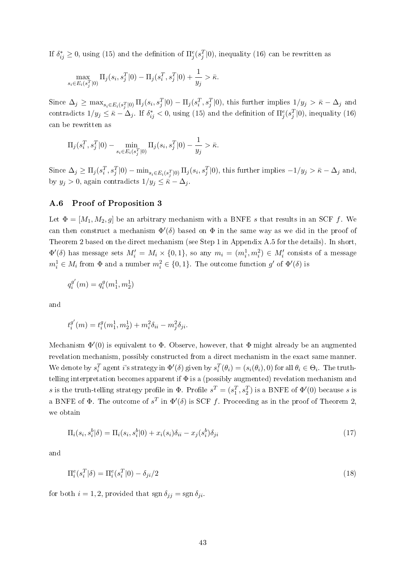If  $\delta_{ij}^* \geq 0$ , using (15) and the definition of  $\Pi_j^e(s_j^T|0)$ , inequality (16) can be rewritten as

$$
\max_{s_i \in E_i(s_j^T|0)} \Pi_j(s_i, s_j^T|0) - \Pi_j(s_i^T, s_j^T|0) + \frac{1}{y_j} > \bar{\kappa}.
$$

Since  $\Delta_j \ge \max_{s_i \in E_i(s_j^T | 0)} \Pi_j(s_i, s_j^T | 0) - \Pi_j(s_i^T, s_j^T | 0)$ , this further implies  $1/y_j > \bar{\kappa} - \Delta_j$  and contradicts  $1/y_j \leq \bar{\kappa} - \Delta_j$ . If  $\delta_{ij}^* < 0$ , using (15) and the definition of  $\Pi_j^e(s_j^T|0)$ , inequality (16) can be rewritten as

$$
\Pi_j(s_i^T, s_j^T | 0) - \min_{s_i \in E_i(s_j^T | 0)} \Pi_j(s_i, s_j^T | 0) - \frac{1}{y_j} > \bar{\kappa}.
$$

Since  $\Delta_j \ge \Pi_j(s_i^T, s_j^T | 0) - \min_{s_i \in E_i(s_j^T | 0)} \Pi_j(s_i, s_j^T | 0)$ , this further implies  $-1/y_j > \bar{\kappa} - \Delta_j$  and, by  $y_j > 0$ , again contradicts  $1/y_j \leq \bar{\kappa} - \Delta_j$ .

#### A.6 Proof of Proposition 3

Let  $\Phi = [M_1, M_2, g]$  be an arbitrary mechanism with a BNFE s that results in an SCF f. We can then construct a mechanism  $\Phi'(\delta)$  based on  $\Phi$  in the same way as we did in the proof of Theorem 2 based on the direct mechanism (see Step 1 in Appendix A.5 for the details). In short,  $\Phi'(\delta)$  has message sets  $M'_i = M_i \times \{0,1\}$ , so any  $m_i = (m_i^1, m_i^2) \in M'_i$  consists of a message  $m_i^1 \in M_i$  from  $\Phi$  and a number  $m_i^2 \in \{0,1\}$ . The outcome function  $g'$  of  $\Phi'(\delta)$  is

$$
q_i^{g^{\prime}}(m)=q_i^g(m_1^1,m_2^1)
$$

and

$$
t_i^{g'}(m) = t_i^g(m_1^1, m_2^1) + m_i^2 \delta_{ii} - m_j^2 \delta_{ji}.
$$

Mechanism  $\Phi'(0)$  is equivalent to  $\Phi$ . Observe, however, that  $\Phi$  might already be an augmented revelation mechanism, possibly constructed from a direct mechanism in the exact same manner. We denote by  $s_i^T$  agent *i*'s strategy in  $\Phi'(\delta)$  given by  $s_i^T(\theta_i) = (s_i(\theta_i), 0)$  for all  $\theta_i \in \Theta_i$ . The truthtelling interpretation becomes apparent if  $\Phi$  is a (possibly augmented) revelation mechanism and s is the truth-telling strategy profile in  $\Phi$ . Profile  $s^T = (s_1^T, s_2^T)$  is a BNFE of  $\Phi'(0)$  because s is a BNFE of  $\Phi$ . The outcome of  $s^T$  in  $\Phi'(\delta)$  is SCF f. Proceeding as in the proof of Theorem 2, we obtain

$$
\Pi_i(s_i, s_i^b | \delta) = \Pi_i(s_i, s_i^b | 0) + x_i(s_i)\delta_{ii} - x_j(s_i^b)\delta_{ji}
$$
\n(17)

and

$$
\Pi_i^e(s_i^T|\delta) = \Pi_i^e(s_i^T|0) - \delta_{ji}/2\tag{18}
$$

for both  $i = 1, 2$ , provided that  $\text{sgn }\delta_{jj} = \text{sgn }\delta_{ji}$ .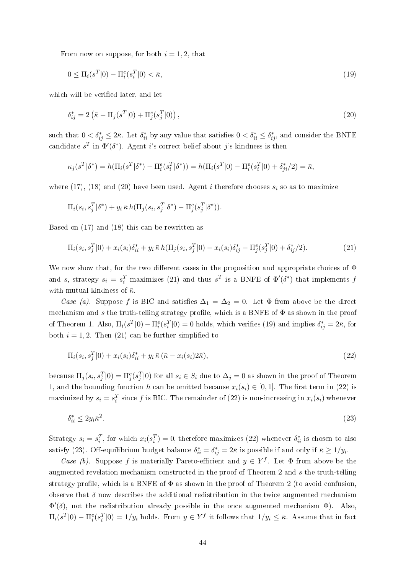From now on suppose, for both  $i = 1, 2$ , that

$$
0 \le \Pi_i(s^T|0) - \Pi_i^e(s_i^T|0) < \bar{\kappa},\tag{19}
$$

which will be verified later, and let

$$
\delta_{ij}^* = 2\left(\bar{\kappa} - \Pi_j(s^T|0) + \Pi_j^e(s_j^T|0)\right),\tag{20}
$$

such that  $0 < \delta_{ij}^* \leq 2\bar{\kappa}$ . Let  $\delta_{ii}^*$  by any value that satisfies  $0 < \delta_{ii}^* \leq \delta_{ij}^*$ , and consider the BNFE candidate  $s^T$  in  $\Phi'(\delta^*)$ . Agent *i*'s correct belief about *j*'s kindness is then

$$
\kappa_j(s^T|\delta^*) = h(\Pi_i(s^T|\delta^*) - \Pi_i^e(s_i^T|\delta^*)) = h(\Pi_i(s^T|0) - \Pi_i^e(s_i^T|0) + \delta_{ji}^*/2) = \bar{\kappa},
$$

where (17), (18) and (20) have been used. Agent i therefore chooses  $s_i$  so as to maximize

$$
\Pi_i(s_i,s_j^T|\delta^*)+y_i\,\bar\kappa\,h(\Pi_j(s_i,s_j^T|\delta^*)-\Pi_j^e(s_j^T|\delta^*)).
$$

Based on (17) and (18) this can be rewritten as

$$
\Pi_i(s_i, s_j^T | 0) + x_i(s_i) \delta_{ii}^* + y_i \bar{\kappa} h(\Pi_j(s_i, s_j^T | 0) - x_i(s_i) \delta_{ij}^* - \Pi_j^e(s_j^T | 0) + \delta_{ij}^*/2). \tag{21}
$$

We now show that, for the two different cases in the proposition and appropriate choices of  $\Phi$ and s, strategy  $s_i = s_i^T$  maximizes (21) and thus  $s^T$  is a BNFE of  $\Phi'(\delta^*)$  that implements f with mutual kindness of  $\bar{\kappa}$ .

Case (a). Suppose f is BIC and satisfies  $\Delta_1 = \Delta_2 = 0$ . Let  $\Phi$  from above be the direct mechanism and s the truth-telling strategy profile, which is a BNFE of  $\Phi$  as shown in the proof of Theorem 1. Also,  $\Pi_i(s^T|0) - \Pi_i^e(s_i^T|0) = 0$  holds, which verifies (19) and implies  $\delta_{ij}^* = 2\bar{\kappa}$ , for both  $i = 1, 2$ . Then (21) can be further simplified to

$$
\Pi_i(s_i, s_j^T | 0) + x_i(s_i) \delta_{ii}^* + y_i \bar{\kappa} (\bar{\kappa} - x_i(s_i) 2\bar{\kappa}), \tag{22}
$$

because  $\Pi_j(s_i,s_j^T|0) = \Pi_j^e(s_j^T|0)$  for all  $s_i \in S_i$  due to  $\Delta_j = 0$  as shown in the proof of Theorem 1, and the bounding function h can be omitted because  $x_i(s_i) \in [0,1]$ . The first term in (22) is maximized by  $s_i = s_i^T$  since f is BIC. The remainder of (22) is non-increasing in  $x_i(s_i)$  whenever

$$
\delta_{ii}^* \le 2y_i \bar{\kappa}^2. \tag{23}
$$

Strategy  $s_i = s_i^T$ , for which  $x_i(s_i^T) = 0$ , therefore maximizes (22) whenever  $\delta_{ii}^*$  is chosen to also satisfy (23). Off-equilibrium budget balance  $\delta_{ii}^* = \delta_{ij}^* = 2\bar{\kappa}$  is possible if and only if  $\bar{\kappa} \ge 1/y_i$ .

Case (b). Suppose f is materially Pareto-efficient and  $y \in Y^f$ . Let  $\Phi$  from above be the augmented revelation mechanism constructed in the proof of Theorem 2 and s the truth-telling strategy profile, which is a BNFE of  $\Phi$  as shown in the proof of Theorem 2 (to avoid confusion observe that  $\delta$  now describes the additional redistribution in the twice augmented mechanism  $\Phi'(\delta)$ , not the redistribution already possible in the once augmented mechanism  $\Phi$ ). Also,  $\Pi_i(s^T|0) - \Pi_i^e(s_i^T|0) = 1/y_i$  holds. From  $y \in Y^f$  it follows that  $1/y_i \leq \bar{\kappa}$ . Assume that in fact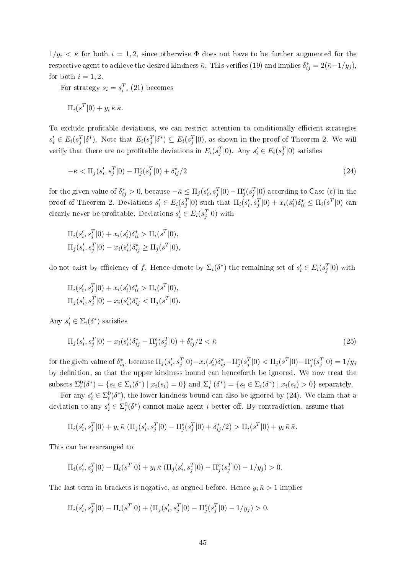$1/y_i < \bar{\kappa}$  for both  $i = 1, 2$ , since otherwise  $\Phi$  does not have to be further augmented for the respective agent to achieve the desired kindness  $\bar{\kappa}$ . This verifies (19) and implies  $\delta_{ij}^* = 2(\bar{\kappa}-1/y_j),$ for both  $i = 1, 2$ .

For strategy  $s_i = s_i^T$ , (21) becomes

$$
\Pi_i(s^T|0) + y_i \,\bar{\kappa} \,\bar{\kappa}.
$$

To exclude profitable deviations, we can restrict attention to conditionally efficient strategies  $s_i' \in E_i(s_j^T | \delta^*)$ . Note that  $E_i(s_j^T | \delta^*) \subseteq E_i(s_j^T | 0)$ , as shown in the proof of Theorem 2. We will verify that there are no profitable deviations in  $E_i(s_j^T|0)$ . Any  $s_i' \in E_i(s_j^T|0)$  satisfies

$$
-\bar{\kappa} < \Pi_j(s_i', s_j^T | 0) - \Pi_j^e(s_j^T | 0) + \delta_{ij}^* / 2 \tag{24}
$$

for the given value of  $\delta_{ij}^* > 0$ , because  $-\bar{\kappa} \leq \Pi_j(s_i', s_j^T|0) - \Pi_j^e(s_j^T|0)$  according to Case (c) in the proof of Theorem 2. Deviations  $s_i' \in E_i(s_j^T|0)$  such that  $\Pi_i(s_i', s_j^T|0) + x_i(s_i')\delta_{ii}^* \leq \Pi_i(s^T|0)$  can clearly never be profitable. Deviations  $s_i' \in E_i(s_j^T|0)$  with

$$
\Pi_i(s'_i, s_j^T|0) + x_i(s'_i)\delta_{ii}^* > \Pi_i(s^T|0),
$$
  
\n
$$
\Pi_j(s'_i, s_j^T|0) - x_i(s'_i)\delta_{ij}^* \ge \Pi_j(s^T|0),
$$

do not exist by efficiency of f. Hence denote by  $\Sigma_i(\delta^*)$  the remaining set of  $s_i' \in E_i(s_j^T|0)$  with

$$
\Pi_i(s'_i, s_j^T|0) + x_i(s'_i)\delta_{ii}^* > \Pi_i(s^T|0),
$$
  

$$
\Pi_j(s'_i, s_j^T|0) - x_i(s'_i)\delta_{ij}^* < \Pi_j(s^T|0).
$$

Any  $s_i' \in \Sigma_i(\delta^*)$  satisfies

$$
\Pi_j(s'_i, s_j^T | 0) - x_i(s'_i) \delta_{ij}^* - \Pi_j^e(s_j^T | 0) + \delta_{ij}^*/2 < \bar{\kappa} \tag{25}
$$

for the given value of  $\delta_{ij}^*$ , because  $\Pi_j(s_i',s_j^T|0)-x_i(s_i')\delta_{ij}^* -\Pi_j^e(s_j^T|0)<\Pi_j(s^T|0)-\Pi_j^e(s_j^T|0)=1/y_j$ by definition, so that the upper kindness bound can henceforth be ignored. We now treat the subsets  $\Sigma_i^0(\delta^*) = \{s_i \in \Sigma_i(\delta^*) \mid x_i(s_i) = 0\}$  and  $\Sigma_i^+(\delta^*) = \{s_i \in \Sigma_i(\delta^*) \mid x_i(s_i) > 0\}$  separately.

For any  $s_i' \in \Sigma_i^0(\delta^*)$ , the lower kindness bound can also be ignored by (24). We claim that a deviation to any  $s_i' \in \Sigma_i^0(\delta^*)$  cannot make agent i better off. By contradiction, assume that

$$
\Pi_i(s'_i, s^T_j|0) + y_i \bar{\kappa} \left( \Pi_j(s'_i, s^T_j|0) - \Pi^e_j(s^T_j|0) + \delta^*_{ij}/2 \right) > \Pi_i(s^T|0) + y_i \bar{\kappa} \bar{\kappa}.
$$

This can be rearranged to

$$
\Pi_i(s'_i, s_j^T | 0) - \Pi_i(s^T | 0) + y_i \bar{\kappa} \left( \Pi_j(s'_i, s_j^T | 0) - \Pi_j^e(s_j^T | 0) - 1/y_j \right) > 0.
$$

The last term in brackets is negative, as argued before. Hence  $y_i \bar{\kappa} > 1$  implies

$$
\Pi_i(s'_i, s_j^T | 0) - \Pi_i(s^T | 0) + (\Pi_j(s'_i, s_j^T | 0) - \Pi_j^e(s_j^T | 0) - 1/y_j) > 0.
$$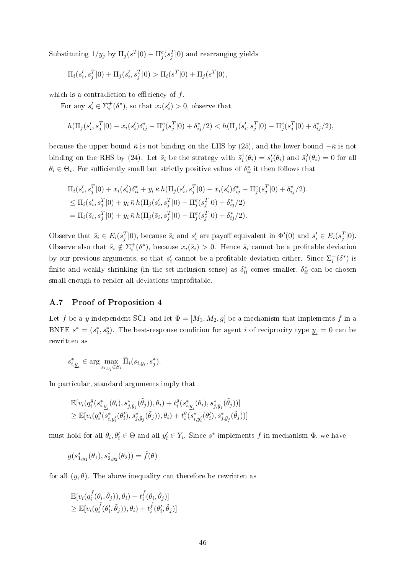Substituting  $1/y_j$  by  $\Pi_j(s^T|0) - \Pi_j^e(s_j^T|0)$  and rearranging yields

$$
\Pi_i(s'_i, s_j^T | 0) + \Pi_j(s'_i, s_j^T | 0) > \Pi_i(s^T | 0) + \Pi_j(s^T | 0),
$$

which is a contradiction to efficiency of  $f$ .

For any  $s_i' \in \Sigma_i^+(\delta^*)$ , so that  $x_i(s_i') > 0$ , observe that

$$
h(\Pi_j(s'_i, s_j^T | 0) - x_i(s'_i)\delta_{ij}^* - \Pi_j^e(s_j^T | 0) + \delta_{ij}^*/2) < h(\Pi_j(s'_i, s_j^T | 0) - \Pi_j^e(s_j^T | 0) + \delta_{ij}^*/2),
$$

because the upper bound  $\bar{\kappa}$  is not binding on the LHS by (25), and the lower bound  $-\bar{\kappa}$  is not binding on the RHS by (24). Let  $\bar{s}_i$  be the strategy with  $\bar{s}_i^1(\theta_i) = s_i'(\theta_i)$  and  $\bar{s}_i^2(\theta_i) = 0$  for all  $\theta_i \in \Theta_i$ . For sufficiently small but strictly positive values of  $\delta_{ii}^*$  it then follows that

$$
\Pi_i(s'_i, s_j^T|0) + x_i(s'_i)\delta_{ii}^* + y_i \bar{\kappa} h(\Pi_j(s'_i, s_j^T|0) - x_i(s'_i)\delta_{ij}^* - \Pi_j^e(s_j^T|0) + \delta_{ij}^*/2) \n\leq \Pi_i(s'_i, s_j^T|0) + y_i \bar{\kappa} h(\Pi_j(s'_i, s_j^T|0) - \Pi_j^e(s_j^T|0) + \delta_{ij}^*/2) \n= \Pi_i(\bar{s}_i, s_j^T|0) + y_i \bar{\kappa} h(\Pi_j(\bar{s}_i, s_j^T|0) - \Pi_j^e(s_j^T|0) + \delta_{ij}^*/2).
$$

Observe that  $\bar{s}_i \in E_i(s_j^T|0)$ , because  $\bar{s}_i$  and  $s'_i$  are payoff equivalent in  $\Phi'(0)$  and  $s'_i \in E_i(s_j^T|0)$ . Observe also that  $\bar{s}_i \notin \Sigma_i^+(\delta^*)$ , because  $x_i(\bar{s}_i) > 0$ . Hence  $\bar{s}_i$  cannot be a profitable deviation by our previous arguments, so that  $s'_i$  cannot be a profitable deviation either. Since  $\Sigma_i^+(\delta^*)$  is finite and weakly shrinking (in the set inclusion sense) as  $\delta_{ii}^*$  comes smaller,  $\delta_{ii}^*$  can be chosen small enough to render all deviations unprofitable.

#### A.7 Proof of Proposition 4

Let f be a y-independent SCF and let  $\Phi = [M_1, M_2, g]$  be a mechanism that implements f in a BNFE  $s^* = (s_1^*, s_2^*)$ . The best-response condition for agent *i* of reciprocity type  $\underline{y}_i = 0$  can be rewritten as

$$
s_{i,\underline{y}_i}^*\in\arg\max_{s_{i,y_i}\in S_i}\bar{\Pi}_i(s_{i,y_i},s_j^*).
$$

In particular, standard arguments imply that

$$
\mathbb{E}[v_i(q_i^g(s_{i,\underline{y}_i}^*(\theta_i), s_{j,\tilde{y}_j}^*(\tilde{\theta}_j)), \theta_i) + t_i^g(s_{i,\underline{y}_i}^*(\theta_i), s_{j,\tilde{y}_j}^*(\tilde{\theta}_j))]
$$
\n
$$
\geq \mathbb{E}[v_i(q_i^g(s_{i,\underline{y}'_i}^*(\theta'_i), s_{j,\tilde{y}_j}^*(\tilde{\theta}_j)), \theta_i) + t_i^g(s_{i,\underline{y}'_i}^*(\theta'_i), s_{j,\tilde{y}_j}^*(\tilde{\theta}_j))]
$$

must hold for all  $\theta_i, \theta'_i \in \Theta$  and all  $y'_i \in Y_i$ . Since  $s^*$  implements f in mechanism  $\Phi$ , we have

$$
g(s_{1,y_1}^*(\theta_1),s_{2,y_2}^*(\theta_2))=\hat{f}(\theta)
$$

for all  $(y, \theta)$ . The above inequality can therefore be rewritten as

$$
\mathbb{E}[v_i(q_i^{\hat{f}}(\theta_i,\tilde{\theta}_j)),\theta_i) + t_i^{\hat{f}}(\theta_i,\tilde{\theta}_j)]\n\geq \mathbb{E}[v_i(q_i^{\hat{f}}(\theta'_i,\tilde{\theta}_j)),\theta_i) + t_i^{\hat{f}}(\theta'_i,\tilde{\theta}_j)]
$$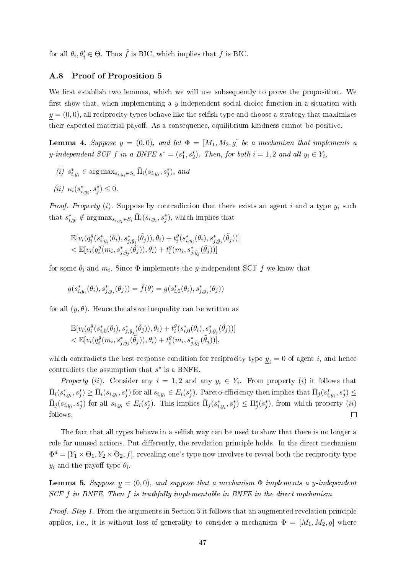for all  $\theta_i, \theta'_i \in \Theta$ . Thus  $\hat{f}$  is BIC, which implies that  $f$  is BIC.

#### A.8 Proof of Proposition 5

We first establish two lemmas, which we will use subsequently to prove the proposition. We first show that, when implementing a y-independent social choice function in a situation with  $y = (0, 0)$ , all reciprocity types behave like the selfish type and choose a strategy that maximizes their expected material payoff. As a consequence, equilibrium kindness cannot be positive.

**Lemma 4.** Suppose  $y = (0, 0)$ , and let  $\Phi = [M_1, M_2, g]$  be a mechanism that implements a y-independent SCF f in a BNFE  $s^* = (s_1^*, s_2^*)$ . Then, for both  $i = 1, 2$  and all  $y_i \in Y_i$ ,

 $(i)$   $s_{i,y_i}^* \in \arg \max_{s_{i,y_i} \in S_i} \bar{\Pi}_i(s_{i,y_i}, s_j^*)$ , and

$$
(ii) \ \ \kappa_i(s_{i,y_i}^*,s_j^*) \leq 0.
$$

*Proof. Property* (i). Suppose by contradiction that there exists an agent i and a type  $y_i$  such that  $s_{i,y_i}^* \notin \arg \max_{s_{i,y_i} \in S_i} \bar{\Pi}_i(s_{i,y_i}, s_j^*)$ , which implies that

$$
\mathbb{E}[v_i(q_i^g(s_{i,y_i}^*(\theta_i), s_{j,\tilde{y}_j}^*(\tilde{\theta}_j)), \theta_i) + t_i^g(s_{i,y_i}^*(\theta_i), s_{j,\tilde{y}_j}^*(\tilde{\theta}_j))]
$$
  

$$
< \mathbb{E}[v_i(q_i^g(m_i, s_{j,\tilde{y}_j}^*(\tilde{\theta}_j)), \theta_i) + t_i^g(m_i, s_{j,\tilde{y}_j}^*(\tilde{\theta}_j))]
$$

for some  $\theta_i$  and  $m_i$ . Since  $\Phi$  implements the y-independent SCF  $f$  we know that

$$
g(s^*_{i,y_i}(\theta_i), s^*_{j,y_j}(\theta_j)) = \hat{f}(\theta) = g(s^*_{i,0}(\theta_i), s^*_{j,y_j}(\theta_j))
$$

for all  $(y, \theta)$ . Hence the above inequality can be written as

$$
\mathbb{E}[v_i(q_i^g(s_{i,0}^*(\theta_i), s_{j,\tilde{y}_j}^*(\tilde{\theta}_j)), \theta_i) + t_i^g(s_{i,0}^*(\theta_i), s_{j,\tilde{y}_j}^*(\tilde{\theta}_j))]
$$
  

$$
< \mathbb{E}[v_i(q_i^g(m_i, s_{j,\tilde{y}_j}^*(\tilde{\theta}_j)), \theta_i) + t_i^g(m_i, s_{j,\tilde{y}_j}^*(\tilde{\theta}_j))],
$$

which contradicts the best-response condition for reciprocity type  $\underline{y}_i = 0$  of agent i, and hence contradicts the assumption that  $s^*$  is a BNFE.

*Property* (*ii*). Consider any  $i = 1, 2$  and any  $y_i \in Y_i$ . From property (*i*) it follows that  $\bar{\Pi}_i(s^*_{i,y_i},s^*_j) \geq \bar{\Pi}_i(s_{i,y_i},s^*_j)$  for all  $s_{i,y_i} \in E_i(s^*_j)$ . Pareto-efficiency then implies that  $\bar{\Pi}_j(s^*_{i,y_i},s^*_j) \leq$  $\bar{\Pi}_j(s_{i,y_i},s_j^*)$  for all  $s_{i,y_i} \in E_i(s_j^*)$ . This implies  $\bar{\Pi}_j(s_{i,y_i}^*,s_j^*) \leq \Pi_j^e(s_j^*)$ , from which property  $(ii)$ follows.  $\Box$ 

The fact that all types behave in a selfish way can be used to show that there is no longer a role for unused actions. Put differently, the revelation principle holds. In the direct mechanism  $\Phi^d=[Y_1\times\Theta_1, Y_2\times\Theta_2, f],$  revealing one's type now involves to reveal both the reciprocity type  $y_i$  and the payoff type  $\theta_i$ .

**Lemma 5.** Suppose  $y = (0, 0)$ , and suppose that a mechanism  $\Phi$  implements a y-independent SCF f in BNFE. Then f is truthfully implementable in BNFE in the direct mechanism.

*Proof.* Step 1. From the arguments in Section 5 it follows that an augmented revelation principle applies, i.e., it is without loss of generality to consider a mechanism  $\Phi = [M_1, M_2, g]$  where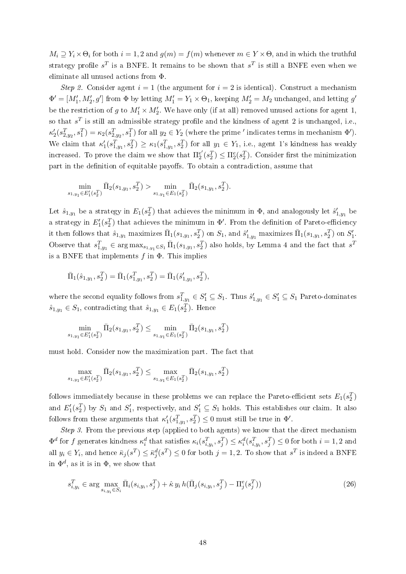$M_i \supseteq Y_i \times \Theta_i$  for both  $i = 1, 2$  and  $g(m) = f(m)$  whenever  $m \in Y \times \Theta$ , and in which the truthful strategy profile  $s^T$  is a BNFE. It remains to be shown that  $s^T$  is still a BNFE even when we eliminate all unused actions from Φ.

Step 2. Consider agent  $i = 1$  (the argument for  $i = 2$  is identical). Construct a mechanism  $\Phi' = [M'_1, M'_2, g']$  from  $\Phi$  by letting  $M'_1 = Y_1 \times \Theta_1$ , keeping  $M'_2 = M_2$  unchanged, and letting  $g'$ be the restriction of g to  $M'_1 \times M'_2$ . We have only (if at all) removed unused actions for agent 1, so that  $s^T$  is still an admissible strategy profile and the kindness of agent 2 is unchanged, i.e.,  $\kappa_2'(s_{2,y_2}^T, s_1^T) = \kappa_2(s_{2,y_2}^T, s_1^T)$  for all  $y_2 \in Y_2$  (where the prime ' indicates terms in mechanism  $\Phi'$ ). We claim that  $\kappa'_1(s_{1,y_1}^T, s_2^T) \geq \kappa_1(s_{1,y_1}^T, s_2^T)$  for all  $y_1 \in Y_1$ , i.e., agent 1's kindness has weakly increased. To prove the claim we show that  $\Pi_2^{e'}$  $\mathcal{L}_2^{e'}(s_2^T) \leq \Pi_2^e(s_2^T)$ . Consider first the minimization part in the definition of equitable payoffs. To obtain a contradiction, assume that

$$
\min_{1,y_1 \in E'_1(s_2^T)} \bar{\Pi}_2(s_{1,y_1}, s_2^T) > \min_{s_{1,y_1} \in E_1(s_2^T)} \bar{\Pi}_2(s_{1,y_1}, s_2^T).
$$

 $\overline{s}$ 

Let  $\hat{s}_{1,y_1}$  be a strategy in  $E_1(s_2^T)$  that achieves the minimum in  $\Phi$ , and analogously let  $\hat{s}'_{1,y_1}$  be a strategy in  $E_1'(s_2^T)$  that achieves the minimum in  $\Phi'$ . From the definition of Pareto-efficiency it then follows that  $\hat{s}_{1,y_1}$  maximizes  $\bar{\Pi}_1(s_{1,y_1},s_2^T)$  on  $S_1$ , and  $\hat{s}'_{1,y_1}$  maximizes  $\bar{\Pi}_1(s_{1,y_1},s_2^T)$  on  $S'_1$ . Observe that  $s_{1,y_1}^T \in \arg \max_{s_{1,y_1} \in S_1} \bar{\Pi}_1(s_{1,y_1}, s_2^T)$  also holds, by Lemma 4 and the fact that  $s^T$ is a BNFE that implements  $f$  in  $\Phi$ . This implies

$$
\bar{\Pi}_{1}(\hat{s}_{1,y_1},s_{2}^{T})=\bar{\Pi}_{1}(s_{1,y_1}^{T},s_{2}^{T})=\bar{\Pi}_{1}(\hat{s}_{1,y_1}',s_{2}^{T}),
$$

where the second equality follows from  $s_{1,y_1}^T \in S_1' \subseteq S_1$ . Thus  $\hat{s}_{1,y_1}' \in S_1' \subseteq S_1$  Pareto-dominates  $\hat{s}_{1,y_1} \in S_1$ , contradicting that  $\hat{s}_{1,y_1} \in E_1(s_2^T)$ . Hence

$$
\min_{s_{1,y_1} \in E'_1(s_2^T)} \bar{\Pi}_2(s_{1,y_1}, s_2^T) \le \min_{s_{1,y_1} \in E_1(s_2^T)} \bar{\Pi}_2(s_{1,y_1}, s_2^T)
$$

must hold. Consider now the maximization part. The fact that

$$
\max_{s_{1,y_1} \in E'_1(s_2^T)} \bar{\Pi}_2(s_{1,y_1}, s_2^T) \le \max_{s_{1,y_1} \in E_1(s_2^T)} \bar{\Pi}_2(s_{1,y_1}, s_2^T)
$$

follows immediately because in these problems we can replace the Pareto-efficient sets  $E_1(s_2^T)$ and  $E'_1(s_2^T)$  by  $S_1$  and  $S'_1$ , respectively, and  $S'_1 \subseteq S_1$  holds. This establishes our claim. It also follows from these arguments that  $\kappa'_1(s_{1,y_1}^T, s_2^T) \leq 0$  must still be true in  $\Phi'$ .

Step 3. From the previous step (applied to both agents) we know that the direct mechanism  $\Phi^d$  for f generates kindness  $\kappa_i^d$  that satisfies  $\kappa_i(s_{i,y_i}^T,s_j^T) \leq \kappa_i^d(s_{i,y_i}^T,s_j^T) \leq 0$  for both  $i=1,2$  and all  $y_i \in Y_i$ , and hence  $\bar{\kappa}_j(s^T) \leq \bar{\kappa}_j^d(s^T) \leq 0$  for both  $j = 1, 2$ . To show that  $s^T$  is indeed a BNFE in  $\Phi^d$ , as it is in  $\Phi$ , we show that

$$
s_{i,y_i}^T \in \arg\max_{s_{i,y_i} \in S_i} \bar{\Pi}_i(s_{i,y_i}, s_j^T) + \hat{\kappa} \, y_i \, h(\bar{\Pi}_j(s_{i,y_i}, s_j^T) - \Pi_j^e(s_j^T)) \tag{26}
$$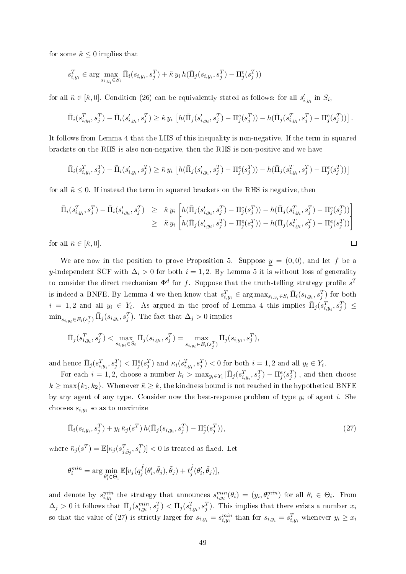for some  $\hat{\kappa} \leq 0$  implies that

$$
s_{i,y_i}^T \in \arg \max_{s_{i,y_i} \in S_i} \bar{\Pi}_i(s_{i,y_i}, s_j^T) + \tilde{\kappa} y_i h(\bar{\Pi}_j(s_{i,y_i}, s_j^T) - \Pi_j^e(s_j^T))
$$

for all  $\tilde{\kappa} \in [\hat{\kappa},0]$ . Condition (26) can be equivalently stated as follows: for all  $s'_{i,y_i}$  in  $S_i$ ,

$$
\bar{\Pi}_{i}(s_{i,y_{i}}^{T},s_{j}^{T}) - \bar{\Pi}_{i}(s_{i,y_{i}}^{\prime},s_{j}^{T}) \geq \hat{\kappa} y_{i} \left[ h(\bar{\Pi}_{j}(s_{i,y_{i}}^{\prime},s_{j}^{T}) - \Pi_{j}^{e}(s_{j}^{T})) - h(\bar{\Pi}_{j}(s_{i,y_{i}}^{T},s_{j}^{T}) - \Pi_{j}^{e}(s_{j}^{T})) \right].
$$

It follows from Lemma 4 that the LHS of this inequality is non-negative. If the term in squared brackets on the RHS is also non-negative, then the RHS is non-positive and we have

$$
\bar{\Pi}_{i}(s_{i,y_{i}}^{T},s_{j}^{T}) - \bar{\Pi}_{i}(s_{i,y_{i}}^{\prime},s_{j}^{T}) \geq \tilde{\kappa} y_{i} \left[ h(\bar{\Pi}_{j}(s_{i,y_{i}}^{\prime},s_{j}^{T}) - \Pi_{j}^{e}(s_{j}^{T})) - h(\bar{\Pi}_{j}(s_{i,y_{i}}^{T},s_{j}^{T}) - \Pi_{j}^{e}(s_{j}^{T})) \right]
$$

for all  $\tilde{\kappa} \leq 0$ . If instead the term in squared brackets on the RHS is negative, then

$$
\begin{aligned}\n\bar{\Pi}_{i}(s_{i,y_{i}}^{T},s_{j}^{T}) - \bar{\Pi}_{i}(s_{i,y_{i}}^{\prime},s_{j}^{T}) &\geq \hat{\kappa} y_{i} \left[ h(\bar{\Pi}_{j}(s_{i,y_{i}}^{\prime},s_{j}^{T}) - \Pi_{j}^{e}(s_{j}^{T})) - h(\bar{\Pi}_{j}(s_{i,y_{i}}^{T},s_{j}^{T}) - \Pi_{j}^{e}(s_{j}^{T})) \right] \\
&\geq \tilde{\kappa} y_{i} \left[ h(\bar{\Pi}_{j}(s_{i,y_{i}}^{\prime},s_{j}^{T}) - \Pi_{j}^{e}(s_{j}^{T})) - h(\bar{\Pi}_{j}(s_{i,y_{i}}^{T},s_{j}^{T}) - \Pi_{j}^{e}(s_{j}^{T})) \right] \\
\text{all } \tilde{\kappa} \in [\hat{\kappa},0].\n\end{aligned}
$$

for all  $\tilde{\kappa} \in [\hat{\kappa}, 0]$ .

We are now in the position to prove Proposition 5. Suppose  $y = (0,0)$ , and let f be a y-independent SCF with  $\Delta_i > 0$  for both  $i = 1, 2$ . By Lemma 5 it is without loss of generality to consider the direct mechanism  $\Phi^d$  for f. Suppose that the truth-telling strategy profile  $s^T$ is indeed a BNFE. By Lemma 4 we then know that  $s_{i,y_i}^T \in \arg \max_{s_{i,y_i} \in S_i} \bar{\Pi}_i(s_{i,y_i}, s_j^T)$  for both  $i = 1, 2$  and all  $y_i \in Y_i$ . As argued in the proof of Lemma 4 this implies  $\bar{\Pi}_j(s_{i,y_i}^T, s_j^T) \leq$  $\min_{s_{i,y_i} \in E_i(s_j^T)} \bar{\Pi}_j(s_{i,y_i}, s_j^T)$ . The fact that  $\Delta_j > 0$  implies

$$
\bar{\Pi}_{j}(s_{i,y_i}^T, s_j^T) < \max_{s_{i,y_i} \in S_i} \bar{\Pi}_{j}(s_{i,y_i}, s_j^T) = \max_{s_{i,y_i} \in E_i(s_j^T)} \bar{\Pi}_{j}(s_{i,y_i}, s_j^T),
$$

and hence  $\bar{\Pi}_j(s_{i,y_i}^T,s_j^T) < \Pi_j^e(s_j^T)$  and  $\kappa_i(s_{i,y_i}^T,s_j^T) < 0$  for both  $i = 1,2$  and all  $y_i \in Y_i$ .

For each  $i=1,2$ , choose a number  $k_i > \max_{y_i \in Y_i} |\bar{\Pi}_j(s_{i,y_i}^T, s_j^T) - \Pi_j^e(s_j^T)|$ , and then choose  $k \ge \max\{k_1, k_2\}$ . Whenever  $\bar{\kappa} \ge k$ , the kindness bound is not reached in the hypothetical BNFE by any agent of any type. Consider now the best-response problem of type  $y_i$  of agent i. She chooses  $s_{i,y_i}$  so as to maximize

$$
\bar{\Pi}_{i}(s_{i,y_{i}}, s_{j}^{T}) + y_{i} \bar{\kappa}_{j}(s^{T}) h(\bar{\Pi}_{j}(s_{i,y_{i}}, s_{j}^{T}) - \Pi_{j}^{e}(s_{j}^{T})), \qquad (27)
$$

where  $\bar{\kappa}_j(s^T) = \mathbb{E}[\kappa_j(s_{j,\tilde{y}_j}^T,s_i^T)] < 0$  is treated as fixed. Let

$$
\theta_i^{min} = \arg\min_{\theta'_i \in \Theta_i} \mathbb{E}[v_j(q_j^{\hat{f}}(\theta'_i, \tilde{\theta}_j), \tilde{\theta}_j) + t_j^{\hat{f}}(\theta'_i, \tilde{\theta}_j)],
$$

and denote by  $s_{i,y_i}^{min}$  the strategy that announces  $s_{i,y_i}^{min}(\theta_i) = (y_i, \theta_i^{min})$  for all  $\theta_i \in \Theta_i$ . From  $\Delta_j > 0$  it follows that  $\bar{\Pi}_j(s_{i,y_i}^{min}, s_j^T) < \bar{\Pi}_j(s_{i,y_i}^T, s_j^T)$ . This implies that there exists a number  $x_i$ so that the value of (27) is strictly larger for  $s_{i,y_i} = s_{i,y_i}^{min}$  than for  $s_{i,y_i} = s_{i,y_i}^T$  whenever  $y_i \ge x_i$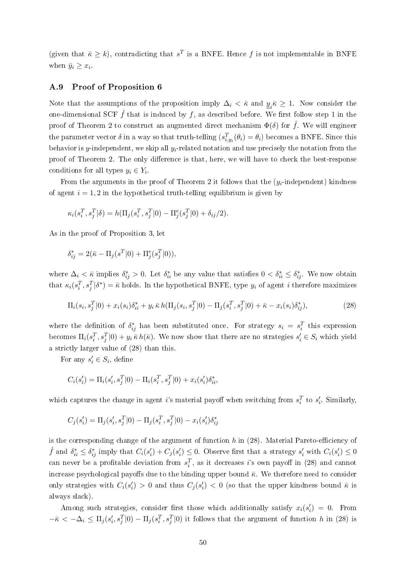(given that  $\bar{\kappa} \geq k$ ), contradicting that  $s^T$  is a BNFE. Hence f is not implementable in BNFE when  $\bar{y}_i \geq x_i$ .

#### A.9 Proof of Proposition 6

Note that the assumptions of the proposition imply  $\Delta_i < \bar{\kappa}$  and  $\underline{y}_i \bar{\kappa} \geq 1$ . Now consider the one-dimensional SCF  $\hat{f}$  that is induced by f, as described before. We first follow step 1 in the proof of Theorem 2 to construct an augmented direct mechanism  $\Phi(\delta)$  for  $\hat{f}$ . We will engineer the parameter vector  $\delta$  in a way so that truth-telling  $(s_{i,y_i}^T(\theta_i) = \theta_i)$  becomes a BNFE. Since this behavior is y-independent, we skip all  $y_i$ -related notation and use precisely the notation from the proof of Theorem 2. The only difference is that, here, we will have to check the best-response conditions for all types  $y_i \in Y_i$ .

From the arguments in the proof of Theorem 2 it follows that the  $(y_i$ -independent) kindness of agent  $i = 1, 2$  in the hypothetical truth-telling equilibrium is given by

$$
\kappa_i(s_i^T, s_j^T | \delta) = h(\Pi_j(s_i^T, s_j^T | 0) - \Pi_j^e(s_j^T | 0) + \delta_{ij}/2).
$$

As in the proof of Proposition 3, let

$$
\delta_{ij}^* = 2(\bar{\kappa} - \Pi_j(s^T|0) + \Pi_j^e(s_j^T|0)),
$$

where  $\Delta_i < \bar{\kappa}$  implies  $\delta_{ij}^* > 0$ . Let  $\delta_{ii}^*$  be any value that satisfies  $0 < \delta_{ii}^* \leq \delta_{ij}^*$ . We now obtain that  $\kappa_i(s_i^T, s_j^T | \delta^*) = \bar{\kappa}$  holds. In the hypothetical BNFE, type  $y_i$  of agent i therefore maximizes

$$
\Pi_i(s_i, s_j^T | 0) + x_i(s_i) \delta_{ii}^* + y_i \bar{\kappa} h(\Pi_j(s_i, s_j^T | 0) - \Pi_j(s_i^T, s_j^T | 0) + \bar{\kappa} - x_i(s_i) \delta_{ij}^*),
$$
\n(28)

where the definition of  $\delta_{ij}^*$  has been substituted once. For strategy  $s_i = s_i^T$  this expression becomes  $\Pi_i(s_i^T, s_j^T | 0) + y_i \bar{\kappa} h(\bar{\kappa})$ . We now show that there are no strategies  $s_i' \in S_i$  which yield a strictly larger value of (28) than this.

For any  $s_i' \in S_i$ , define

$$
C_i(s_i') = \Pi_i(s_i', s_j^T | 0) - \Pi_i(s_i^T, s_j^T | 0) + x_i(s_i') \delta_{ii}^*,
$$

which captures the change in agent *i*'s material payoff when switching from  $s_i^T$  to  $s_i'$ . Similarly,

$$
C_j(s_i') = \Pi_j(s_i', s_j^T | 0) - \Pi_j(s_i^T, s_j^T | 0) - x_i(s_i') \delta_{ij}^*
$$

is the corresponding change of the argument of function  $h$  in  $(28)$ . Material Pareto-efficiency of  $\hat{f}$  and  $\delta_{ii}^* \leq \delta_{ij}^*$  imply that  $C_i(s_i') + C_j(s_i') \leq 0$ . Observe first that a strategy  $s_i'$  with  $C_i(s_i') \leq 0$ can never be a profitable deviation from  $s_i^T$ , as it decreases *i*'s own payoff in (28) and cannot increase psychological payoffs due to the binding upper bound  $\bar{\kappa}$ . We therefore need to consider only strategies with  $C_i(s_i') > 0$  and thus  $C_j(s_i') < 0$  (so that the upper kindness bound  $\bar{\kappa}$  is always slack).

Among such strategies, consider first those which additionally satisfy  $x_i(s'_i) = 0$ . From  $-\bar{\kappa} < -\Delta_i \leq \Pi_j(s'_i, s_j^T | 0) - \Pi_j(s_i^T, s_j^T | 0)$  it follows that the argument of function h in (28) is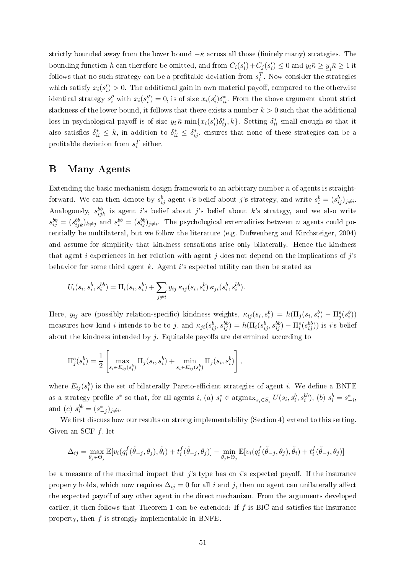strictly bounded away from the lower bound  $-\bar{\kappa}$  across all those (finitely many) strategies. The bounding function h can therefore be omitted, and from  $C_i(s'_i) + C_j(s'_i) \leq 0$  and  $y_i \bar{\kappa} \geq \underline{y}_i \bar{\kappa} \geq 1$  it follows that no such strategy can be a profitable deviation from  $s_i^T$ . Now consider the strategies which satisfy  $x_i(s'_i) > 0$ . The additional gain in own material payoff, compared to the otherwise identical strategy  $s''_i$  with  $x_i(s''_i) = 0$ , is of size  $x_i(s'_i)\delta^*_{ii}$ . From the above argument about strict slackness of the lower bound, it follows that there exists a number  $k > 0$  such that the additional loss in psychological payoff is of size  $y_i \bar{\kappa} \min\{x_i(s_i')\delta_{ij}^*, k\}$ . Setting  $\delta_{ii}^*$  small enough so that it also satisfies  $\delta_{ii}^* \leq k$ , in addition to  $\delta_{ii}^* \leq \delta_{ij}^*$ , ensures that none of these strategies can be a profitable deviation from  $s_i^T$  either.

## B Many Agents

Extending the basic mechanism design framework to an arbitrary number  $n$  of agents is straightforward. We can then denote by  $s_{ij}^b$  agent i's belief about j's strategy, and write  $s_i^b = (s_{ij}^b)_{j \neq i}$ . Analogously,  $s_{ijk}^{bb}$  is agent i's belief about j's belief about k's strategy, and we also write  $s_{ij}^{bb} = (s_{ijk}^{bb})_{k \neq j}$  and  $s_i^{bb} = (s_{ij}^{bb})_{j \neq i}$ . The psychological externalities between n agents could potentially be multilateral, but we follow the literature (e.g. Dufwenberg and Kirchsteiger, 2004) and assume for simplicity that kindness sensations arise only bilaterally. Hence the kindness that agent i experiences in her relation with agent j does not depend on the implications of j's behavior for some third agent  $k$ . Agent i's expected utility can then be stated as

$$
U_i(s_i, s_i^b, s_i^{bb}) = \Pi_i(s_i, s_i^b) + \sum_{j \neq i} y_{ij} \, \kappa_{ij}(s_i, s_i^b) \, \kappa_{ji}(s_i^b, s_i^{bb}).
$$

Here,  $y_{ij}$  are (possibly relation-specific) kindness weights,  $\kappa_{ij}(s_i, s_i^b) = h(\Pi_j(s_i, s_i^b) - \Pi_j^e(s_i^b))$ measures how kind *i* intends to be to j, and  $\kappa_{ji}(s_{ij}^b, s_{ij}^{bb}) = h(\Pi_i(s_{ij}^b, s_{ij}^{bb}) - \Pi_i^e(s_{ij}^{bb}))$  is *i*'s belief about the kindness intended by  $i$ . Equitable payoffs are determined according to

$$
\Pi_j^e(s_i^b) = \frac{1}{2} \left[ \max_{s_i \in E_{ij}(s_i^b)} \Pi_j(s_i, s_i^b) + \min_{s_i \in E_{ij}(s_i^b)} \Pi_j(s_i, s_i^b) \right],
$$

where  $E_{ij}(s_i^b)$  is the set of bilaterally Pareto-efficient strategies of agent i. We define a BNFE as a strategy profile  $s^*$  so that, for all agents  $i$ ,  $(a)$   $s_i^* \in \text{argmax}_{s_i \in S_i} U(s_i, s_i^b, s_i^{bb})$ ,  $(b)$   $s_i^b = s_{-i}^*$ , and (c)  $s_i^{bb} = (s_{-j}^*)_{j \neq i}$ .

We first discuss how our results on strong implementability (Section 4) extend to this setting. Given an SCF f, let

$$
\Delta_{ij} = \max_{\theta_j \in \Theta_j} \mathbb{E}[v_i(q_i^f(\tilde{\theta}_{-j}, \theta_j), \tilde{\theta}_i) + t_i^f(\tilde{\theta}_{-j}, \theta_j)] - \min_{\theta_j \in \Theta_j} \mathbb{E}[v_i(q_i^f(\tilde{\theta}_{-j}, \theta_j), \tilde{\theta}_i) + t_i^f(\tilde{\theta}_{-j}, \theta_j)]
$$

be a measure of the maximal impact that j's type has on i's expected payoff. If the insurance property holds, which now requires  $\Delta_{ij} = 0$  for all i and j, then no agent can unilaterally affect the expected payoff of any other agent in the direct mechanism. From the arguments developed earlier, it then follows that Theorem 1 can be extended: If  $f$  is BIC and satisfies the insurance property, then f is strongly implementable in BNFE.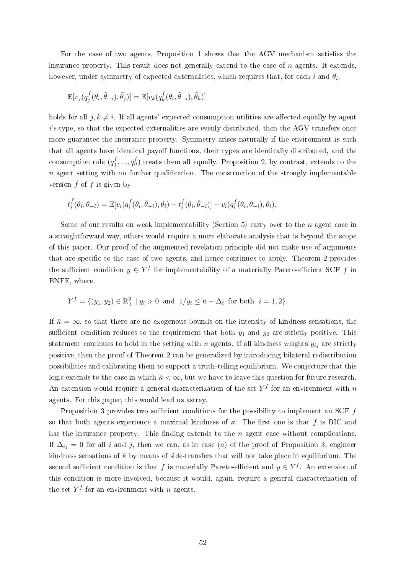For the case of two agents, Proposition 1 shows that the AGV mechanism satisfies the insurance property. This result does not generally extend to the case of  $n$  agents. It extends, however, under symmetry of expected externalities, which requires that, for each  $i$  and  $\theta_i,$ 

$$
\mathbb{E}[v_j(q_j^f(\theta_i,\tilde{\theta}_{-i}),\tilde{\theta}_j)] = \mathbb{E}[v_k(q_k^f(\theta_i,\tilde{\theta}_{-i}),\tilde{\theta}_k)]
$$

holds for all  $j, k \neq i$ . If all agents' expected consumption utilities are affected equally by agent i's type, so that the expected externalities are evenly distributed, then the AGV transfers once more guarantee the insurance property. Symmetry arises naturally if the environment is such that all agents have identical payoff functions, their types are identically distributed, and the consumption rule  $(q_1^f)$  $\hat{p}_1^{f},...,q_n^{f}$ ) treats them all equally. Proposition 2, by contrast, extends to the  $n$  agent setting with no further qualification. The construction of the strongly implementable version  $\bar{f}$  of f is given by

$$
t_i^{\bar{f}}(\theta_i, \theta_{-i}) = \mathbb{E}[v_i(q_i^f(\theta_i, \tilde{\theta}_{-i}), \theta_i) + t_i^f(\theta_i, \tilde{\theta}_{-i})] - v_i(q_i^f(\theta_i, \theta_{-i}), \theta_i).
$$

Some of our results on weak implementability (Section 5) carry over to the n agent case in a straightforward way, others would require a more elaborate analysis that is beyond the scope of this paper. Our proof of the augmented revelation principle did not make use of arguments that are specific to the case of two agents, and hence continues to apply. Theorem 2 provides the sufficient condition  $y \in Y^f$  for implementability of a materially Pareto-efficient SCF f in BNFE, where

$$
Y^f = \{ (y_1, y_2) \in \mathbb{R}_+^2 \mid y_i > 0 \text{ and } 1/y_i \le \bar{\kappa} - \Delta_i \text{ for both } i = 1, 2 \}.
$$

If  $\bar{\kappa} = \infty$ , so that there are no exogenous bounds on the intensity of kindness sensations, the sufficient condition reduces to the requirement that both  $y_1$  and  $y_2$  are strictly positive. This statement continues to hold in the setting with n agents. If all kindness weights  $y_{ij}$  are strictly positive, then the proof of Theorem 2 can be generalized by introducing bilateral redistribution possibilities and calibrating them to support a truth-telling equilibrium. We conjecture that this logic extends to the case in which  $\bar{\kappa} < \infty$ , but we have to leave this question for future research. An extension would require a general characterization of the set  $Y^f$  for an environment with  $n$ agents. For this paper, this would lead us astray.

Proposition 3 provides two sufficient conditions for the possibility to implement an SCF  $f$ so that both agents experience a maximal kindness of  $\bar{\kappa}$ . The first one is that f is BIC and has the insurance property. This finding extends to the  $n$  agent case without complications. If  $\Delta_{ij} = 0$  for all i and j, then we can, as in case (a) of the proof of Proposition 3, engineer kindness sensations of  $\bar{\kappa}$  by means of side-transfers that will not take place in equilibrium. The second sufficient condition is that  $f$  is materially Pareto-efficient and  $y \in Y^f$ . An extension of this condition is more involved, because it would, again, require a general characterization of the set  $Y^f$  for an environment with n agents.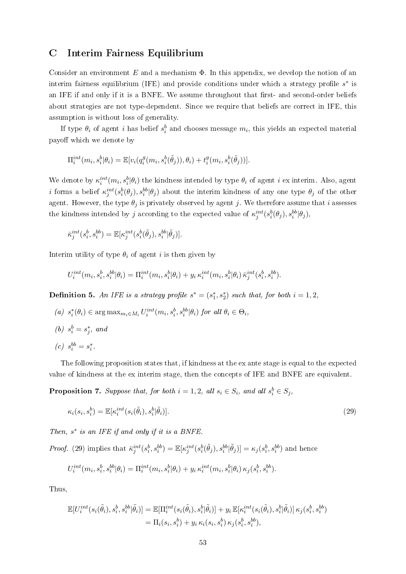## C Interim Fairness Equilibrium

Consider an environment  $E$  and a mechanism  $\Phi$ . In this appendix, we develop the notion of an interim fairness equilibrium (IFE) and provide conditions under which a strategy profile  $s^*$  is an IFE if and only if it is a BNFE. We assume throughout that first- and second-order beliefs about strategies are not type-dependent. Since we require that beliefs are correct in IFE, this assumption is without loss of generality.

If type  $\theta_i$  of agent i has belief  $s_i^b$  and chooses message  $m_i$ , this yields an expected material payoff which we denote by

$$
\Pi_i^{int}(m_i,s_i^b|\theta_i) = \mathbb{E}[v_i(q_i^g(m_i,s_i^b(\tilde{\theta}_j)),\theta_i) + t_i^g(m_i,s_i^b(\tilde{\theta}_j))].
$$

We denote by  $\kappa_i^{int}(m_i,s_i^b|\theta_i)$  the kindness intended by type  $\theta_i$  of agent i ex interim. Also, agent i forms a belief  $\kappa_j^{int}(s_i^b(\theta_j), s_i^{bb}|\theta_j)$  about the interim kindness of any one type  $\theta_j$  of the other agent. However, the type  $\theta_j$  is privately observed by agent j. We therefore assume that i assesses the kindness intended by j according to the expected value of  $\kappa_j^{int}(s_i^b(\theta_j), s_i^{bb}|\theta_j)$ ,

$$
\bar{\kappa}_j^{int}(s_i^b,s_i^{bb})=\mathbb{E}[\kappa_j^{int}(s_i^b(\tilde{\theta}_j),s_i^{bb}|\tilde{\theta}_j)].
$$

Interim utility of type  $\theta_i$  of agent i is then given by

$$
U_i^{int}(m_i, s_i^b, s_i^{bb}|\theta_i) = \Pi_i^{int}(m_i, s_i^b|\theta_i) + y_i \kappa_i^{int}(m_i, s_i^b|\theta_i) \bar{\kappa}_j^{int}(s_i^b, s_i^{bb}).
$$

**Definition 5.** An IFE is a strategy profile  $s^* = (s_1^*, s_2^*)$  such that, for both  $i = 1, 2$ ,

- (a)  $s_i^*(\theta_i) \in \arg \max_{m_i \in M_i} U_i^{int}(m_i, s_i^b, s_i^{bb} | \theta_i)$  for all  $\theta_i \in \Theta_i$ ,
- (*b*)  $s_i^b = s_j^*$ , and
- $\label{eq:2.1} (c) \;\; s_i^{bb} = s_i^*.$

The following proposition states that, if kindness at the ex ante stage is equal to the expected value of kindness at the ex interim stage, then the concepts of IFE and BNFE are equivalent.

**Proposition 7.** Suppose that, for both  $i = 1, 2$ , all  $s_i \in S_i$ , and all  $s_i^b \in S_j$ ,

$$
\kappa_i(s_i, s_i^b) = \mathbb{E}[\kappa_i^{int}(s_i(\tilde{\theta}_i), s_i^b | \tilde{\theta}_i)].
$$
\n(29)

Then, s<sup>∗</sup> is an IFE if and only if it is a BNFE.

*Proof.* (29) implies that  $\bar{\kappa}_j^{int}(s_i^b, s_i^{bb}) = \mathbb{E}[\kappa_j^{int}(s_i^b(\tilde{\theta}_j), s_i^{bb}|\tilde{\theta}_j)] = \kappa_j(s_i^b, s_i^{bb})$  and hence

$$
U_i^{int}(m_i, s_i^b, s_i^{bb}|\theta_i) = \Pi_i^{int}(m_i, s_i^b|\theta_i) + y_i \kappa_i^{int}(m_i, s_i^b|\theta_i) \kappa_j(s_i^b, s_i^{bb}).
$$

Thus,

$$
\mathbb{E}[U_i^{int}(s_i(\tilde{\theta}_i), s_i^b, s_i^{bb}|\tilde{\theta}_i)] = \mathbb{E}[\Pi_i^{int}(s_i(\tilde{\theta}_i), s_i^b|\tilde{\theta}_i)] + y_i \mathbb{E}[\kappa_i^{int}(s_i(\tilde{\theta}_i), s_i^b|\tilde{\theta}_i)] \kappa_j(s_i^b, s_i^{bb})
$$
  
=  $\Pi_i(s_i, s_i^b) + y_i \kappa_i(s_i, s_i^b) \kappa_j(s_i^b, s_i^{bb}),$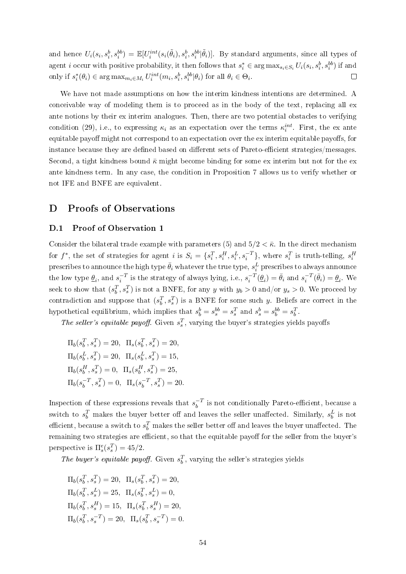and hence  $U_i(s_i,s_i^b,s_i^{bb}) = \mathbb{E}[U_i^{int}(s_i(\tilde{\theta}_i),s_i^b,s_i^{bb}|\tilde{\theta}_i)]$ . By standard arguments, since all types of agent *i* occur with positive probability, it then follows that  $s_i^* \in \arg \max_{s_i \in S_i} U_i(s_i, s_i^b, s_i^{bb})$  if and only if  $s_i^*(\theta_i) \in \arg \max_{m_i \in M_i} U_i^{int}(m_i, s_i^b, s_i^{bb} | \theta_i)$  for all  $\theta_i \in \Theta_i$ .  $\Box$ 

We have not made assumptions on how the interim kindness intentions are determined. A conceivable way of modeling them is to proceed as in the body of the text, replacing all ex ante notions by their ex interim analogues. Then, there are two potential obstacles to verifying condition (29), i.e., to expressing  $\kappa_i$  as an expectation over the terms  $\kappa_i^{int}$ . First, the ex ante equitable payoff might not correspond to an expectation over the ex interim equitable payoffs, for instance because they are defined based on different sets of Pareto-efficient strategies/messages. Second, a tight kindness bound  $\bar{\kappa}$  might become binding for some ex interim but not for the ex ante kindness term. In any case, the condition in Proposition 7 allows us to verify whether or not IFE and BNFE are equivalent.

## D Proofs of Observations

#### D.1 Proof of Observation 1

Consider the bilateral trade example with parameters (5) and  $5/2 < \bar{\kappa}$ . In the direct mechanism for  $f^*$ , the set of strategies for agent i is  $S_i = \{s_i^T, s_i^H, s_i^L, s_i^{-T}\}$ , where  $s_i^T$  is truth-telling,  $s_i^H$ prescribes to announce the high type  $\bar{\theta}_i$  whatever the true type,  $s_i^L$  prescribes to always announce the low type  $\underline{\theta}_i$ , and  $s_i^{-T}$  is the strategy of always lying, i.e.,  $s_i^{-T}(\underline{\theta}_i) = \overline{\theta}_i$  and  $s_i^{-T}(\overline{\theta}_i) = \underline{\theta}_i$ . We seek to show that  $(s_b^T, s_s^T)$  is not a BNFE, for any y with  $y_b > 0$  and/or  $y_s > 0$ . We proceed by contradiction and suppose that  $(s_b^T, s_s^T)$  is a BNFE for some such y. Beliefs are correct in the hypothetical equilibrium, which implies that  $s_b^b = s_s^{bb} = s_s^T$  and  $s_s^b = s_b^{bb} = s_b^T$ .

The seller's equitable payoff. Given  $s_s^T$ , varying the buyer's strategies yields payoffs

 $\Pi_b(s_b^T, s_s^T) = 20, \ \ \Pi_s(s_b^T, s_s^T) = 20,$  $\Pi_b(s_b^L, s_s^T) = 20, \ \ \Pi_s(s_b^L, s_s^T) = 15,$  $\Pi_b(s_b^H, s_s^T) = 0, \ \ \Pi_s(s_b^H, s_s^T) = 25,$  $\Pi_b(s_b^{-T}$  $b^{-T}, s_s^T$ ) = 0,  $\Pi_s(s_b^{-T})$  $b^{-T}, s_s^T$ ) = 20.

Inspection of these expressions reveals that  $s_h^{-T}$  $b^{-T}$  is not conditionally Pareto-efficient, because a switch to  $s_b^T$  makes the buyer better off and leaves the seller unaffected. Similarly,  $s_b^L$  is not efficient, because a switch to  $s_b^T$  makes the seller better off and leaves the buyer unaffected. The remaining two strategies are efficient, so that the equitable payoff for the seller from the buyer's perspective is  $\Pi_s^e(s_s^T) = 45/2$ .

The buyer's equitable payoff. Given  $s_b^T$ , varying the seller's strategies yields

 $\Pi_b(s_b^T, s_s^T) = 20, \ \ \Pi_s(s_b^T, s_s^T) = 20,$  $\Pi_b(s_b^T, s_s^L) = 25, \ \ \Pi_s(s_b^T, s_s^L) = 0,$  $\Pi_b(s_b^T, s_s^H) = 15, \ \ \Pi_s(s_b^T, s_s^H) = 20,$  $\Pi_b(s_b^T, s_s^{-T}) = 20, \ \ \Pi_s(s_b^T, s_s^{-T}) = 0.$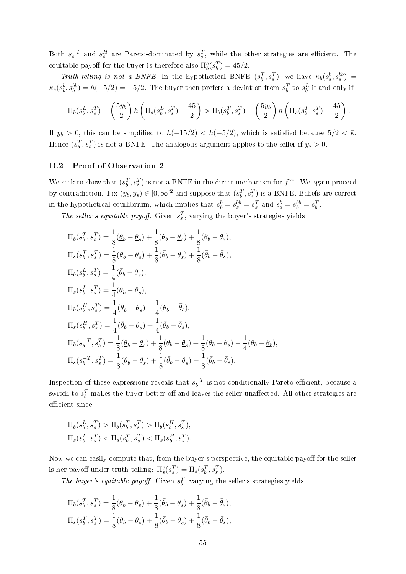Both  $s_s^{-T}$  and  $s_s^H$  are Pareto-dominated by  $s_s^T$ , while the other strategies are efficient. The equitable payoff for the buyer is therefore also  $\Pi_b^e(s_b^T) = 45/2$ .

Truth-telling is not a BNFE. In the hypothetical BNFE  $(s_b^T, s_s^T)$ , we have  $\kappa_b(s_s^b, s_s^{bb})$  =  $\kappa_s(s_b^b, s_b^{bb}) = h(-5/2) = -5/2$ . The buyer then prefers a deviation from  $s_b^T$  to  $s_b^L$  if and only if

$$
\Pi_b(s_b^L, s_s^T) - \left(\frac{5y_b}{2}\right) h\left(\Pi_s(s_b^L, s_s^T) - \frac{45}{2}\right) > \Pi_b(s_b^T, s_s^T) - \left(\frac{5y_b}{2}\right) h\left(\Pi_s(s_b^T, s_s^T) - \frac{45}{2}\right).
$$

If  $y_b > 0$ , this can be simplified to  $h(-15/2) < h(-5/2)$ , which is satisfied because  $5/2 < \bar{\kappa}$ . Hence  $(s_b^T, s_s^T)$  is not a BNFE. The analogous argument applies to the seller if  $y_s > 0$ .

#### D.2 Proof of Observation 2

We seek to show that  $(s_b^T, s_s^T)$  is not a BNFE in the direct mechanism for  $f^{**}$ . We again proceed by contradiction. Fix  $(y_b, y_s) \in [0, \infty)^2$  and suppose that  $(s_b^T, s_s^T)$  is a BNFE. Beliefs are correct in the hypothetical equilibrium, which implies that  $s_b^b = s_s^{bb} = s_s^T$  and  $s_s^b = s_b^{bb} = s_b^T$ .

The seller's equitable payoff. Given  $s_s^T$ , varying the buyer's strategies yields

$$
\Pi_{b}(s_{b}^{T}, s_{s}^{T}) = \frac{1}{8}(\underline{\theta}_{b} - \underline{\theta}_{s}) + \frac{1}{8}(\overline{\theta}_{b} - \underline{\theta}_{s}) + \frac{1}{8}(\overline{\theta}_{b} - \overline{\theta}_{s}),
$$
\n
$$
\Pi_{s}(s_{b}^{T}, s_{s}^{T}) = \frac{1}{8}(\underline{\theta}_{b} - \underline{\theta}_{s}) + \frac{1}{8}(\overline{\theta}_{b} - \underline{\theta}_{s}) + \frac{1}{8}(\overline{\theta}_{b} - \overline{\theta}_{s}),
$$
\n
$$
\Pi_{b}(s_{b}^{L}, s_{s}^{T}) = \frac{1}{4}(\overline{\theta}_{b} - \underline{\theta}_{s}),
$$
\n
$$
\Pi_{s}(s_{b}^{L}, s_{s}^{T}) = \frac{1}{4}(\underline{\theta}_{b} - \underline{\theta}_{s}),
$$
\n
$$
\Pi_{b}(s_{b}^{H}, s_{s}^{T}) = \frac{1}{4}(\underline{\theta}_{b} - \underline{\theta}_{s}) + \frac{1}{4}(\underline{\theta}_{b} - \overline{\theta}_{s}),
$$
\n
$$
\Pi_{s}(s_{b}^{H}, s_{s}^{T}) = \frac{1}{4}(\overline{\theta}_{b} - \underline{\theta}_{s}) + \frac{1}{4}(\overline{\theta}_{b} - \overline{\theta}_{s}),
$$
\n
$$
\Pi_{b}(s_{b}^{-T}, s_{s}^{T}) = \frac{1}{8}(\underline{\theta}_{b} - \underline{\theta}_{s}) + \frac{1}{8}(\overline{\theta}_{b} - \underline{\theta}_{s}) + \frac{1}{8}(\overline{\theta}_{b} - \overline{\theta}_{s}) - \frac{1}{4}(\overline{\theta}_{b} - \underline{\theta}_{b}),
$$
\n
$$
\Pi_{s}(s_{b}^{-T}, s_{s}^{T}) = \frac{1}{8}(\underline{\theta}_{b} - \underline{\theta}_{s}) + \frac{1}{8}(\overline{\theta}_{b} - \underline{\theta}_{s}) + \frac{1}{8}(\overline{\theta}_{b} - \overline{\theta}_{s}).
$$

Inspection of these expressions reveals that  $s_h^{-T}$  $b^{-1}$  is not conditionally Pareto-efficient, because a switch to  $s_b^T$  makes the buyer better off and leaves the seller unaffected. All other strategies are efficient since

$$
\Pi_b(s_b^L, s_s^T) > \Pi_b(s_b^T, s_s^T) > \Pi_b(s_b^H, s_s^T),
$$
  

$$
\Pi_s(s_b^L, s_s^T) < \Pi_s(s_b^T, s_s^T) < \Pi_s(s_b^H, s_s^T).
$$

Now we can easily compute that, from the buyer's perspective, the equitable payoff for the seller is her payoff under truth-telling:  $\Pi_s^e(s_s^T) = \Pi_s(s_b^T, s_s^T)$ .

The buyer's equitable payoff. Given  $s_b^T$ , varying the seller's strategies yields

$$
\Pi_b(s_b^T, s_s^T) = \frac{1}{8}(\underline{\theta}_b - \underline{\theta}_s) + \frac{1}{8}(\bar{\theta}_b - \underline{\theta}_s) + \frac{1}{8}(\bar{\theta}_b - \bar{\theta}_s), \n\Pi_s(s_b^T, s_s^T) = \frac{1}{8}(\underline{\theta}_b - \underline{\theta}_s) + \frac{1}{8}(\bar{\theta}_b - \underline{\theta}_s) + \frac{1}{8}(\bar{\theta}_b - \bar{\theta}_s),
$$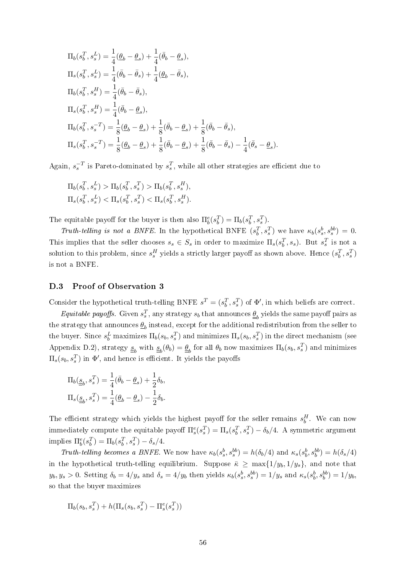$$
\Pi_b(s_b^T, s_s^L) = \frac{1}{4}(\underline{\theta}_b - \underline{\theta}_s) + \frac{1}{4}(\bar{\theta}_b - \underline{\theta}_s),
$$
  
\n
$$
\Pi_s(s_b^T, s_s^L) = \frac{1}{4}(\bar{\theta}_b - \bar{\theta}_s) + \frac{1}{4}(\underline{\theta}_b - \bar{\theta}_s),
$$
  
\n
$$
\Pi_b(s_b^T, s_s^H) = \frac{1}{4}(\bar{\theta}_b - \bar{\theta}_s),
$$
  
\n
$$
\Pi_s(s_b^T, s_s^H) = \frac{1}{4}(\bar{\theta}_b - \underline{\theta}_s),
$$
  
\n
$$
\Pi_b(s_b^T, s_s^{-T}) = \frac{1}{8}(\underline{\theta}_b - \underline{\theta}_s) + \frac{1}{8}(\bar{\theta}_b - \underline{\theta}_s) + \frac{1}{8}(\bar{\theta}_b - \bar{\theta}_s),
$$
  
\n
$$
\Pi_s(s_b^T, s_s^{-T}) = \frac{1}{8}(\underline{\theta}_b - \underline{\theta}_s) + \frac{1}{8}(\bar{\theta}_b - \underline{\theta}_s) + \frac{1}{8}(\bar{\theta}_b - \bar{\theta}_s) - \frac{1}{4}(\bar{\theta}_s - \underline{\theta}_s).
$$

Again,  $s_s^{-T}$  is Pareto-dominated by  $s_s^T$ , while all other strategies are efficient due to

$$
\begin{aligned} &\Pi_b(s_b^T,s_s^L) > \Pi_b(s_b^T,s_s^T) > \Pi_b(s_b^T,s_s^H),\\ &\Pi_s(s_b^T,s_s^L) < \Pi_s(s_b^T,s_s^T) < \Pi_s(s_b^T,s_s^H). \end{aligned}
$$

The equitable payoff for the buyer is then also  $\Pi_b^e(s_b^T) = \Pi_b(s_b^T, s_s^T)$ .

Truth-telling is not a BNFE. In the hypothetical BNFE  $(s_b^T, s_s^T)$  we have  $\kappa_b(s_s^b, s_s^{bb}) = 0$ . This implies that the seller chooses  $s_s \in S_s$  in order to maximize  $\Pi_s(s_b^T, s_s)$ . But  $s_s^T$  is not a solution to this problem, since  $s_s^H$  yields a strictly larger payoff as shown above. Hence  $(s_b^T, s_s^T)$ is not a BNFE.

#### D.3 Proof of Observation 3

Consider the hypothetical truth-telling BNFE  $s^T = (s_b^T, s_s^T)$  of  $\Phi'$ , in which beliefs are correct.

*Equitable payoffs.* Given  $s_s^T$ , any strategy  $s_b$  that announces  $\underline{\theta}_b$  yields the same payoff pairs as the strategy that announces  $\underline{\theta}_b$  instead, except for the additional redistribution from the seller to the buyer. Since  $s_b^L$  maximizes  $\Pi_b(s_b, s_s^T)$  and minimizes  $\Pi_s(s_b, s_s^T)$  in the direct mechanism (see Appendix D.2), strategy  $\underline{s}_b$  with  $\underline{s}_b(\theta_b) = \underline{\theta}_b$  for all  $\theta_b$  now maximizes  $\Pi_b(s_b, s_s^T)$  and minimizes  $\Pi_s(s_b, s_s^T)$  in  $\Phi',$  and hence is efficient. It yields the payoffs

$$
\begin{aligned} \Pi_b(\underline{\underline{s}}_b, s_s^T) &= \frac{1}{4}(\bar{\theta}_b - \underline{\theta}_s) + \frac{1}{2}\delta_b,\\ \Pi_s(\underline{\underline{s}}_b, s_s^T) &= \frac{1}{4}(\underline{\theta}_b - \underline{\theta}_s) - \frac{1}{2}\delta_b. \end{aligned}
$$

The efficient strategy which yields the highest payoff for the seller remains  $s_b^H$ . We can now immediately compute the equitable payoff  $\Pi_s^e(s_s^T) = \Pi_s(s_b^T, s_s^T) - \delta_b/4$ . A symmetric argument implies  $\Pi_b^e(s_b^T) = \Pi_b(s_b^T, s_s^T) - \delta_s/4.$ 

Truth-telling becomes a BNFE. We now have  $\kappa_b(s_s^b, s_s^{bb}) = h(\delta_b/4)$  and  $\kappa_s(s_b^b, s_b^{bb}) = h(\delta_s/4)$ in the hypothetical truth-telling equilibrium. Suppose  $\bar{\kappa} \ge \max\{1/y_b, 1/y_s\}$ , and note that  $y_b, y_s > 0$ . Setting  $\delta_b = 4/y_s$  and  $\delta_s = 4/y_b$  then yields  $\kappa_b(s_s^b, s_s^{bb}) = 1/y_s$  and  $\kappa_s(s_b^b, s_b^{bb}) = 1/y_b$ , so that the buyer maximizes

$$
\Pi_b(s_b, s_s^T) + h(\Pi_s(s_b, s_s^T) - \Pi_s^e(s_s^T))
$$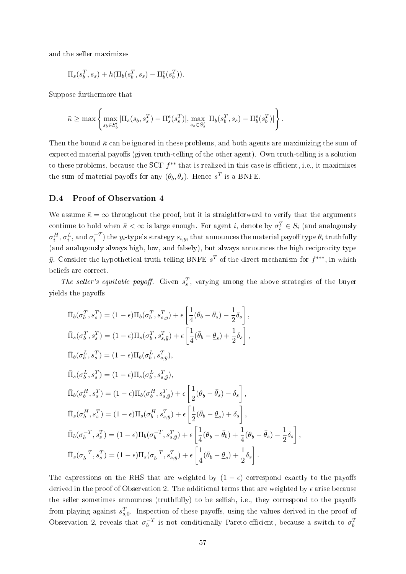and the seller maximizes

$$
\Pi_s(s_b^T, s_s) + h(\Pi_b(s_b^T, s_s) - \Pi_b^e(s_b^T)).
$$

Suppose furthermore that

$$
\bar{\kappa} \ge \max \left\{ \max_{s_b \in S'_b} |\Pi_s(s_b, s_s^T) - \Pi_s^e(s_s^T)|, \max_{s_s \in S'_s} |\Pi_b(s_b^T, s_s) - \Pi_b^e(s_b^T)| \right\}.
$$

Then the bound  $\bar{\kappa}$  can be ignored in these problems, and both agents are maximizing the sum of expected material payoffs (given truth-telling of the other agent). Own truth-telling is a solution to these problems, because the SCF  $f^{**}$  that is realized in this case is efficient, i.e., it maximizes the sum of material payoffs for any  $(\theta_b, \theta_s)$ . Hence  $s^T$  is a BNFE.

## D.4 Proof of Observation 4

We assume  $\bar{\kappa} = \infty$  throughout the proof, but it is straightforward to verify that the arguments continue to hold when  $\bar{\kappa} < \infty$  is large enough. For agent i, denote by  $\sigma_i^T \in S_i$  (and analogously  $\sigma^H_i, \sigma^L_i,$  and  $\sigma^{-T}_i)$  the  $y_i$ -type's strategy  $s_{i,y_i}$  that announces the material payoff type  $\theta_i$  truthfully (and analogously always high, low, and falsely), but always announces the high reciprocity type  $\bar{y}$ . Consider the hypothetical truth-telling BNFE  $s^T$  of the direct mechanism for  $f^{***}$ , in which beliefs are correct.

The seller's equitable payoff. Given  $s_s^T$ , varying among the above strategies of the buyer yields the payoffs

$$
\begin{split}\n\bar{\Pi}_{b}(\sigma_{b}^{T}, s_{s}^{T}) &= (1 - \epsilon) \Pi_{b}(\sigma_{b}^{T}, s_{s,\bar{y}}^{T}) + \epsilon \left[ \frac{1}{4} (\bar{\theta}_{b} - \bar{\theta}_{s}) - \frac{1}{2} \delta_{s} \right], \\
\bar{\Pi}_{s}(\sigma_{b}^{T}, s_{s}^{T}) &= (1 - \epsilon) \Pi_{s}(\sigma_{b}^{T}, s_{s,\bar{y}}^{T}) + \epsilon \left[ \frac{1}{4} (\bar{\theta}_{b} - \underline{\theta}_{s}) + \frac{1}{2} \delta_{s} \right], \\
\bar{\Pi}_{b}(\sigma_{b}^{L}, s_{s}^{T}) &= (1 - \epsilon) \Pi_{b}(\sigma_{b}^{L}, s_{s,\bar{y}}^{T}), \\
\bar{\Pi}_{s}(\sigma_{b}^{L}, s_{s}^{T}) &= (1 - \epsilon) \Pi_{s}(\sigma_{b}^{L}, s_{s,\bar{y}}^{T}), \\
\bar{\Pi}_{b}(\sigma_{b}^{H}, s_{s}^{T}) &= (1 - \epsilon) \Pi_{b}(\sigma_{b}^{H}, s_{s,\bar{y}}^{T}) + \epsilon \left[ \frac{1}{2} (\underline{\theta}_{b} - \bar{\theta}_{s}) - \delta_{s} \right], \\
\bar{\Pi}_{s}(\sigma_{b}^{H}, s_{s}^{T}) &= (1 - \epsilon) \Pi_{s}(\sigma_{b}^{H}, s_{s,\bar{y}}^{T}) + \epsilon \left[ \frac{1}{2} (\bar{\theta}_{b} - \underline{\theta}_{s}) + \delta_{s} \right], \\
\bar{\Pi}_{b}(\sigma_{b}^{-T}, s_{s}^{T}) &= (1 - \epsilon) \Pi_{b}(\sigma_{b}^{-T}, s_{s,\bar{y}}^{T}) + \epsilon \left[ \frac{1}{4} (\underline{\theta}_{b} - \bar{\theta}_{b}) + \frac{1}{4} (\underline{\theta}_{b} - \bar{\theta}_{s}) - \frac{1}{2} \delta_{s} \right], \\
\bar{\Pi}_{s}(\sigma_{b}^{-T}, s_{s}^{T}) &= (1 - \epsilon) \Pi_{s}(\sigma_{b}^{-T}, s_{s,\bar{y}}^{T}) + \epsilon \left[ \frac{1}{4} (\bar{\theta}_{b} - \underline{\theta}_{s}) + \frac{1}{2} \delta_{s} \right].\n\end{split}
$$

The expressions on the RHS that are weighted by  $(1 - \epsilon)$  correspond exactly to the payoffs derived in the proof of Observation 2. The additional terms that are weighted by  $\epsilon$  arise because the seller sometimes announces (truthfully) to be selfish, i.e., they correspond to the payoffs from playing against  $s_{s,0}^T$ . Inspection of these payoffs, using the values derived in the proof of Observation 2, reveals that  $\sigma_h^{-T}$  $\overline{b}^T$  is not conditionally Pareto-efficient, because a switch to  $\sigma_b^T$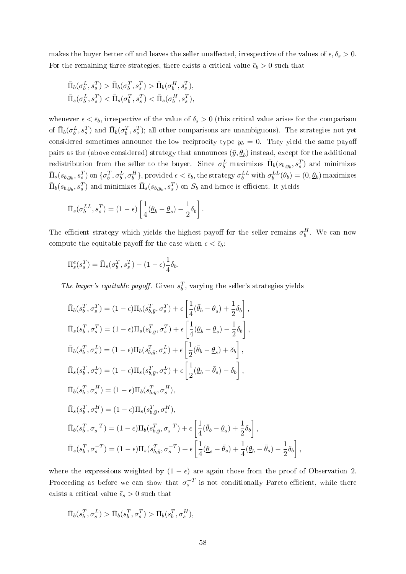makes the buyer better off and leaves the seller unaffected, irrespective of the values of  $\epsilon, \delta_s > 0$ . For the remaining three strategies, there exists a critical value  $\bar{\epsilon}_b > 0$  such that

$$
\begin{aligned}\n\bar{\Pi}_b(\sigma_b^L, s_s^T) > \bar{\Pi}_b(\sigma_b^T, s_s^T) > \bar{\Pi}_b(\sigma_b^H, s_s^T), \\
\bar{\Pi}_s(\sigma_b^L, s_s^T) < \bar{\Pi}_s(\sigma_b^T, s_s^T) < \bar{\Pi}_s(\sigma_b^H, s_s^T),\n\end{aligned}
$$

whenever  $\epsilon < \bar{\epsilon}_b$ , irrespective of the value of  $\delta_s > 0$  (this critical value arises for the comparison of  $\bar{\Pi}_b(\sigma_b^L, s_s^T)$  and  $\bar{\Pi}_b(\sigma_b^T, s_s^T)$ ; all other comparisons are unambiguous). The strategies not yet considered sometimes announce the low reciprocity type  $y_b = 0$ . They yield the same payoff pairs as the (above considered) strategy that announces  $(\bar{y}, \underline{\theta}_b)$  instead, except for the additional redistribution from the seller to the buyer. Since  $\sigma_b^L$  maximizes  $\bar{\Pi}_b(s_{b,y_b}, s_s^T)$  and minimizes  $\bar{\Pi}_s(s_{b,y_b}, s_s^T)$  on  $\{\sigma_b^T, \sigma_b^L, \sigma_b^H\}$ , provided  $\epsilon < \bar{\epsilon}_b$ , the strategy  $\sigma_b^{LL}$  with  $\sigma_b^{LL}(\theta_b) = (0, \underline{\theta}_b)$  maximizes  $\bar{\Pi}_b(s_{b,y_b}, s_s^T)$  and minimizes  $\bar{\Pi}_s(s_{b,y_b}, s_s^T)$  on  $S_b$  and hence is efficient. It yields

$$
\bar{\Pi}_s(\sigma_b^{LL}, s_s^T) = (1 - \epsilon) \left[ \frac{1}{4} (\underline{\theta}_b - \underline{\theta}_s) - \frac{1}{2} \delta_b \right].
$$

The efficient strategy which yields the highest payoff for the seller remains  $\sigma_b^H$ . We can now compute the equitable payoff for the case when  $\epsilon < \bar{\epsilon}_b$ :

$$
\Pi_s^e(s_s^T) = \bar{\Pi}_s(\sigma_b^T, s_s^T) - (1 - \epsilon)\frac{1}{4}\delta_b.
$$

The buyer's equitable payoff. Given  $s_b^T$ , varying the seller's strategies yields

$$
\bar{\Pi}_{b}(s_{b}^{T}, \sigma_{s}^{T}) = (1 - \epsilon) \Pi_{b}(s_{b,\bar{y}}^{T}, \sigma_{s}^{T}) + \epsilon \left[ \frac{1}{4}(\bar{\theta}_{b} - \underline{\theta}_{s}) + \frac{1}{2}\delta_{b} \right],
$$
\n
$$
\bar{\Pi}_{s}(s_{b}^{T}, \sigma_{s}^{T}) = (1 - \epsilon) \Pi_{s}(s_{b,\bar{y}}^{T}, \sigma_{s}^{T}) + \epsilon \left[ \frac{1}{4}(\underline{\theta}_{b} - \underline{\theta}_{s}) - \frac{1}{2}\delta_{b} \right],
$$
\n
$$
\bar{\Pi}_{b}(s_{b}^{T}, \sigma_{s}^{L}) = (1 - \epsilon) \Pi_{b}(s_{b,\bar{y}}^{T}, \sigma_{s}^{L}) + \epsilon \left[ \frac{1}{2}(\bar{\theta}_{b} - \underline{\theta}_{s}) + \delta_{b} \right],
$$
\n
$$
\bar{\Pi}_{s}(s_{b}^{T}, \sigma_{s}^{L}) = (1 - \epsilon) \Pi_{s}(s_{b,\bar{y}}^{T}, \sigma_{s}^{L}) + \epsilon \left[ \frac{1}{2}(\underline{\theta}_{b} - \bar{\theta}_{s}) - \delta_{b} \right],
$$
\n
$$
\bar{\Pi}_{b}(s_{b}^{T}, \sigma_{s}^{H}) = (1 - \epsilon) \Pi_{b}(s_{b,\bar{y}}^{T}, \sigma_{s}^{H}),
$$
\n
$$
\bar{\Pi}_{s}(s_{b}^{T}, \sigma_{s}^{H}) = (1 - \epsilon) \Pi_{s}(s_{b,\bar{y}}^{T}, \sigma_{s}^{H}),
$$
\n
$$
\bar{\Pi}_{b}(s_{b}^{T}, \sigma_{s}^{-T}) = (1 - \epsilon) \Pi_{b}(s_{b,\bar{y}}^{T}, \sigma_{s}^{-T}) + \epsilon \left[ \frac{1}{4}(\bar{\theta}_{b} - \underline{\theta}_{s}) + \frac{1}{2}\delta_{b} \right],
$$
\n
$$
\bar{\Pi}_{s}(s_{b}^{T}, \sigma_{s}^{-T}) = (1 - \epsilon) \Pi_{s}(s_{b,\bar{y}}^{T}, \sigma_{s}^{-T}) + \epsilon \left[ \frac{1}{4}(\underline{\theta}_{s} - \bar{\theta}_{s}) + \frac{1}{2}\delta_{b} \right],
$$

where the expressions weighted by  $(1 - \epsilon)$  are again those from the proof of Observation 2. Proceeding as before we can show that  $\sigma_s^{-T}$  is not conditionally Pareto-efficient, while there exists a critical value  $\bar{\epsilon}_s > 0$  such that

$$
\bar{\Pi}_b(s_b^T, \sigma_s^L) > \bar{\Pi}_b(s_b^T, \sigma_s^T) > \bar{\Pi}_b(s_b^T, \sigma_s^H),
$$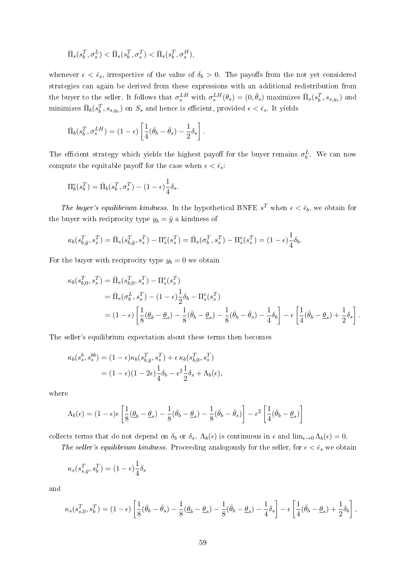$$
\bar{\Pi}_s(s_b^T,\sigma_s^L)<\bar{\Pi}_s(s_b^T,\sigma_s^T)<\bar{\Pi}_s(s_b^T,\sigma_s^H),
$$

whenever  $\epsilon < \bar{\epsilon}_s$ , irrespective of the value of  $\delta_b > 0$ . The payoffs from the not yet considered strategies can again be derived from these expressions with an additional redistribution from the buyer to the seller. It follows that  $\sigma_s^{LH}$  with  $\sigma_s^{LH}(\theta_s) = (0, \bar{\theta}_s)$  maximizes  $\bar{\Pi}_s(s_b^T, s_{s,y_s})$  and minimizes  $\bar{\Pi}_b(s_b^T, s_{s,y_s})$  on  $S_s$  and hence is efficient, provided  $\epsilon < \bar{\epsilon}_s$ . It yields

$$
\bar{\Pi}_b(s_b^T, \sigma_s^{LH}) = (1 - \epsilon) \left[ \frac{1}{4} (\bar{\theta}_b - \bar{\theta}_s) - \frac{1}{2} \delta_s \right].
$$

The efficient strategy which yields the highest payoff for the buyer remains  $\sigma_b^L$ . We can now compute the equitable payoff for the case when  $\epsilon < \bar{\epsilon}_s$ :

$$
\Pi_b^e(s_b^T) = \bar{\Pi}_b(s_b^T, \sigma_s^T) - (1 - \epsilon)\frac{1}{4}\delta_s.
$$

The buyer's equilibrium kindness. In the hypothetical BNFE  $s^T$  when  $\epsilon < \bar{\epsilon}_b$ , we obtain for the buyer with reciprocity type  $y_b = \bar{y}$  a kindness of

$$
\kappa_b(s_{b,\bar{y}}^T, s_s^T) = \bar{\Pi}_s(s_{b,\bar{y}}^T, s_s^T) - \Pi_s^e(s_s^T) = \bar{\Pi}_s(\sigma_b^T, s_s^T) - \Pi_s^e(s_s^T) = (1 - \epsilon)\frac{1}{4}\delta_b.
$$

For the buyer with reciprocity type  $y_b = 0$  we obtain

$$
\kappa_b(s_{b,0}^T, s_s^T) = \bar{\Pi}_s(s_{b,0}^T, s_s^T) - \Pi_s^e(s_s^T) \n= \bar{\Pi}_s(\sigma_b^L, s_s^T) - (1 - \epsilon) \frac{1}{2} \delta_b - \Pi_s^e(s_s^T) \n= (1 - \epsilon) \left[ \frac{1}{8} (\underline{\theta}_b - \underline{\theta}_s) - \frac{1}{8} (\bar{\theta}_b - \underline{\theta}_s) - \frac{1}{8} (\bar{\theta}_b - \bar{\theta}_s) - \frac{1}{4} \delta_b \right] - \epsilon \left[ \frac{1}{4} (\bar{\theta}_b - \underline{\theta}_s) + \frac{1}{2} \delta_s \right].
$$

The seller's equilibrium expectation about these terms then becomes

$$
\kappa_b(s_s^b, s_s^{bb}) = (1 - \epsilon)\kappa_b(s_{b,\bar{y}}^T, s_s^T) + \epsilon \kappa_b(s_{b,0}^T, s_s^T)
$$
  
= 
$$
(1 - \epsilon)(1 - 2\epsilon)\frac{1}{4}\delta_b - \epsilon^2\frac{1}{2}\delta_s + \Lambda_b(\epsilon),
$$

where

$$
\Lambda_b(\epsilon) = (1 - \epsilon)\epsilon \left[ \frac{1}{8} (\underline{\theta}_b - \underline{\theta}_s) - \frac{1}{8} (\bar{\theta}_b - \underline{\theta}_s) - \frac{1}{8} (\bar{\theta}_b - \bar{\theta}_s) \right] - \epsilon^2 \left[ \frac{1}{4} (\bar{\theta}_b - \underline{\theta}_s) \right]
$$

collects terms that do not depend on  $\delta_b$  or  $\delta_s$ .  $\Lambda_b(\epsilon)$  is continuous in  $\epsilon$  and  $\lim_{\epsilon \to 0} \Lambda_b(\epsilon) = 0$ .

The seller's equilibrium kindness. Proceeding analogously for the seller, for  $\epsilon < \bar{\epsilon}_s$  we obtain

$$
\kappa_s(s_{s,\bar{y}}^T, s_b^T) = (1 - \epsilon) \frac{1}{4} \delta_s
$$

and

$$
\kappa_s(s_{s,0}^T,s_b^T) = (1-\epsilon)\left[\frac{1}{8}(\bar{\theta}_b - \bar{\theta}_s) - \frac{1}{8}(\underline{\theta}_b - \underline{\theta}_s) - \frac{1}{8}(\bar{\theta}_b - \underline{\theta}_s) - \frac{1}{4}\delta_s\right] - \epsilon\left[\frac{1}{4}(\bar{\theta}_b - \underline{\theta}_s) + \frac{1}{2}\delta_b\right],
$$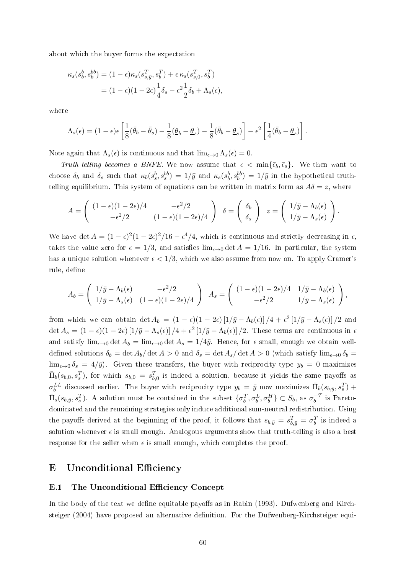about which the buyer forms the expectation

$$
\kappa_s(s_b^b, s_b^{bb}) = (1 - \epsilon)\kappa_s(s_{s,\bar{y}}^T, s_b^T) + \epsilon \kappa_s(s_{s,0}^T, s_b^T)
$$

$$
= (1 - \epsilon)(1 - 2\epsilon)\frac{1}{4}\delta_s - \epsilon^2\frac{1}{2}\delta_b + \Lambda_s(\epsilon),
$$

where

$$
\Lambda_s(\epsilon) = (1-\epsilon)\epsilon \left[ \frac{1}{8}(\bar{\theta}_b - \bar{\theta}_s) - \frac{1}{8}(\underline{\theta}_b - \underline{\theta}_s) - \frac{1}{8}(\bar{\theta}_b - \underline{\theta}_s) \right] - \epsilon^2 \left[ \frac{1}{4}(\bar{\theta}_b - \underline{\theta}_s) \right].
$$

Note again that  $\Lambda_s(\epsilon)$  is continuous and that  $\lim_{\epsilon \to 0} \Lambda_s(\epsilon) = 0$ .

Truth-telling becomes a BNFE. We now assume that  $\epsilon < \min{\{\bar{\epsilon}_b, \bar{\epsilon}_s\}}$ . We then want to choose  $\delta_b$  and  $\delta_s$  such that  $\kappa_b(s_s^b, s_s^{bb}) = 1/\bar{y}$  and  $\kappa_s(s_b^b, s_b^{bb}) = 1/\bar{y}$  in the hypothetical truthtelling equilibrium. This system of equations can be written in matrix form as  $A\delta = z$ , where

$$
A = \begin{pmatrix} (1 - \epsilon)(1 - 2\epsilon)/4 & -\epsilon^2/2 \\ -\epsilon^2/2 & (1 - \epsilon)(1 - 2\epsilon)/4 \end{pmatrix} \quad \delta = \begin{pmatrix} \delta_b \\ \delta_s \end{pmatrix} \quad z = \begin{pmatrix} 1/\bar{y} - \Lambda_b(\epsilon) \\ 1/\bar{y} - \Lambda_s(\epsilon) \end{pmatrix}.
$$

We have det  $A = (1 - \epsilon)^2 (1 - 2\epsilon)^2 / 16 - \epsilon^4 / 4$ , which is continuous and strictly decreasing in  $\epsilon$ , takes the value zero for  $\epsilon = 1/3$ , and satisfies  $\lim_{\epsilon \to 0} \det A = 1/16$ . In particular, the system has a unique solution whenever  $\epsilon < 1/3$ , which we also assume from now on. To apply Cramer's rule, define

$$
A_b = \begin{pmatrix} 1/\bar{y} - \Lambda_b(\epsilon) & -\epsilon^2/2 \\ 1/\bar{y} - \Lambda_s(\epsilon) & (1 - \epsilon)(1 - 2\epsilon)/4 \end{pmatrix} A_s = \begin{pmatrix} (1 - \epsilon)(1 - 2\epsilon)/4 & 1/\bar{y} - \Lambda_b(\epsilon) \\ -\epsilon^2/2 & 1/\bar{y} - \Lambda_s(\epsilon) \end{pmatrix},
$$

from which we can obtain det  $A_b = (1 - \epsilon)(1 - 2\epsilon) [1/\bar{y} - \Lambda_b(\epsilon)]/4 + \epsilon^2 [1/\bar{y} - \Lambda_s(\epsilon)]/2$  and det  $A_s = (1 - \epsilon)(1 - 2\epsilon) [1/\bar{y} - \Lambda_s(\epsilon)]/4 + \epsilon^2 [1/\bar{y} - \Lambda_b(\epsilon)]/2$ . These terms are continuous in  $\epsilon$ and satisfy  $\lim_{\epsilon \to 0} \det A_b = \lim_{\epsilon \to 0} \det A_s = 1/4\bar{y}$ . Hence, for  $\epsilon$  small, enough we obtain welldefined solutions  $\delta_b = \det A_b/\det A > 0$  and  $\delta_s = \det A_s/\det A > 0$  (which satisfy  $\lim_{\epsilon \to 0} \delta_b =$  $\lim_{\epsilon \to 0} \delta_s = 4/\bar{y}$ . Given these transfers, the buyer with reciprocity type  $y_b = 0$  maximizes  $\bar{\Pi}_b(s_{b,0}, s_s^T)$ , for which  $s_{b,0} = s_{b,0}^T$  is indeed a solution, because it yields the same payoffs as  $\sigma_b^{LL}$  discussed earlier. The buyer with reciprocity type  $y_b = \bar{y}$  now maximizes  $\bar{\Pi}_b(s_{b,\bar{y}}, s_s^T)$  +  $\bar{\Pi}_s(s_{b,\bar{y}}, s_s^T)$ . A solution must be contained in the subset  $\{\sigma_b^T, \sigma_b^L, \sigma_b^H\} \subset S_b$ , as  $\sigma_b^{-T}$  $\bar{b}^{-T}$  is Paretodominated and the remaining strategies only induce additional sum-neutral redistribution. Using the payoffs derived at the beginning of the proof, it follows that  $s_{b,\bar{y}} = s_{b,\bar{y}}^T = \sigma_b^T$  is indeed a solution whenever  $\epsilon$  is small enough. Analogous arguments show that truth-telling is also a best response for the seller when  $\epsilon$  is small enough, which completes the proof.

## E Unconditional Efficiency

#### E.1 The Unconditional Efficiency Concept

In the body of the text we define equitable payoffs as in Rabin  $(1993)$ . Dufwenberg and Kirchsteiger (2004) have proposed an alternative definition. For the Dufwenberg-Kirchsteiger equi-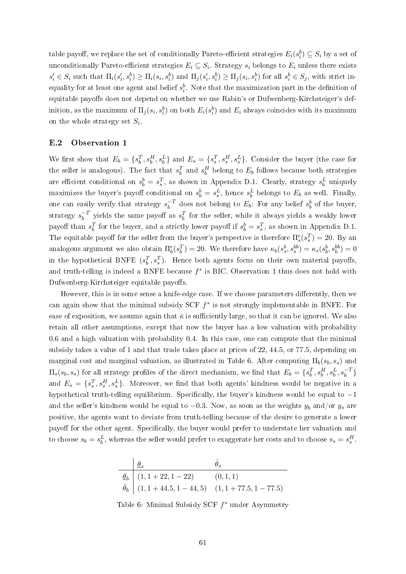table payoff, we replace the set of conditionally Pareto-efficient strategies  $E_i(s_i^b) \subseteq S_i$  by a set of unconditionally Pareto-efficient strategies  $E_i \subseteq S_i$ . Strategy  $s_i$  belongs to  $E_i$  unless there exists  $s'_i \in S_i$  such that  $\Pi_i(s'_i, s_i^b) \ge \Pi_i(s_i, s_i^b)$  and  $\Pi_j(s'_i, s_i^b) \ge \Pi_j(s_i, s_i^b)$  for all  $s_i^b \in S_j$ , with strict inequality for at least one agent and belief  $s_i^b$ . Note that the maximization part in the definition of equitable payoffs does not depend on whether we use Rabin's or Dufwenberg-Kirchsteiger's definition, as the maximum of  $\Pi_j(s_i, s_i^b)$  on both  $E_i(s_i^b)$  and  $E_i$  always coincides with its maximum on the whole strategy set  $S_i$ .

#### E.2 Observation 1

We first show that  $E_b = \{s_b^T, s_b^H, s_b^L\}$  and  $E_s = \{s_s^T, s_s^H, s_s^L\}$ . Consider the buyer (the case for the seller is analogous). The fact that  $s_b^T$  and  $s_b^H$  belong to  $E_b$  follows because both strategies are efficient conditional on  $s_b^b = s_s^T$ , as shown in Appendix D.1. Clearly, strategy  $s_b^L$  uniquely maximizes the buyer's payoff conditional on  $s_b^b = s_s^L$ , hence  $s_b^L$  belongs to  $E_b$  as well. Finally, one can easily verify that strategy  $s_h^{-T}$  $\overline{b}^T$  does not belong to  $E_b$ : For any belief  $s^b_b$  of the buyer, strategy  $s_h^{-T}$  $\bar{b}^T$  yields the same payoff as  $s_b^T$  for the seller, while it always yields a weakly lower payoff than  $s_b^T$  for the buyer, and a strictly lower payoff if  $s_b^b = s_s^T$ , as shown in Appendix D.1. The equitable payoff for the seller from the buyer's perspective is therefore  $\Pi_s^e(s_s^T) = 20$ . By an analogous argument we also obtain  $\Pi_b^e(s_b^T) = 20$ . We therefore have  $\kappa_b(s_s^b, s_s^{bb}) = \kappa_s(s_b^b, s_b^{bb}) = 0$ in the hypothetical BNFE  $(s_b^T, s_s^T)$ . Hence both agents focus on their own material payoffs, and truth-telling is indeed a BNFE because  $f^*$  is BIC. Observation 1 thus does not hold with Dufwenberg-Kirchsteiger equitable payoffs.

However, this is in some sense a knife-edge case. If we choose parameters differently, then we can again show that the minimal subsidy SCF  $f^*$  is not strongly implementable in BNFE. For ease of exposition, we assume again that  $\bar{\kappa}$  is sufficiently large, so that it can be ignored. We also retain all other assumptions, except that now the buyer has a low valuation with probability 0.6 and a high valuation with probability 0.4. In this case, one can compute that the minimal subsidy takes a value of 1 and that trade takes place at prices of 22, 44.5, or 77.5, depending on marginal cost and marginal valuation, as illustrated in Table 6. After computing  $\Pi_b(s_b, s_s)$  and  $\Pi_s(s_b, s_s)$  for all strategy profiles of the direct mechanism, we find that  $E_b = \{s_b^T, s_b^H, s_b^L, s_b^{-T}\}$ and  $E_s = \{s_s^T, s_s^H, s_s^L\}$ . Moreover, we find that both agents' kindness would be negative in a hypothetical truth-telling equilibrium. Specifically, the buyer's kindness would be equal to  $-1$ and the seller's kindness would be equal to  $-0.3$ . Now, as soon as the weights  $y_b$  and/or  $y_s$  are positive, the agents want to deviate from truth-telling because of the desire to generate a lower payoff for the other agent. Specifically, the buyer would prefer to understate her valuation and to choose  $s_b = s_b^L$ , whereas the seller would prefer to exaggerate her costs and to choose  $s_s = s_s^H$ .

$$
\begin{array}{c|cc}\n & \theta_s & \bar{\theta}_s \\
\hline\n\theta_b & (1, 1 + 22, 1 - 22) & (0, 1, 1) \\
\bar{\theta}_b & (1, 1 + 44.5, 1 - 44, 5) & (1, 1 + 77.5, 1 - 77.5)\n\end{array}
$$

Table 6: Minimal Subsidy SCF  $f^*$  under Asymmetry